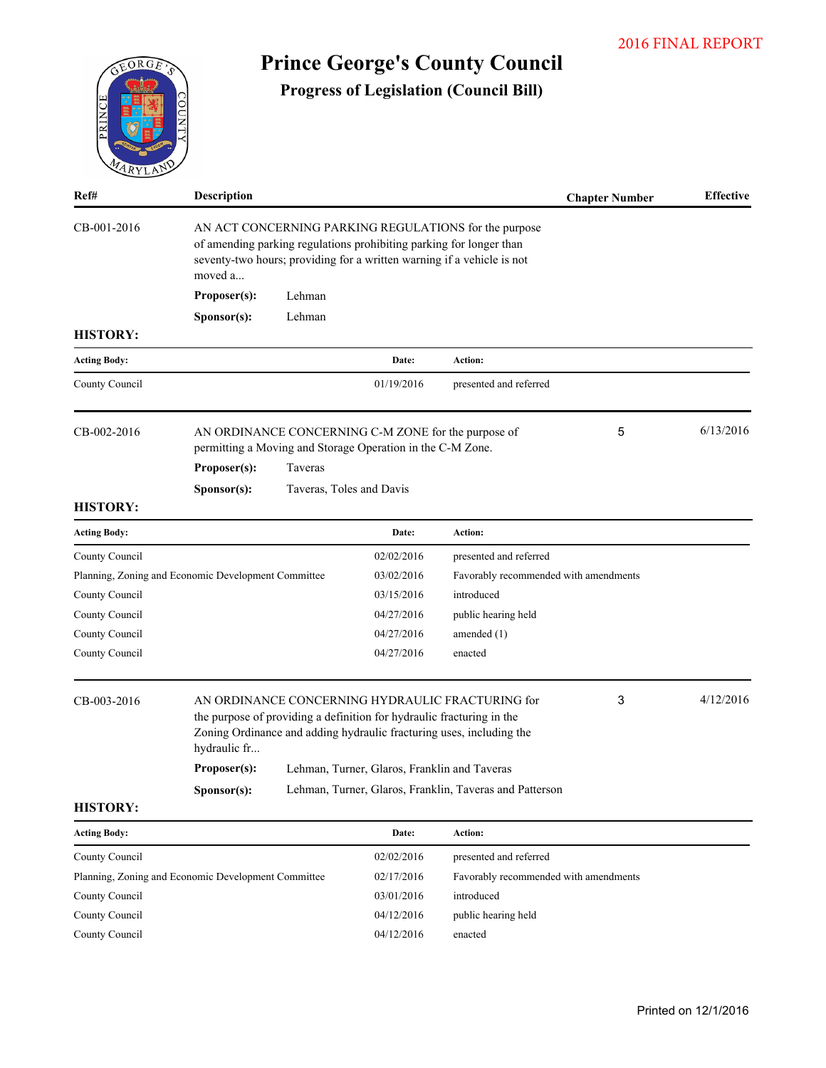|                                                                                         |                                        |                                     |                                                                                                                   |                                                                                                                                 |                       | <b>2016 FINAL REPORT</b> |
|-----------------------------------------------------------------------------------------|----------------------------------------|-------------------------------------|-------------------------------------------------------------------------------------------------------------------|---------------------------------------------------------------------------------------------------------------------------------|-----------------------|--------------------------|
| EORGE<br>PRINCE<br>$\overline{C}$                                                       |                                        |                                     |                                                                                                                   | <b>Prince George's County Council</b><br><b>Progress of Legislation (Council Bill)</b>                                          |                       |                          |
| Ref#                                                                                    | Description                            |                                     |                                                                                                                   |                                                                                                                                 | <b>Chapter Number</b> | <b>Effective</b>         |
| CB-001-2016                                                                             | moved a<br>Proposer(s):<br>Sponsor(s): | Lehman<br>Lehman                    | of amending parking regulations prohibiting parking for longer than                                               | AN ACT CONCERNING PARKING REGULATIONS for the purpose<br>seventy-two hours; providing for a written warning if a vehicle is not |                       |                          |
| <b>HISTORY:</b>                                                                         |                                        |                                     |                                                                                                                   |                                                                                                                                 |                       |                          |
| <b>Acting Body:</b>                                                                     |                                        |                                     | Date:                                                                                                             | Action:                                                                                                                         |                       |                          |
| County Council                                                                          |                                        |                                     | 01/19/2016                                                                                                        | presented and referred                                                                                                          |                       |                          |
| CB-002-2016<br><b>HISTORY:</b>                                                          | Proposer(s):<br>Sponsor(s):            | Taveras<br>Taveras, Toles and Davis | AN ORDINANCE CONCERNING C-M ZONE for the purpose of<br>permitting a Moving and Storage Operation in the C-M Zone. |                                                                                                                                 | 5                     | 6/13/2016                |
| <b>Acting Body:</b>                                                                     |                                        |                                     | Date:                                                                                                             | Action:                                                                                                                         |                       |                          |
| County Council                                                                          |                                        |                                     | 02/02/2016                                                                                                        | presented and referred                                                                                                          |                       |                          |
| Planning, Zoning and Economic Development Committee<br>County Council<br>County Council |                                        |                                     | 03/02/2016<br>03/15/2016<br>04/27/2016                                                                            | Favorably recommended with amendments<br>introduced<br>public hearing held                                                      |                       |                          |
| County Council<br>County Council                                                        |                                        |                                     | 04/27/2016<br>04/27/2016                                                                                          | amended (1)<br>enacted                                                                                                          |                       |                          |
| CB-003-2016                                                                             | hydraulic fr                           |                                     | the purpose of providing a definition for hydraulic fracturing in the                                             | AN ORDINANCE CONCERNING HYDRAULIC FRACTURING for<br>Zoning Ordinance and adding hydraulic fracturing uses, including the        | 3                     | 4/12/2016                |
|                                                                                         | Proposer(s):                           |                                     | Lehman, Turner, Glaros, Franklin and Taveras                                                                      |                                                                                                                                 |                       |                          |
| <b>HISTORY:</b>                                                                         | Sponsor(s):                            |                                     |                                                                                                                   | Lehman, Turner, Glaros, Franklin, Taveras and Patterson                                                                         |                       |                          |
| <b>Acting Body:</b>                                                                     |                                        |                                     | Date:                                                                                                             | Action:                                                                                                                         |                       |                          |
| County Council                                                                          |                                        |                                     | 02/02/2016                                                                                                        | presented and referred                                                                                                          |                       |                          |
| Planning, Zoning and Economic Development Committee                                     |                                        |                                     | 02/17/2016                                                                                                        | Favorably recommended with amendments                                                                                           |                       |                          |

County Council 03/01/2016 introduced County Council 04/12/2016 public hearing held

County Council 04/12/2016 enacted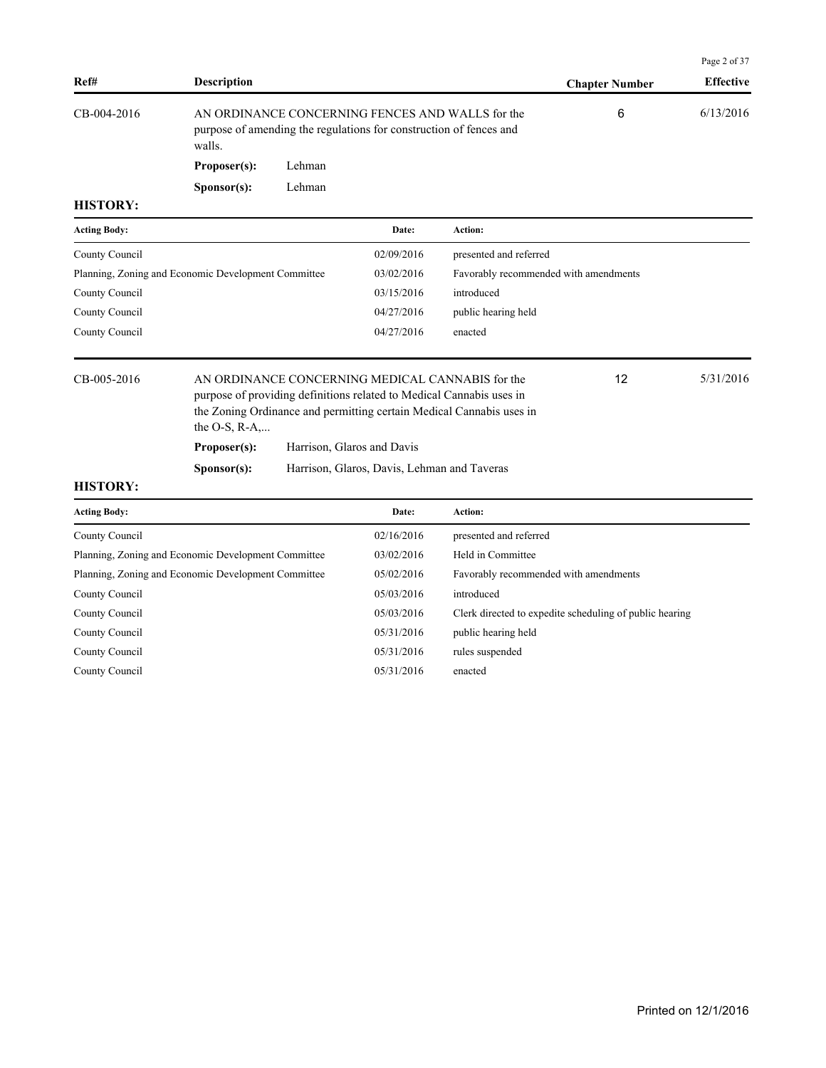|                     |                                                     |        |                                                                                                                          |                                                                      |                                                         | Page 2 of 37     |
|---------------------|-----------------------------------------------------|--------|--------------------------------------------------------------------------------------------------------------------------|----------------------------------------------------------------------|---------------------------------------------------------|------------------|
| Ref#                | <b>Description</b>                                  |        |                                                                                                                          |                                                                      | <b>Chapter Number</b>                                   | <b>Effective</b> |
| CB-004-2016         | walls.                                              |        | AN ORDINANCE CONCERNING FENCES AND WALLS for the<br>purpose of amending the regulations for construction of fences and   |                                                                      | 6                                                       | 6/13/2016        |
|                     | Proposer(s):                                        | Lehman |                                                                                                                          |                                                                      |                                                         |                  |
|                     | S <b>p</b> onsor(s):                                | Lehman |                                                                                                                          |                                                                      |                                                         |                  |
| <b>HISTORY:</b>     |                                                     |        |                                                                                                                          |                                                                      |                                                         |                  |
| <b>Acting Body:</b> |                                                     |        | Date:                                                                                                                    | Action:                                                              |                                                         |                  |
| County Council      |                                                     |        | 02/09/2016                                                                                                               | presented and referred                                               |                                                         |                  |
|                     | Planning, Zoning and Economic Development Committee |        | 03/02/2016                                                                                                               | Favorably recommended with amendments                                |                                                         |                  |
| County Council      |                                                     |        | 03/15/2016                                                                                                               | introduced                                                           |                                                         |                  |
| County Council      |                                                     |        | 04/27/2016                                                                                                               | public hearing held                                                  |                                                         |                  |
| County Council      |                                                     |        | 04/27/2016                                                                                                               | enacted                                                              |                                                         |                  |
| CB-005-2016         | the O-S, $R-A$ ,                                    |        | AN ORDINANCE CONCERNING MEDICAL CANNABIS for the<br>purpose of providing definitions related to Medical Cannabis uses in | the Zoning Ordinance and permitting certain Medical Cannabis uses in | 12                                                      | 5/31/2016        |
|                     | Proposer(s):                                        |        | Harrison, Glaros and Davis                                                                                               |                                                                      |                                                         |                  |
|                     | Sponsor(s):                                         |        | Harrison, Glaros, Davis, Lehman and Taveras                                                                              |                                                                      |                                                         |                  |
| <b>HISTORY:</b>     |                                                     |        |                                                                                                                          |                                                                      |                                                         |                  |
| <b>Acting Body:</b> |                                                     |        | Date:                                                                                                                    | Action:                                                              |                                                         |                  |
| County Council      |                                                     |        | 02/16/2016                                                                                                               | presented and referred                                               |                                                         |                  |
|                     | Planning, Zoning and Economic Development Committee |        | 03/02/2016                                                                                                               | Held in Committee                                                    |                                                         |                  |
|                     | Planning, Zoning and Economic Development Committee |        | 05/02/2016                                                                                                               | Favorably recommended with amendments                                |                                                         |                  |
| County Council      |                                                     |        | 05/03/2016                                                                                                               | introduced                                                           |                                                         |                  |
| County Council      |                                                     |        | 05/03/2016                                                                                                               |                                                                      | Clerk directed to expedite scheduling of public hearing |                  |
| County Council      |                                                     |        | 05/31/2016                                                                                                               | public hearing held                                                  |                                                         |                  |
| County Council      |                                                     |        | 05/31/2016                                                                                                               | rules suspended                                                      |                                                         |                  |
| County Council      |                                                     |        | 05/31/2016                                                                                                               | enacted                                                              |                                                         |                  |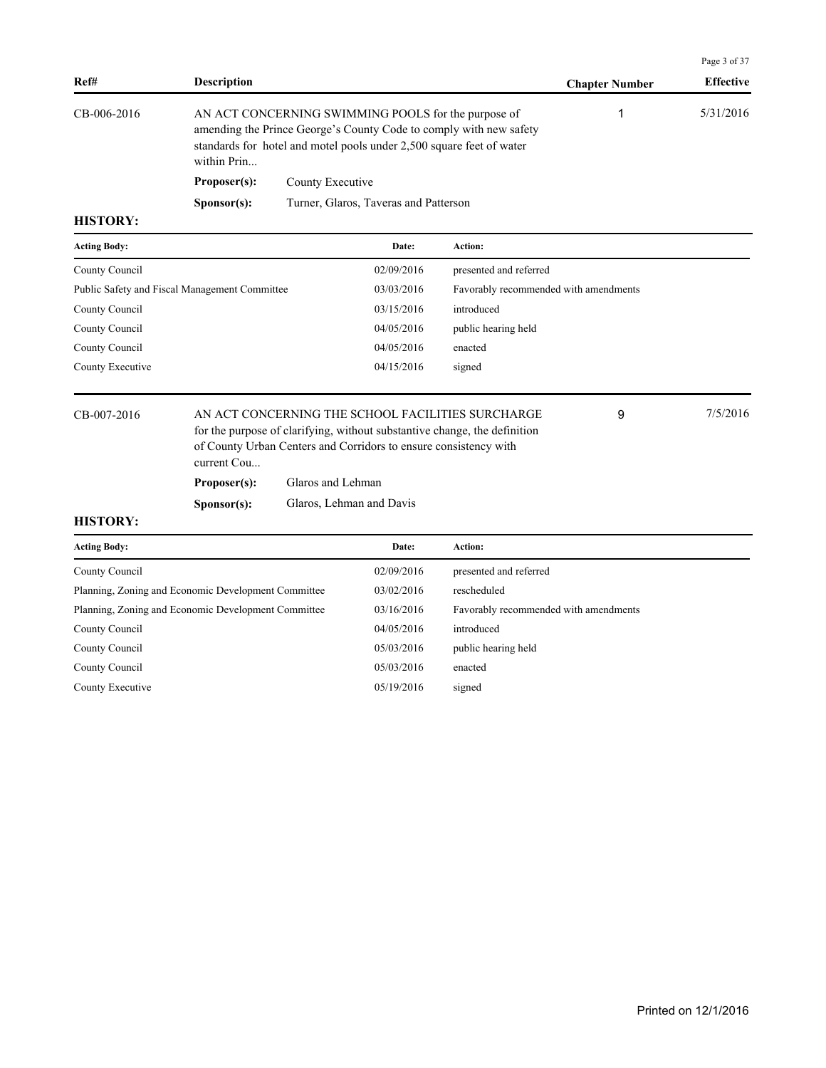|                     |                                                     |                                                                                                                                                                                                    |                                       |                       | Page 3 of 37     |
|---------------------|-----------------------------------------------------|----------------------------------------------------------------------------------------------------------------------------------------------------------------------------------------------------|---------------------------------------|-----------------------|------------------|
| Ref#                | <b>Description</b>                                  |                                                                                                                                                                                                    |                                       | <b>Chapter Number</b> | <b>Effective</b> |
| CB-006-2016         | within Prin                                         | AN ACT CONCERNING SWIMMING POOLS for the purpose of<br>amending the Prince George's County Code to comply with new safety<br>standards for hotel and motel pools under 2,500 square feet of water  |                                       | 1                     | 5/31/2016        |
|                     | Proposer(s):                                        | County Executive                                                                                                                                                                                   |                                       |                       |                  |
|                     | Sponsor(s):                                         | Turner, Glaros, Taveras and Patterson                                                                                                                                                              |                                       |                       |                  |
| <b>HISTORY:</b>     |                                                     |                                                                                                                                                                                                    |                                       |                       |                  |
| <b>Acting Body:</b> |                                                     | Date:                                                                                                                                                                                              | Action:                               |                       |                  |
| County Council      |                                                     | 02/09/2016                                                                                                                                                                                         | presented and referred                |                       |                  |
|                     | Public Safety and Fiscal Management Committee       | 03/03/2016                                                                                                                                                                                         | Favorably recommended with amendments |                       |                  |
| County Council      |                                                     | 03/15/2016                                                                                                                                                                                         | introduced                            |                       |                  |
| County Council      |                                                     | 04/05/2016                                                                                                                                                                                         | public hearing held                   |                       |                  |
| County Council      |                                                     | 04/05/2016                                                                                                                                                                                         | enacted                               |                       |                  |
| County Executive    |                                                     | 04/15/2016                                                                                                                                                                                         | signed                                |                       |                  |
| CB-007-2016         | current Cou                                         | AN ACT CONCERNING THE SCHOOL FACILITIES SURCHARGE<br>for the purpose of clarifying, without substantive change, the definition<br>of County Urban Centers and Corridors to ensure consistency with |                                       | 9                     | 7/5/2016         |
|                     | Proposer(s):                                        | Glaros and Lehman                                                                                                                                                                                  |                                       |                       |                  |
|                     | Sponsor(s):                                         | Glaros, Lehman and Davis                                                                                                                                                                           |                                       |                       |                  |
| <b>HISTORY:</b>     |                                                     |                                                                                                                                                                                                    |                                       |                       |                  |
| <b>Acting Body:</b> |                                                     | Date:                                                                                                                                                                                              | Action:                               |                       |                  |
| County Council      |                                                     | 02/09/2016                                                                                                                                                                                         | presented and referred                |                       |                  |
|                     | Planning, Zoning and Economic Development Committee | 03/02/2016                                                                                                                                                                                         | rescheduled                           |                       |                  |
|                     | Planning, Zoning and Economic Development Committee | 03/16/2016                                                                                                                                                                                         | Favorably recommended with amendments |                       |                  |
| County Council      |                                                     | 04/05/2016                                                                                                                                                                                         | introduced                            |                       |                  |
| County Council      |                                                     | 05/03/2016                                                                                                                                                                                         | public hearing held                   |                       |                  |
| County Council      |                                                     | 05/03/2016                                                                                                                                                                                         | enacted                               |                       |                  |
| County Executive    |                                                     | 05/19/2016                                                                                                                                                                                         | signed                                |                       |                  |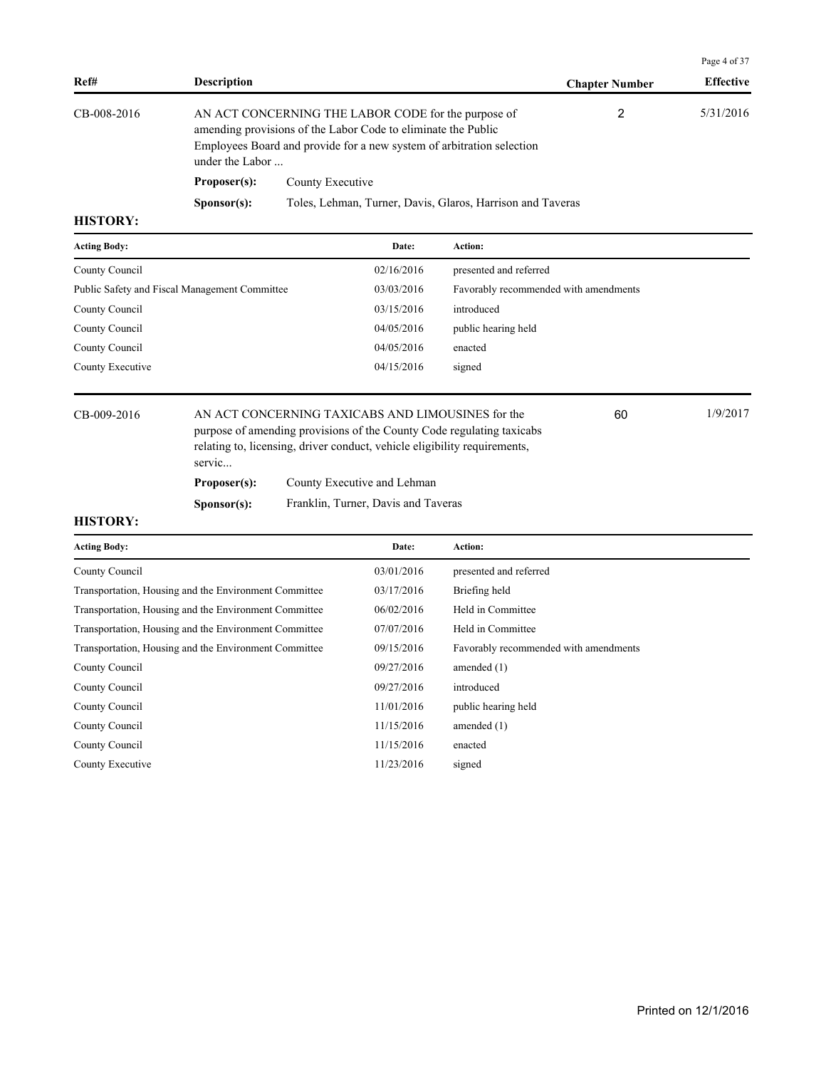| Ref#            | <b>Description</b>   |                                                                                                                                                                                               | <b>Chapter Number</b> | <b>Effective</b> |
|-----------------|----------------------|-----------------------------------------------------------------------------------------------------------------------------------------------------------------------------------------------|-----------------------|------------------|
| CB-008-2016     | under the Labor      | AN ACT CONCERNING THE LABOR CODE for the purpose of<br>amending provisions of the Labor Code to eliminate the Public<br>Employees Board and provide for a new system of arbitration selection | 2                     | 5/31/2016        |
|                 | Proposer(s):         | County Executive                                                                                                                                                                              |                       |                  |
|                 | S <b>p</b> onsor(s): | Toles, Lehman, Turner, Davis, Glaros, Harrison and Taveras                                                                                                                                    |                       |                  |
| <b>HISTORY:</b> |                      |                                                                                                                                                                                               |                       |                  |

| <b>Acting Body:</b>                           | Date:      | Action:                               |
|-----------------------------------------------|------------|---------------------------------------|
| County Council                                | 02/16/2016 | presented and referred                |
| Public Safety and Fiscal Management Committee | 03/03/2016 | Favorably recommended with amendments |
| County Council                                | 03/15/2016 | introduced                            |
| County Council                                | 04/05/2016 | public hearing held                   |
| County Council                                | 04/05/2016 | enacted                               |
| County Executive                              | 04/15/2016 | signed                                |
|                                               |            |                                       |

CB-009-2016 AN ACT CONCERNING TAXICABS AND LIMOUSINES for the 60 60 1/9/2017 purpose of amending provisions of the County Code regulating taxicabs relating to, licensing, driver conduct, vehicle eligibility requirements, servic...

**Proposer(s):** County Executive and Lehman

**Sponsor(s):** Franklin, Turner, Davis and Taveras

### **HISTORY:**

| <b>Acting Body:</b>                                   | Date:      | Action:                               |
|-------------------------------------------------------|------------|---------------------------------------|
| County Council                                        | 03/01/2016 | presented and referred                |
| Transportation, Housing and the Environment Committee | 03/17/2016 | Briefing held                         |
| Transportation, Housing and the Environment Committee | 06/02/2016 | Held in Committee                     |
| Transportation, Housing and the Environment Committee | 07/07/2016 | Held in Committee                     |
| Transportation, Housing and the Environment Committee | 09/15/2016 | Favorably recommended with amendments |
| County Council                                        | 09/27/2016 | amended $(1)$                         |
| County Council                                        | 09/27/2016 | introduced                            |
| County Council                                        | 11/01/2016 | public hearing held                   |
| County Council                                        | 11/15/2016 | amended $(1)$                         |
| County Council                                        | 11/15/2016 | enacted                               |
| County Executive                                      | 11/23/2016 | signed                                |

Page 4 of 37

60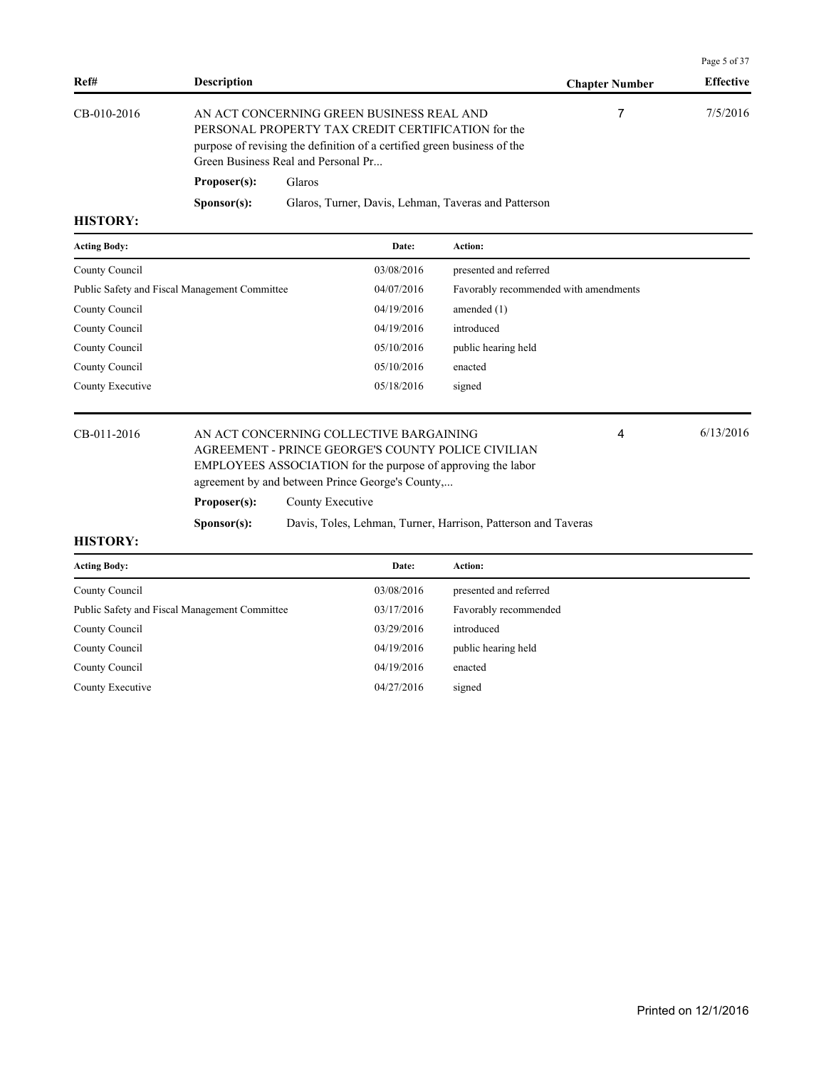|               |                      |                                                                                                                                                                                                                   |                       | Page 5 of 37     |
|---------------|----------------------|-------------------------------------------------------------------------------------------------------------------------------------------------------------------------------------------------------------------|-----------------------|------------------|
| Ref#          | <b>Description</b>   |                                                                                                                                                                                                                   | <b>Chapter Number</b> | <b>Effective</b> |
| $CB-010-2016$ |                      | AN ACT CONCERNING GREEN BUSINESS REAL AND<br>PERSONAL PROPERTY TAX CREDIT CERTIFICATION for the<br>purpose of revising the definition of a certified green business of the<br>Green Business Real and Personal Pr |                       | 7/5/2016         |
|               | Proposer(s):         | Glaros                                                                                                                                                                                                            |                       |                  |
|               | S <b>p</b> onsor(s): | Glaros, Turner, Davis, Lehman, Taveras and Patterson                                                                                                                                                              |                       |                  |
| иктору.       |                      |                                                                                                                                                                                                                   |                       |                  |

| <b>Acting Body:</b>                           | Date:      | <b>Action:</b>                        |
|-----------------------------------------------|------------|---------------------------------------|
| County Council                                | 03/08/2016 | presented and referred                |
| Public Safety and Fiscal Management Committee | 04/07/2016 | Favorably recommended with amendments |
| County Council                                | 04/19/2016 | amended $(1)$                         |
| County Council                                | 04/19/2016 | introduced                            |
| County Council                                | 05/10/2016 | public hearing held                   |
| County Council                                | 05/10/2016 | enacted                               |
| County Executive                              | 05/18/2016 | signed                                |
|                                               |            |                                       |

## CB-011-2016 AN ACT CONCERNING COLLECTIVE BARGAINING 4 6/13/2016 AGREEMENT - PRINCE GEORGE'S COUNTY POLICE CIVILIAN EMPLOYEES ASSOCIATION for the purpose of approving the labor agreement by and between Prince George's County,...

| Proposer(s): |  | County Executive |  |  |
|--------------|--|------------------|--|--|
|              |  |                  |  |  |

**Sponsor(s):** Davis, Toles, Lehman, Turner, Harrison, Patterson and Taveras

#### **HISTORY:**

| <b>Acting Body:</b>                           | Date:      | <b>Action:</b>         |
|-----------------------------------------------|------------|------------------------|
| County Council                                | 03/08/2016 | presented and referred |
| Public Safety and Fiscal Management Committee | 03/17/2016 | Favorably recommended  |
| County Council                                | 03/29/2016 | introduced             |
| County Council                                | 04/19/2016 | public hearing held    |
| County Council                                | 04/19/2016 | enacted                |
| County Executive                              | 04/27/2016 | signed                 |

4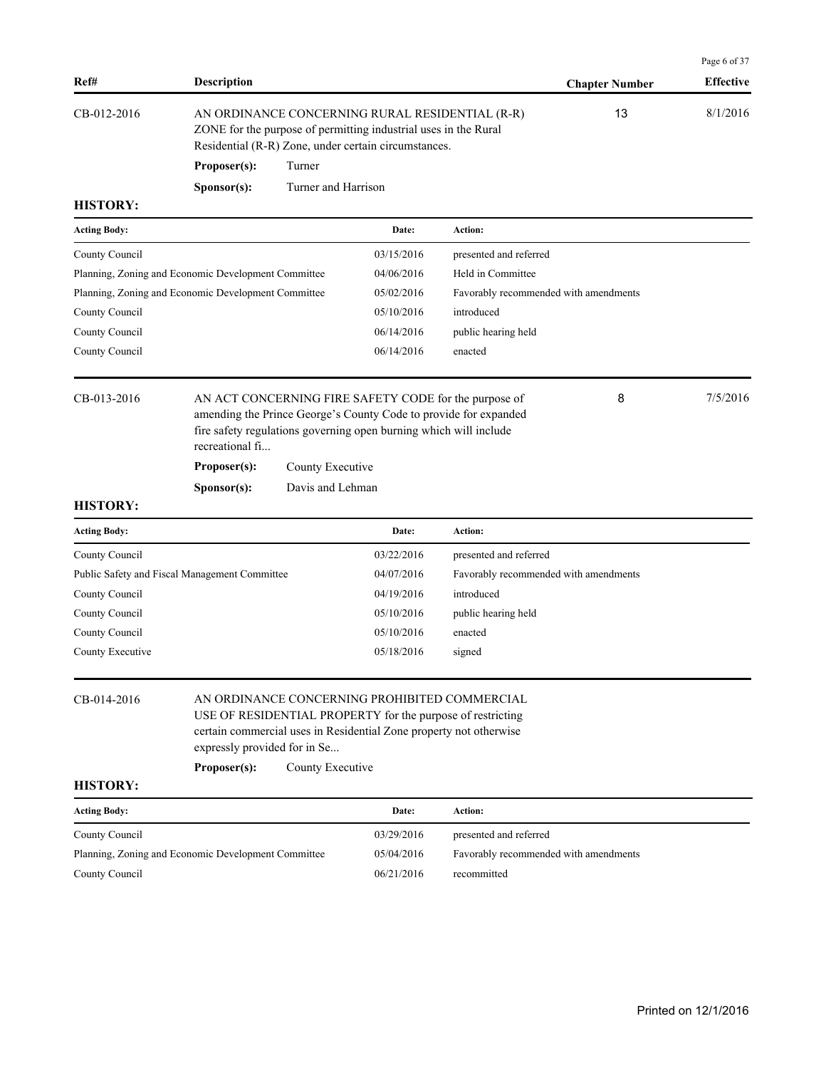|                     |                                                     |                     |                                                                                                                                                                            |                                                                  |                       | Page 6 of 37     |
|---------------------|-----------------------------------------------------|---------------------|----------------------------------------------------------------------------------------------------------------------------------------------------------------------------|------------------------------------------------------------------|-----------------------|------------------|
| Ref#                | <b>Description</b>                                  |                     |                                                                                                                                                                            |                                                                  | <b>Chapter Number</b> | <b>Effective</b> |
| CB-012-2016         |                                                     |                     | AN ORDINANCE CONCERNING RURAL RESIDENTIAL (R-R)<br>ZONE for the purpose of permitting industrial uses in the Rural<br>Residential (R-R) Zone, under certain circumstances. |                                                                  | 13                    | 8/1/2016         |
|                     | Proposer(s):                                        | Turner              |                                                                                                                                                                            |                                                                  |                       |                  |
|                     | S <b>p</b> onsor(s):                                | Turner and Harrison |                                                                                                                                                                            |                                                                  |                       |                  |
| <b>HISTORY:</b>     |                                                     |                     |                                                                                                                                                                            |                                                                  |                       |                  |
| <b>Acting Body:</b> |                                                     |                     | Date:                                                                                                                                                                      | Action:                                                          |                       |                  |
| County Council      |                                                     |                     | 03/15/2016                                                                                                                                                                 | presented and referred                                           |                       |                  |
|                     | Planning, Zoning and Economic Development Committee |                     | 04/06/2016                                                                                                                                                                 | Held in Committee                                                |                       |                  |
|                     | Planning, Zoning and Economic Development Committee |                     | 05/02/2016                                                                                                                                                                 | Favorably recommended with amendments                            |                       |                  |
| County Council      |                                                     |                     | 05/10/2016                                                                                                                                                                 | introduced                                                       |                       |                  |
| County Council      |                                                     |                     | 06/14/2016                                                                                                                                                                 | public hearing held                                              |                       |                  |
| County Council      |                                                     |                     | 06/14/2016                                                                                                                                                                 | enacted                                                          |                       |                  |
| CB-013-2016         | recreational fi<br>Proposer(s):                     | County Executive    | AN ACT CONCERNING FIRE SAFETY CODE for the purpose of<br>fire safety regulations governing open burning which will include                                                 | amending the Prince George's County Code to provide for expanded | 8                     | 7/5/2016         |
|                     | S <b>p</b> onsor(s):                                | Davis and Lehman    |                                                                                                                                                                            |                                                                  |                       |                  |
| <b>HISTORY:</b>     |                                                     |                     |                                                                                                                                                                            |                                                                  |                       |                  |
| <b>Acting Body:</b> |                                                     |                     | Date:                                                                                                                                                                      | Action:                                                          |                       |                  |
| County Council      |                                                     |                     | 03/22/2016                                                                                                                                                                 | presented and referred                                           |                       |                  |
|                     | Public Safety and Fiscal Management Committee       |                     | 04/07/2016                                                                                                                                                                 | Favorably recommended with amendments                            |                       |                  |
| County Council      |                                                     |                     | 04/19/2016                                                                                                                                                                 | introduced                                                       |                       |                  |
| County Council      |                                                     |                     | 05/10/2016                                                                                                                                                                 | public hearing held                                              |                       |                  |
| County Council      |                                                     |                     | 05/10/2016                                                                                                                                                                 | enacted                                                          |                       |                  |
| County Executive    |                                                     |                     | 05/18/2016                                                                                                                                                                 | signed                                                           |                       |                  |
| CB-014-2016         | expressly provided for in Se                        |                     | USE OF RESIDENTIAL PROPERTY for the purpose of restricting<br>certain commercial uses in Residential Zone property not otherwise                                           | AN ORDINANCE CONCERNING PROHIBITED COMMERCIAL                    |                       |                  |

| <b>Acting Body:</b>                                 | Date:      | Action:                               |
|-----------------------------------------------------|------------|---------------------------------------|
| County Council                                      | 03/29/2016 | presented and referred                |
| Planning, Zoning and Economic Development Committee | 05/04/2016 | Favorably recommended with amendments |
| County Council                                      | 06/21/2016 | recommitted                           |

**Proposer(s):** County Executive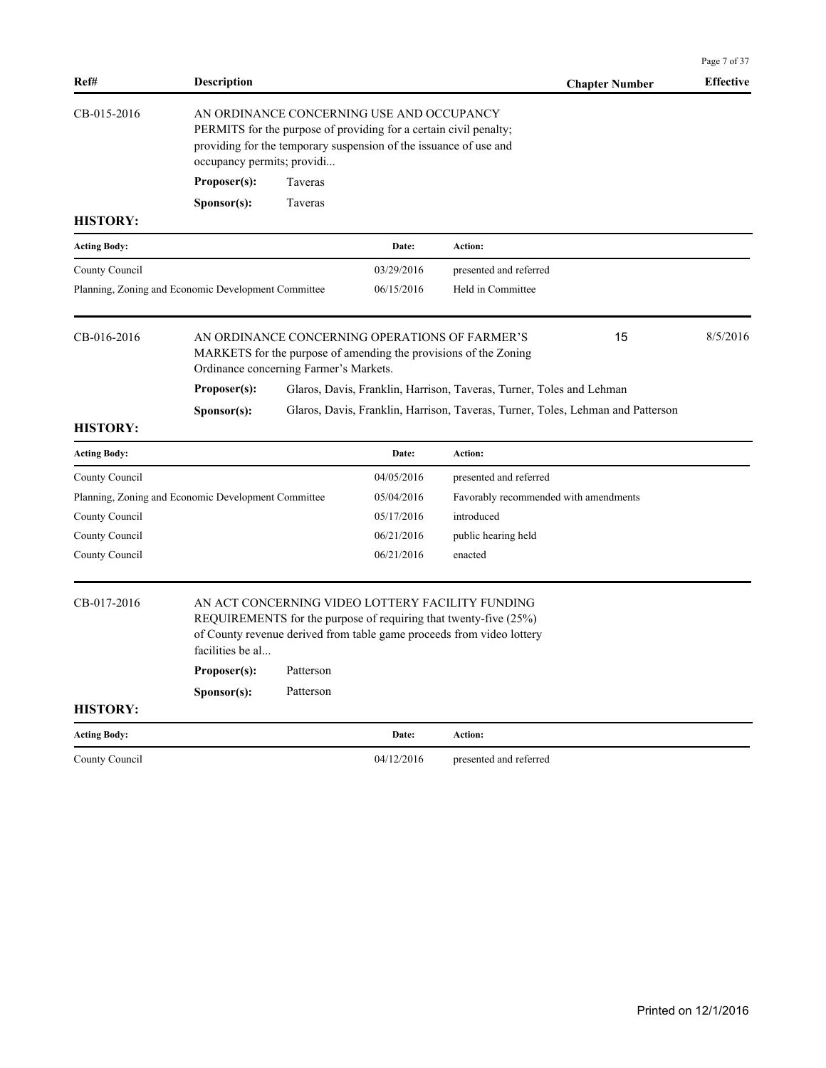|                                                     |                                                                    |                    |                                                                                                                                                                                     |                                                                                                                                                                                               |                       | Page 7 of 37     |
|-----------------------------------------------------|--------------------------------------------------------------------|--------------------|-------------------------------------------------------------------------------------------------------------------------------------------------------------------------------------|-----------------------------------------------------------------------------------------------------------------------------------------------------------------------------------------------|-----------------------|------------------|
| Ref#                                                | <b>Description</b>                                                 |                    |                                                                                                                                                                                     |                                                                                                                                                                                               | <b>Chapter Number</b> | <b>Effective</b> |
| CB-015-2016                                         | occupancy permits; providi<br>Proposer(s):<br>S <b>p</b> onsor(s): | Taveras<br>Taveras | AN ORDINANCE CONCERNING USE AND OCCUPANCY<br>PERMITS for the purpose of providing for a certain civil penalty;<br>providing for the temporary suspension of the issuance of use and |                                                                                                                                                                                               |                       |                  |
| <b>HISTORY:</b>                                     |                                                                    |                    |                                                                                                                                                                                     |                                                                                                                                                                                               |                       |                  |
| <b>Acting Body:</b>                                 |                                                                    |                    | Date:                                                                                                                                                                               | Action:                                                                                                                                                                                       |                       |                  |
| County Council                                      |                                                                    |                    | 03/29/2016                                                                                                                                                                          | presented and referred                                                                                                                                                                        |                       |                  |
| Planning, Zoning and Economic Development Committee |                                                                    |                    | 06/15/2016                                                                                                                                                                          | Held in Committee                                                                                                                                                                             |                       |                  |
| CB-016-2016                                         | Ordinance concerning Farmer's Markets.<br>Proposer(s):             |                    | AN ORDINANCE CONCERNING OPERATIONS OF FARMER'S                                                                                                                                      | MARKETS for the purpose of amending the provisions of the Zoning<br>Glaros, Davis, Franklin, Harrison, Taveras, Turner, Toles and Lehman                                                      | 15                    | 8/5/2016         |
|                                                     | Sponsor(s):                                                        |                    |                                                                                                                                                                                     | Glaros, Davis, Franklin, Harrison, Taveras, Turner, Toles, Lehman and Patterson                                                                                                               |                       |                  |
| <b>HISTORY:</b>                                     |                                                                    |                    |                                                                                                                                                                                     |                                                                                                                                                                                               |                       |                  |
| <b>Acting Body:</b>                                 |                                                                    |                    | Date:                                                                                                                                                                               | Action:                                                                                                                                                                                       |                       |                  |
| County Council                                      |                                                                    |                    | 04/05/2016                                                                                                                                                                          | presented and referred                                                                                                                                                                        |                       |                  |
| Planning, Zoning and Economic Development Committee |                                                                    |                    | 05/04/2016                                                                                                                                                                          | Favorably recommended with amendments                                                                                                                                                         |                       |                  |
| County Council                                      |                                                                    |                    | 05/17/2016                                                                                                                                                                          | introduced                                                                                                                                                                                    |                       |                  |
| County Council                                      |                                                                    |                    | 06/21/2016                                                                                                                                                                          | public hearing held                                                                                                                                                                           |                       |                  |
| County Council                                      |                                                                    |                    | 06/21/2016                                                                                                                                                                          | enacted                                                                                                                                                                                       |                       |                  |
| CB-017-2016                                         | facilities be al                                                   |                    |                                                                                                                                                                                     | AN ACT CONCERNING VIDEO LOTTERY FACILITY FUNDING<br>REQUIREMENTS for the purpose of requiring that twenty-five (25%)<br>of County revenue derived from table game proceeds from video lottery |                       |                  |
|                                                     | Proposer(s):                                                       | Patterson          |                                                                                                                                                                                     |                                                                                                                                                                                               |                       |                  |
|                                                     | Sponsor(s):                                                        | Patterson          |                                                                                                                                                                                     |                                                                                                                                                                                               |                       |                  |
| <b>HISTORY:</b>                                     |                                                                    |                    |                                                                                                                                                                                     |                                                                                                                                                                                               |                       |                  |
| <b>Acting Body:</b>                                 |                                                                    |                    | Date:                                                                                                                                                                               | Action:                                                                                                                                                                                       |                       |                  |
| County Council                                      |                                                                    |                    | 04/12/2016                                                                                                                                                                          | presented and referred                                                                                                                                                                        |                       |                  |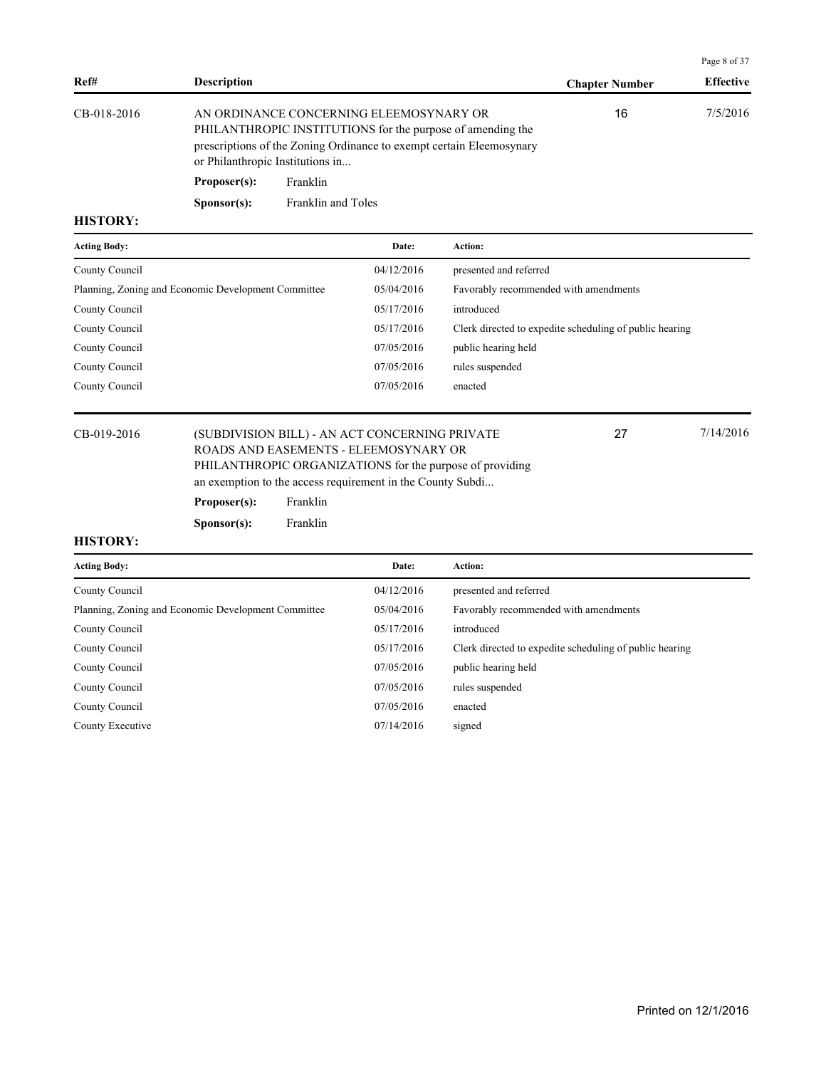|             |                                  |                                                                                                                                                                               |                       | Page 8 of 37     |
|-------------|----------------------------------|-------------------------------------------------------------------------------------------------------------------------------------------------------------------------------|-----------------------|------------------|
| Ref#        | <b>Description</b>               |                                                                                                                                                                               | <b>Chapter Number</b> | <b>Effective</b> |
| CB-018-2016 | or Philanthropic Institutions in | AN ORDINANCE CONCERNING ELEEMOSYNARY OR<br>PHILANTHROPIC INSTITUTIONS for the purpose of amending the<br>prescriptions of the Zoning Ordinance to exempt certain Eleemosynary | 16                    | 7/5/2016         |
|             | Proposer(s):                     | Franklin                                                                                                                                                                      |                       |                  |
|             | S <b>p</b> onsor(s):             | Franklin and Toles                                                                                                                                                            |                       |                  |

| <b>Acting Body:</b>                                 | Date:      | <b>Action:</b>                                          |
|-----------------------------------------------------|------------|---------------------------------------------------------|
| County Council                                      | 04/12/2016 | presented and referred                                  |
| Planning, Zoning and Economic Development Committee | 05/04/2016 | Favorably recommended with amendments                   |
| County Council                                      | 05/17/2016 | introduced                                              |
| County Council                                      | 05/17/2016 | Clerk directed to expedite scheduling of public hearing |
| County Council                                      | 07/05/2016 | public hearing held                                     |
| County Council                                      | 07/05/2016 | rules suspended                                         |
| County Council                                      | 07/05/2016 | enacted                                                 |
|                                                     |            |                                                         |

## CB-019-2016 (SUBDIVISION BILL) - AN ACT CONCERNING PRIVATE 27 7/14/2016 ROADS AND EASEMENTS - ELEEMOSYNARY OR PHILANTHROPIC ORGANIZATIONS for the purpose of providing an exemption to the access requirement in the County Subdi...

27

# **Proposer(s):** Franklin

**Sponsor(s):** Franklin

| <b>Acting Body:</b>                                 | Date:      | <b>Action:</b>                                          |
|-----------------------------------------------------|------------|---------------------------------------------------------|
| County Council                                      | 04/12/2016 | presented and referred                                  |
| Planning, Zoning and Economic Development Committee | 05/04/2016 | Favorably recommended with amendments                   |
| County Council                                      | 05/17/2016 | introduced                                              |
| County Council                                      | 05/17/2016 | Clerk directed to expedite scheduling of public hearing |
| County Council                                      | 07/05/2016 | public hearing held                                     |
| County Council                                      | 07/05/2016 | rules suspended                                         |
| County Council                                      | 07/05/2016 | enacted                                                 |
| County Executive                                    | 07/14/2016 | signed                                                  |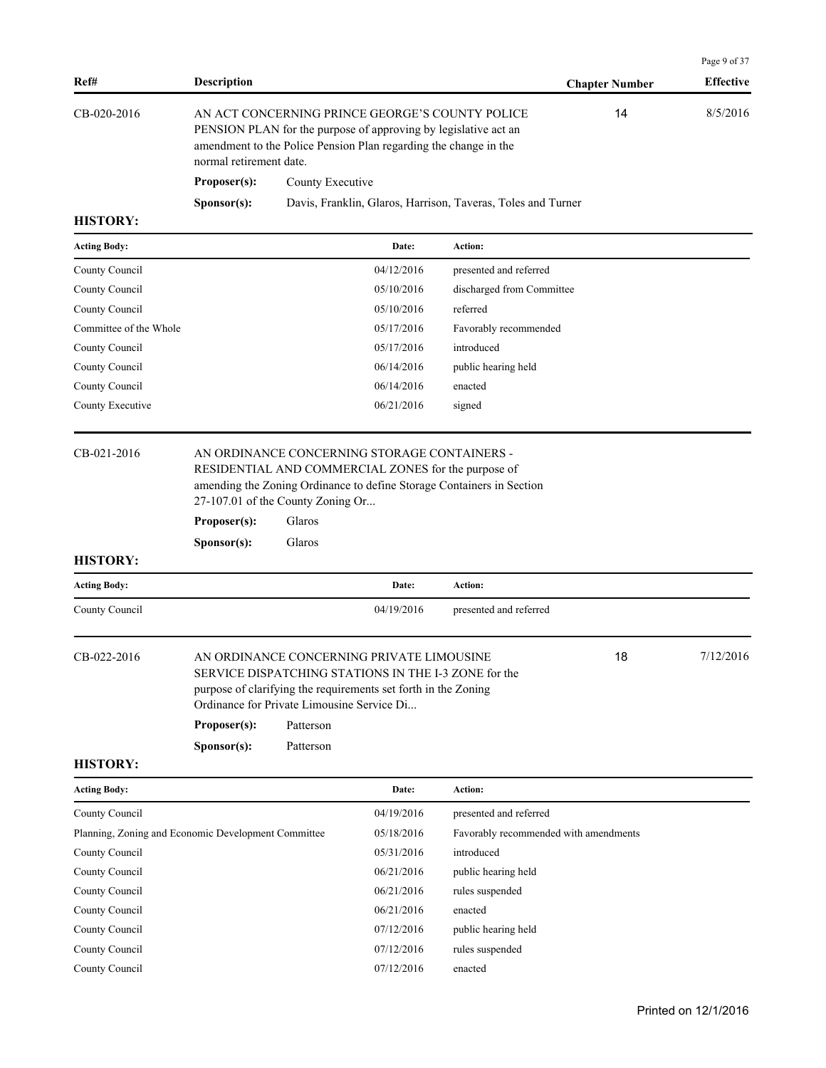| Ref#                                                | Description                                                                                                                                                                                                       |                                                                      |                                                                                                                                                                     |                                                                       |                       | Page 9 of 37<br><b>Effective</b> |
|-----------------------------------------------------|-------------------------------------------------------------------------------------------------------------------------------------------------------------------------------------------------------------------|----------------------------------------------------------------------|---------------------------------------------------------------------------------------------------------------------------------------------------------------------|-----------------------------------------------------------------------|-----------------------|----------------------------------|
|                                                     |                                                                                                                                                                                                                   |                                                                      |                                                                                                                                                                     |                                                                       | <b>Chapter Number</b> |                                  |
| CB-020-2016                                         | AN ACT CONCERNING PRINCE GEORGE'S COUNTY POLICE<br>PENSION PLAN for the purpose of approving by legislative act an<br>amendment to the Police Pension Plan regarding the change in the<br>normal retirement date. |                                                                      |                                                                                                                                                                     |                                                                       | 14                    | 8/5/2016                         |
|                                                     | Proposer(s):                                                                                                                                                                                                      | County Executive                                                     |                                                                                                                                                                     |                                                                       |                       |                                  |
|                                                     | Sponsor(s):                                                                                                                                                                                                       |                                                                      |                                                                                                                                                                     | Davis, Franklin, Glaros, Harrison, Taveras, Toles and Turner          |                       |                                  |
| <b>HISTORY:</b>                                     |                                                                                                                                                                                                                   |                                                                      |                                                                                                                                                                     |                                                                       |                       |                                  |
| <b>Acting Body:</b>                                 |                                                                                                                                                                                                                   |                                                                      | Date:                                                                                                                                                               | Action:                                                               |                       |                                  |
| County Council                                      |                                                                                                                                                                                                                   |                                                                      | 04/12/2016                                                                                                                                                          | presented and referred                                                |                       |                                  |
| County Council                                      |                                                                                                                                                                                                                   |                                                                      | 05/10/2016                                                                                                                                                          | discharged from Committee                                             |                       |                                  |
| County Council                                      |                                                                                                                                                                                                                   |                                                                      | 05/10/2016                                                                                                                                                          | referred                                                              |                       |                                  |
| Committee of the Whole                              |                                                                                                                                                                                                                   |                                                                      | 05/17/2016                                                                                                                                                          | Favorably recommended                                                 |                       |                                  |
| County Council                                      |                                                                                                                                                                                                                   |                                                                      | 05/17/2016                                                                                                                                                          | introduced                                                            |                       |                                  |
| County Council                                      |                                                                                                                                                                                                                   |                                                                      | 06/14/2016                                                                                                                                                          | public hearing held                                                   |                       |                                  |
| County Council                                      |                                                                                                                                                                                                                   |                                                                      | 06/14/2016                                                                                                                                                          | enacted                                                               |                       |                                  |
| County Executive                                    |                                                                                                                                                                                                                   |                                                                      | 06/21/2016                                                                                                                                                          | signed                                                                |                       |                                  |
| CB-021-2016                                         | Proposer(s):<br>Sponsor(s):                                                                                                                                                                                       | 27-107.01 of the County Zoning Or<br>Glaros<br>Glaros                | AN ORDINANCE CONCERNING STORAGE CONTAINERS -<br>RESIDENTIAL AND COMMERCIAL ZONES for the purpose of                                                                 | amending the Zoning Ordinance to define Storage Containers in Section |                       |                                  |
| <b>HISTORY:</b>                                     |                                                                                                                                                                                                                   |                                                                      |                                                                                                                                                                     |                                                                       |                       |                                  |
| <b>Acting Body:</b>                                 |                                                                                                                                                                                                                   |                                                                      | Date:                                                                                                                                                               | Action:                                                               |                       |                                  |
| County Council                                      |                                                                                                                                                                                                                   |                                                                      | 04/19/2016                                                                                                                                                          | presented and referred                                                |                       |                                  |
| CB-022-2016                                         | Proposer(s):<br>Sponsor(s):                                                                                                                                                                                       | Ordinance for Private Limousine Service Di<br>Patterson<br>Patterson | AN ORDINANCE CONCERNING PRIVATE LIMOUSINE<br>SERVICE DISPATCHING STATIONS IN THE I-3 ZONE for the<br>purpose of clarifying the requirements set forth in the Zoning |                                                                       | 18                    | 7/12/2016                        |
| <b>HISTORY:</b>                                     |                                                                                                                                                                                                                   |                                                                      |                                                                                                                                                                     |                                                                       |                       |                                  |
| <b>Acting Body:</b>                                 |                                                                                                                                                                                                                   |                                                                      | Date:                                                                                                                                                               | Action:                                                               |                       |                                  |
| County Council                                      |                                                                                                                                                                                                                   |                                                                      | 04/19/2016                                                                                                                                                          | presented and referred                                                |                       |                                  |
| Planning, Zoning and Economic Development Committee |                                                                                                                                                                                                                   |                                                                      | 05/18/2016                                                                                                                                                          | Favorably recommended with amendments                                 |                       |                                  |
| County Council                                      |                                                                                                                                                                                                                   |                                                                      | 05/31/2016                                                                                                                                                          | introduced                                                            |                       |                                  |
| County Council                                      |                                                                                                                                                                                                                   |                                                                      | 06/21/2016                                                                                                                                                          | public hearing held                                                   |                       |                                  |
| County Council                                      |                                                                                                                                                                                                                   |                                                                      | 06/21/2016                                                                                                                                                          | rules suspended                                                       |                       |                                  |
| County Council                                      |                                                                                                                                                                                                                   |                                                                      | 06/21/2016                                                                                                                                                          | enacted                                                               |                       |                                  |

County Council 07/12/2016 public hearing held County Council **Council**  $07/12/2016$  rules suspended County Council 07/12/2016 enacted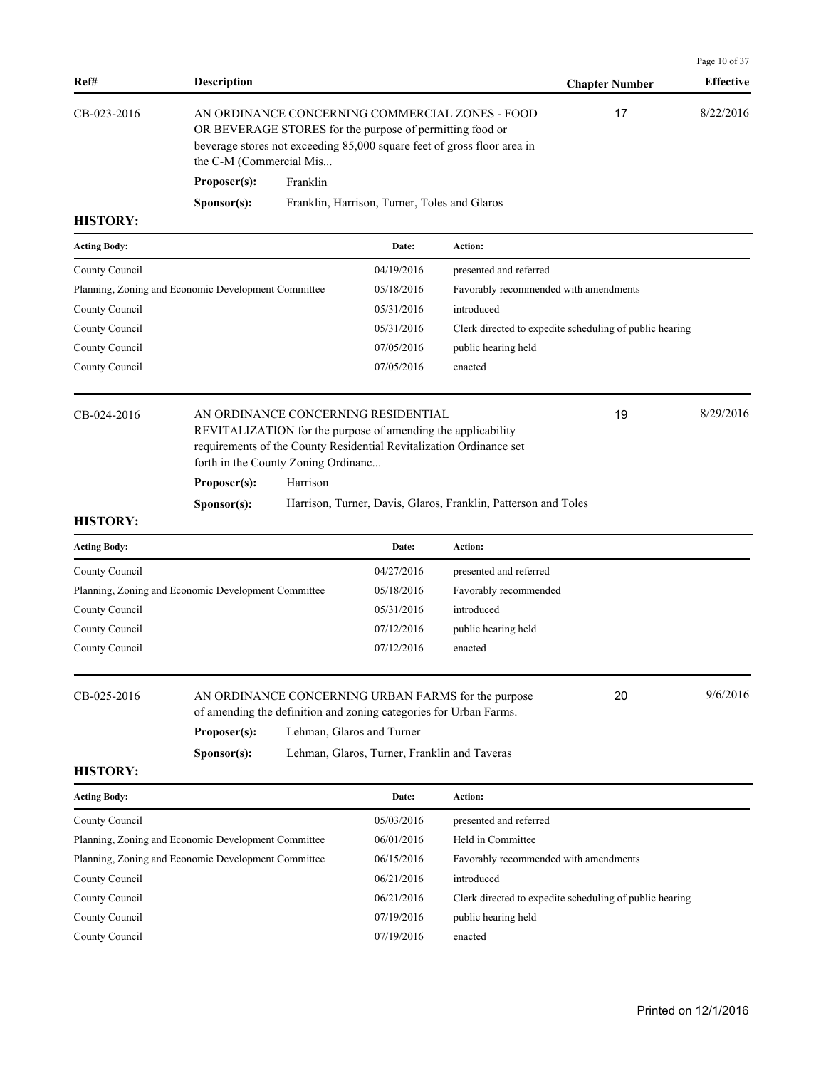| Ref#                | <b>Description</b>                                                                                                                       |                                                                                                                                                                                        |                                                                | <b>Chapter Number</b>                                   | <b>Effective</b> |
|---------------------|------------------------------------------------------------------------------------------------------------------------------------------|----------------------------------------------------------------------------------------------------------------------------------------------------------------------------------------|----------------------------------------------------------------|---------------------------------------------------------|------------------|
| CB-023-2016         | the C-M (Commercial Mis                                                                                                                  | AN ORDINANCE CONCERNING COMMERCIAL ZONES - FOOD<br>OR BEVERAGE STORES for the purpose of permitting food or<br>beverage stores not exceeding 85,000 square feet of gross floor area in |                                                                |                                                         | 8/22/2016        |
|                     | Proposer(s):<br>Franklin                                                                                                                 |                                                                                                                                                                                        |                                                                |                                                         |                  |
|                     | Sponsor(s):                                                                                                                              | Franklin, Harrison, Turner, Toles and Glaros                                                                                                                                           |                                                                |                                                         |                  |
| <b>HISTORY:</b>     |                                                                                                                                          |                                                                                                                                                                                        |                                                                |                                                         |                  |
| <b>Acting Body:</b> |                                                                                                                                          | Date:                                                                                                                                                                                  | Action:                                                        |                                                         |                  |
| County Council      |                                                                                                                                          | 04/19/2016                                                                                                                                                                             | presented and referred                                         |                                                         |                  |
|                     | Planning, Zoning and Economic Development Committee                                                                                      | 05/18/2016                                                                                                                                                                             | Favorably recommended with amendments                          |                                                         |                  |
| County Council      |                                                                                                                                          | 05/31/2016                                                                                                                                                                             | introduced                                                     |                                                         |                  |
| County Council      |                                                                                                                                          | 05/31/2016                                                                                                                                                                             |                                                                | Clerk directed to expedite scheduling of public hearing |                  |
| County Council      |                                                                                                                                          | 07/05/2016                                                                                                                                                                             | public hearing held                                            |                                                         |                  |
| County Council      |                                                                                                                                          | 07/05/2016                                                                                                                                                                             | enacted                                                        |                                                         |                  |
| CB-024-2016         | forth in the County Zoning Ordinanc                                                                                                      | AN ORDINANCE CONCERNING RESIDENTIAL<br>REVITALIZATION for the purpose of amending the applicability<br>requirements of the County Residential Revitalization Ordinance set             |                                                                | 19                                                      | 8/29/2016        |
|                     | Proposer(s):<br>Harrison                                                                                                                 |                                                                                                                                                                                        |                                                                |                                                         |                  |
|                     | Sponsor(s):                                                                                                                              |                                                                                                                                                                                        | Harrison, Turner, Davis, Glaros, Franklin, Patterson and Toles |                                                         |                  |
| <b>HISTORY:</b>     |                                                                                                                                          |                                                                                                                                                                                        |                                                                |                                                         |                  |
| <b>Acting Body:</b> |                                                                                                                                          | Date:                                                                                                                                                                                  | Action:                                                        |                                                         |                  |
| County Council      |                                                                                                                                          | 04/27/2016                                                                                                                                                                             | presented and referred                                         |                                                         |                  |
|                     | Planning, Zoning and Economic Development Committee                                                                                      | 05/18/2016                                                                                                                                                                             | Favorably recommended                                          |                                                         |                  |
| County Council      |                                                                                                                                          | 05/31/2016                                                                                                                                                                             | introduced                                                     |                                                         |                  |
| County Council      |                                                                                                                                          | 07/12/2016                                                                                                                                                                             | public hearing held                                            |                                                         |                  |
| County Council      |                                                                                                                                          | 07/12/2016                                                                                                                                                                             | enacted                                                        |                                                         |                  |
| CB-025-2016         | AN ORDINANCE CONCERNING URBAN FARMS for the purpose<br>of amending the definition and zoning categories for Urban Farms.<br>Proposer(s): | Lehman, Glaros and Turner                                                                                                                                                              |                                                                | 20                                                      | 9/6/2016         |
|                     | Sponsor(s):                                                                                                                              | Lehman, Glaros, Turner, Franklin and Taveras                                                                                                                                           |                                                                |                                                         |                  |
| <b>HISTORY:</b>     |                                                                                                                                          |                                                                                                                                                                                        |                                                                |                                                         |                  |
| <b>Acting Body:</b> |                                                                                                                                          | Date:                                                                                                                                                                                  | Action:                                                        |                                                         |                  |
| County Council      |                                                                                                                                          | 05/03/2016                                                                                                                                                                             | presented and referred                                         |                                                         |                  |
|                     | Planning, Zoning and Economic Development Committee                                                                                      | 06/01/2016                                                                                                                                                                             | Held in Committee                                              |                                                         |                  |
|                     | Planning, Zoning and Economic Development Committee                                                                                      | 06/15/2016                                                                                                                                                                             | Favorably recommended with amendments                          |                                                         |                  |
| County Council      |                                                                                                                                          | 06/21/2016                                                                                                                                                                             | introduced                                                     |                                                         |                  |
| County Council      |                                                                                                                                          | 06/21/2016                                                                                                                                                                             |                                                                | Clerk directed to expedite scheduling of public hearing |                  |
| County Council      |                                                                                                                                          | 07/19/2016                                                                                                                                                                             | public hearing held                                            |                                                         |                  |
| County Council      |                                                                                                                                          | 07/19/2016                                                                                                                                                                             | enacted                                                        |                                                         |                  |

Page 10 of 37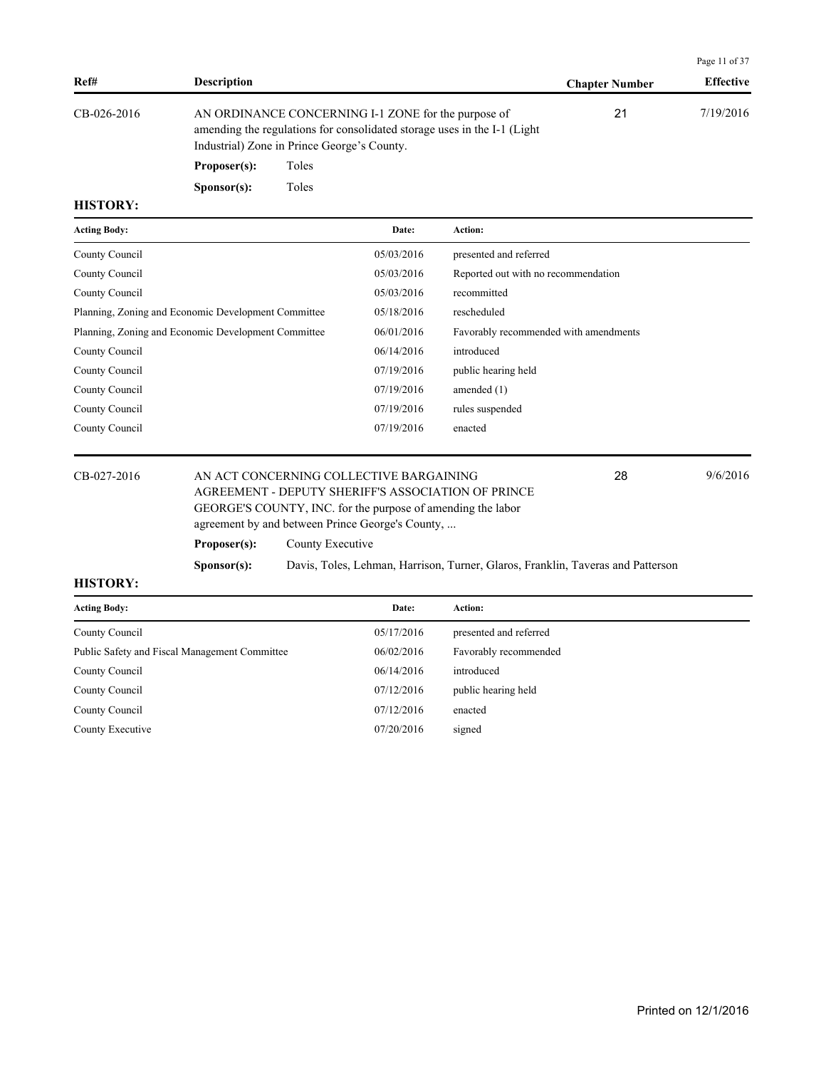|             |                                                                                                                                                                                 |                       | Page 11 of 37    |
|-------------|---------------------------------------------------------------------------------------------------------------------------------------------------------------------------------|-----------------------|------------------|
| Ref#        | <b>Description</b>                                                                                                                                                              | <b>Chapter Number</b> | <b>Effective</b> |
| CB-026-2016 | AN ORDINANCE CONCERNING I-1 ZONE for the purpose of<br>amending the regulations for consolidated storage uses in the I-1 (Light)<br>Industrial) Zone in Prince George's County. | 21                    | 7/19/2016        |

**Proposer(s):** Toles Sponsor(s): Toles

**HISTORY:**

| <b>Acting Body:</b>                                 | Date:      | <b>Action:</b>                        |
|-----------------------------------------------------|------------|---------------------------------------|
| County Council                                      | 05/03/2016 | presented and referred                |
| County Council                                      | 05/03/2016 | Reported out with no recommendation   |
| County Council                                      | 05/03/2016 | recommitted                           |
| Planning, Zoning and Economic Development Committee | 05/18/2016 | rescheduled                           |
| Planning, Zoning and Economic Development Committee | 06/01/2016 | Favorably recommended with amendments |
| County Council                                      | 06/14/2016 | introduced                            |
| County Council                                      | 07/19/2016 | public hearing held                   |
| County Council                                      | 07/19/2016 | amended $(1)$                         |
| County Council                                      | 07/19/2016 | rules suspended                       |
| County Council                                      | 07/19/2016 | enacted                               |
|                                                     |            |                                       |

CB-027-2016 AN ACT CONCERNING COLLECTIVE BARGAINING 28 9/6/2016 AGREEMENT - DEPUTY SHERIFF'S ASSOCIATION OF PRINCE GEORGE'S COUNTY, INC. for the purpose of amending the labor agreement by and between Prince George's County, ... 28 **Proposer(s):** County Executive **Sponsor(s):** Davis, Toles, Lehman, Harrison, Turner, Glaros, Franklin, Taveras and Patterson

| <b>Acting Body:</b>                           | Date:      | Action:                |
|-----------------------------------------------|------------|------------------------|
| County Council                                | 05/17/2016 | presented and referred |
| Public Safety and Fiscal Management Committee | 06/02/2016 | Favorably recommended  |
| County Council                                | 06/14/2016 | introduced             |
| County Council                                | 07/12/2016 | public hearing held    |
| County Council                                | 07/12/2016 | enacted                |
| County Executive                              | 07/20/2016 | signed                 |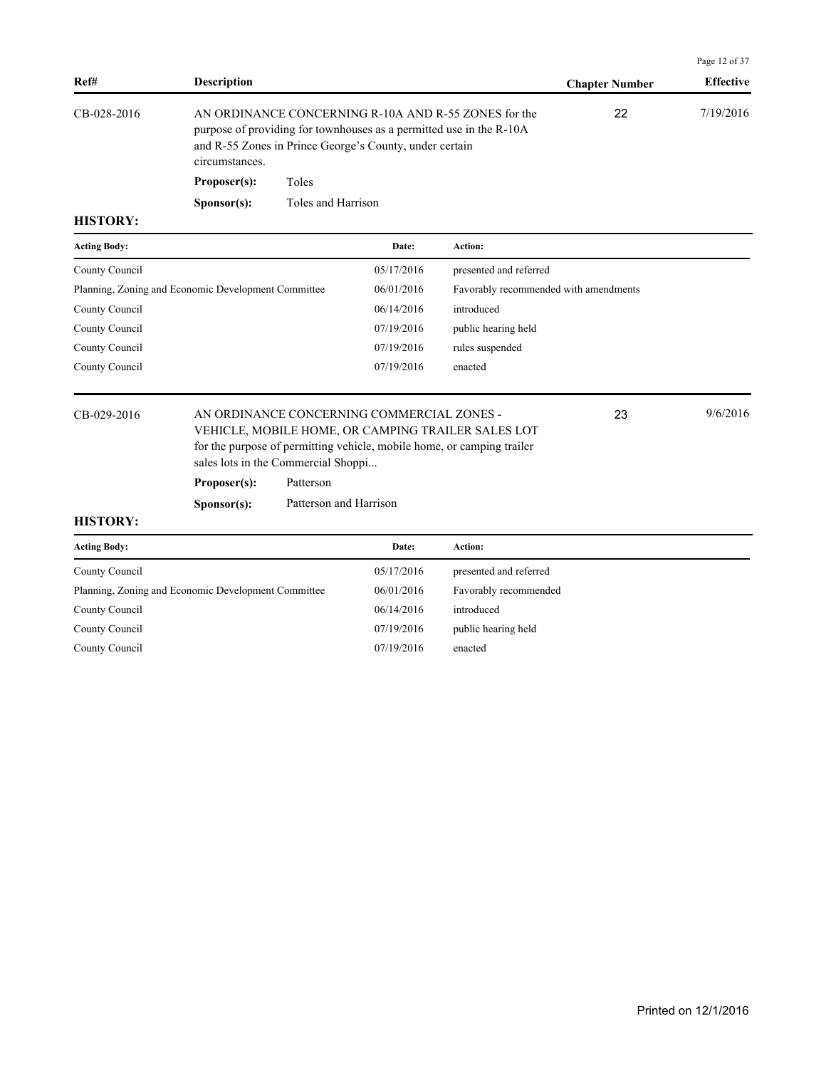| <b>Effective</b> |
|------------------|
| 7/19/2016        |
|                  |
|                  |
|                  |

| <b>Acting Body:</b>                                 | Date:      | <b>Action:</b>                        |
|-----------------------------------------------------|------------|---------------------------------------|
| County Council                                      | 05/17/2016 | presented and referred                |
| Planning, Zoning and Economic Development Committee | 06/01/2016 | Favorably recommended with amendments |
| County Council                                      | 06/14/2016 | introduced                            |
| County Council                                      | 07/19/2016 | public hearing held                   |
| County Council                                      | 07/19/2016 | rules suspended                       |
| County Council                                      | 07/19/2016 | enacted                               |
|                                                     |            |                                       |

### CB-029-2016 AN ORDINANCE CONCERNING COMMERCIAL ZONES - 23 9/6/2016 VEHICLE, MOBILE HOME, OR CAMPING TRAILER SALES LOT for the purpose of permitting vehicle, mobile home, or camping trailer sales lots in the Commercial Shoppi...

**Proposer(s):** Patterson

**Sponsor(s):** Patterson and Harrison

### **HISTORY:**

| <b>Acting Body:</b>                                 | Date:      | Action:                |
|-----------------------------------------------------|------------|------------------------|
| County Council                                      | 05/17/2016 | presented and referred |
| Planning, Zoning and Economic Development Committee | 06/01/2016 | Favorably recommended  |
| County Council                                      | 06/14/2016 | introduced             |
| County Council                                      | 07/19/2016 | public hearing held    |
| County Council                                      | 07/19/2016 | enacted                |

Page 12 of 37

23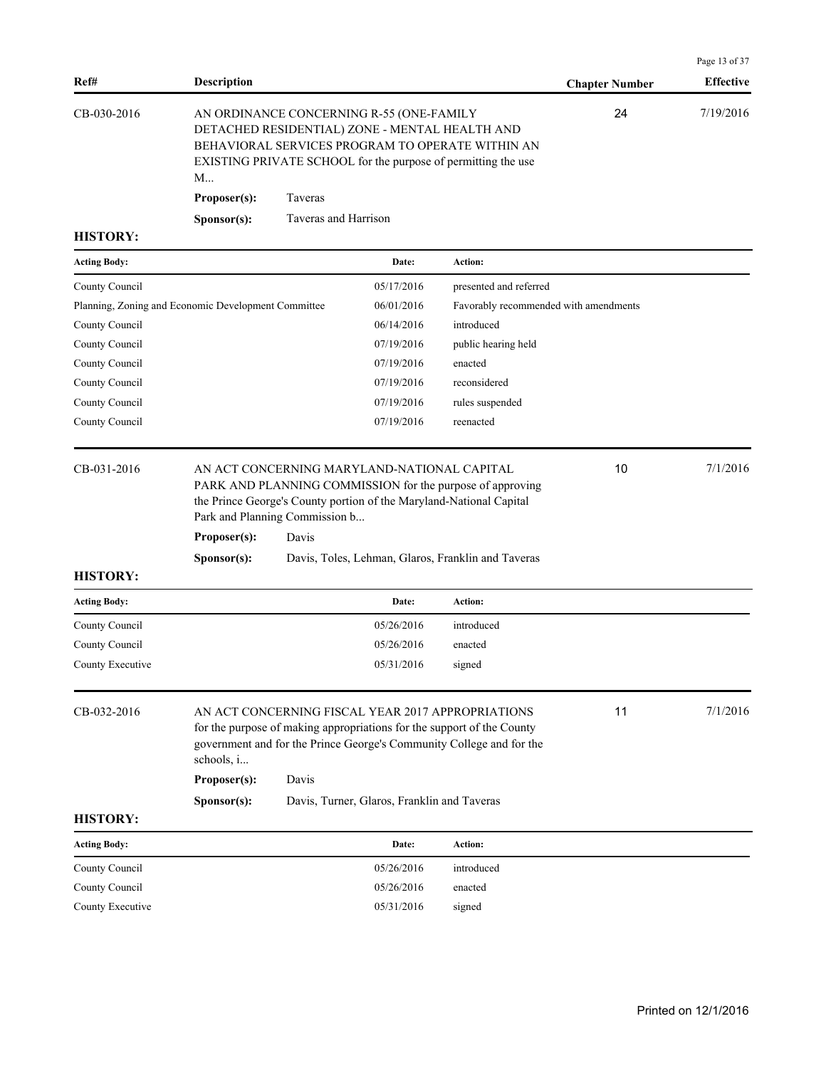| Ref#                | <b>Description</b>                                                                                                                                                                                                                              |                      |                                             |                                                                                                                                  | <b>Chapter Number</b> | Page 13 of 37<br><b>Effective</b> |
|---------------------|-------------------------------------------------------------------------------------------------------------------------------------------------------------------------------------------------------------------------------------------------|----------------------|---------------------------------------------|----------------------------------------------------------------------------------------------------------------------------------|-----------------------|-----------------------------------|
| CB-030-2016         | AN ORDINANCE CONCERNING R-55 (ONE-FAMILY<br>DETACHED RESIDENTIAL) ZONE - MENTAL HEALTH AND<br>BEHAVIORAL SERVICES PROGRAM TO OPERATE WITHIN AN<br>EXISTING PRIVATE SCHOOL for the purpose of permitting the use<br>M<br>Proposer(s):<br>Taveras |                      |                                             |                                                                                                                                  | 24                    | 7/19/2016                         |
| <b>HISTORY:</b>     | Sponsor(s):                                                                                                                                                                                                                                     | Taveras and Harrison |                                             |                                                                                                                                  |                       |                                   |
| <b>Acting Body:</b> |                                                                                                                                                                                                                                                 |                      | Date:                                       | Action:                                                                                                                          |                       |                                   |
| County Council      |                                                                                                                                                                                                                                                 |                      | 05/17/2016                                  | presented and referred                                                                                                           |                       |                                   |
|                     | Planning, Zoning and Economic Development Committee                                                                                                                                                                                             |                      | 06/01/2016                                  | Favorably recommended with amendments                                                                                            |                       |                                   |
| County Council      |                                                                                                                                                                                                                                                 |                      | 06/14/2016                                  | introduced                                                                                                                       |                       |                                   |
| County Council      |                                                                                                                                                                                                                                                 |                      | 07/19/2016                                  | public hearing held                                                                                                              |                       |                                   |
| County Council      |                                                                                                                                                                                                                                                 |                      | 07/19/2016                                  | enacted                                                                                                                          |                       |                                   |
| County Council      |                                                                                                                                                                                                                                                 |                      | 07/19/2016                                  | reconsidered                                                                                                                     |                       |                                   |
| County Council      |                                                                                                                                                                                                                                                 |                      | 07/19/2016                                  | rules suspended                                                                                                                  |                       |                                   |
| County Council      |                                                                                                                                                                                                                                                 |                      | 07/19/2016                                  | reenacted                                                                                                                        |                       |                                   |
| CB-031-2016         | Park and Planning Commission b<br>Proposer(s):                                                                                                                                                                                                  | Davis                | AN ACT CONCERNING MARYLAND-NATIONAL CAPITAL | PARK AND PLANNING COMMISSION for the purpose of approving<br>the Prince George's County portion of the Maryland-National Capital | 10                    | 7/1/2016                          |
| <b>HISTORY:</b>     | Davis, Toles, Lehman, Glaros, Franklin and Taveras<br>Sponsor(s):                                                                                                                                                                               |                      |                                             |                                                                                                                                  |                       |                                   |
| <b>Acting Body:</b> |                                                                                                                                                                                                                                                 |                      | Date:                                       | Action:                                                                                                                          |                       |                                   |
| County Council      |                                                                                                                                                                                                                                                 |                      | 05/26/2016                                  | introduced                                                                                                                       |                       |                                   |
| County Council      |                                                                                                                                                                                                                                                 |                      | 05/26/2016                                  | enacted                                                                                                                          |                       |                                   |
| County Executive    |                                                                                                                                                                                                                                                 |                      | 05/31/2016                                  | signed                                                                                                                           |                       |                                   |
| CB-032-2016         | AN ACT CONCERNING FISCAL YEAR 2017 APPROPRIATIONS<br>for the purpose of making appropriations for the support of the County<br>government and for the Prince George's Community College and for the<br>schools, i                               |                      |                                             |                                                                                                                                  | 11                    | 7/1/2016                          |
|                     | Proposer(s):                                                                                                                                                                                                                                    | Davis                |                                             |                                                                                                                                  |                       |                                   |
|                     | Sponsor(s):                                                                                                                                                                                                                                     |                      | Davis, Turner, Glaros, Franklin and Taveras |                                                                                                                                  |                       |                                   |

| <b>Acting Body:</b> | Date:      | <b>Action:</b> |
|---------------------|------------|----------------|
| County Council      | 05/26/2016 | introduced     |
| County Council      | 05/26/2016 | enacted        |
| County Executive    | 05/31/2016 | signed         |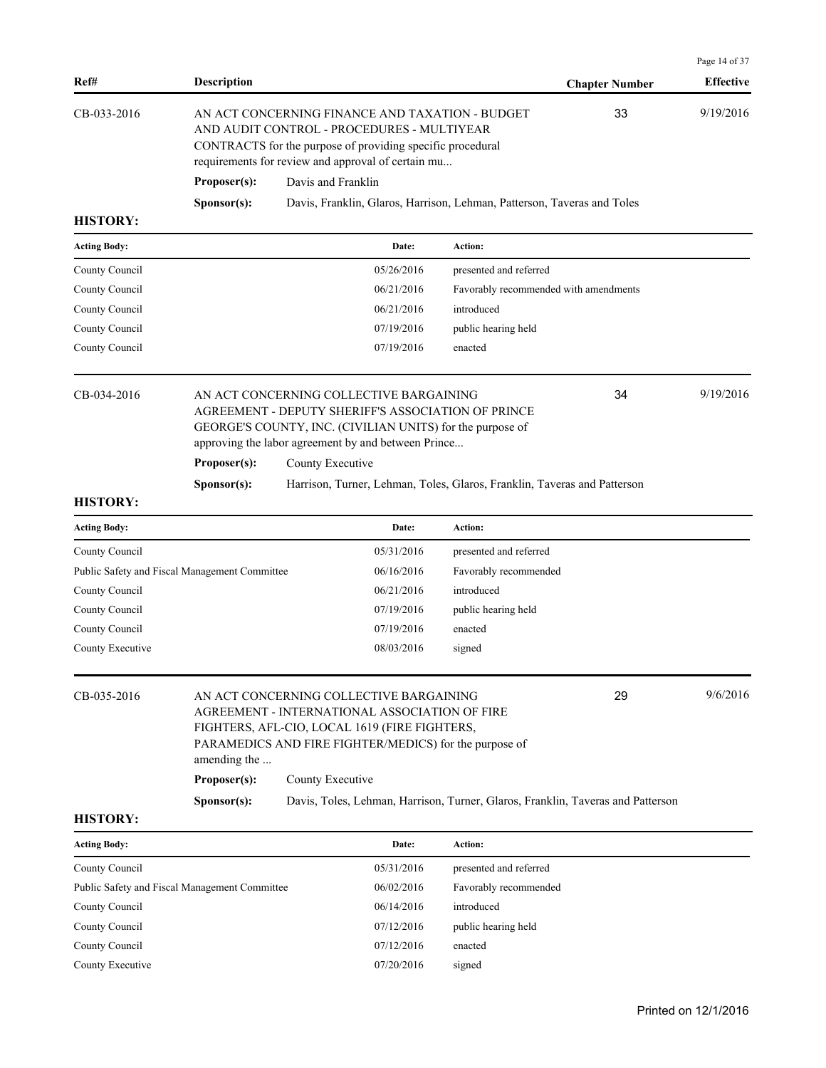| Ref#                                          | <b>Description</b>                                                                                                                                                                                                                                          |                                                                                                                                                                                                                   |            |                                                                                 | <b>Chapter Number</b> | Page 14 of 37<br><b>Effective</b> |
|-----------------------------------------------|-------------------------------------------------------------------------------------------------------------------------------------------------------------------------------------------------------------------------------------------------------------|-------------------------------------------------------------------------------------------------------------------------------------------------------------------------------------------------------------------|------------|---------------------------------------------------------------------------------|-----------------------|-----------------------------------|
| CB-033-2016                                   |                                                                                                                                                                                                                                                             | AN ACT CONCERNING FINANCE AND TAXATION - BUDGET<br>AND AUDIT CONTROL - PROCEDURES - MULTIYEAR<br>CONTRACTS for the purpose of providing specific procedural<br>requirements for review and approval of certain mu | 33         | 9/19/2016                                                                       |                       |                                   |
|                                               | Proposer(s):                                                                                                                                                                                                                                                | Davis and Franklin                                                                                                                                                                                                |            |                                                                                 |                       |                                   |
|                                               | Sponsor(s):                                                                                                                                                                                                                                                 |                                                                                                                                                                                                                   |            | Davis, Franklin, Glaros, Harrison, Lehman, Patterson, Taveras and Toles         |                       |                                   |
| <b>HISTORY:</b>                               |                                                                                                                                                                                                                                                             |                                                                                                                                                                                                                   |            |                                                                                 |                       |                                   |
| <b>Acting Body:</b>                           |                                                                                                                                                                                                                                                             |                                                                                                                                                                                                                   | Date:      | Action:                                                                         |                       |                                   |
| County Council                                |                                                                                                                                                                                                                                                             |                                                                                                                                                                                                                   | 05/26/2016 | presented and referred                                                          |                       |                                   |
| County Council                                |                                                                                                                                                                                                                                                             |                                                                                                                                                                                                                   | 06/21/2016 | Favorably recommended with amendments                                           |                       |                                   |
| County Council                                |                                                                                                                                                                                                                                                             |                                                                                                                                                                                                                   | 06/21/2016 | introduced                                                                      |                       |                                   |
| County Council                                |                                                                                                                                                                                                                                                             |                                                                                                                                                                                                                   | 07/19/2016 | public hearing held                                                             |                       |                                   |
| County Council                                |                                                                                                                                                                                                                                                             |                                                                                                                                                                                                                   | 07/19/2016 | enacted                                                                         |                       |                                   |
| CB-034-2016                                   | AN ACT CONCERNING COLLECTIVE BARGAINING<br>34<br>AGREEMENT - DEPUTY SHERIFF'S ASSOCIATION OF PRINCE<br>GEORGE'S COUNTY, INC. (CIVILIAN UNITS) for the purpose of<br>approving the labor agreement by and between Prince<br>Proposer(s):<br>County Executive |                                                                                                                                                                                                                   |            |                                                                                 | 9/19/2016             |                                   |
| <b>HISTORY:</b>                               | Sponsor(s):                                                                                                                                                                                                                                                 |                                                                                                                                                                                                                   |            | Harrison, Turner, Lehman, Toles, Glaros, Franklin, Taveras and Patterson        |                       |                                   |
| <b>Acting Body:</b>                           |                                                                                                                                                                                                                                                             |                                                                                                                                                                                                                   | Date:      | Action:                                                                         |                       |                                   |
| County Council                                |                                                                                                                                                                                                                                                             |                                                                                                                                                                                                                   | 05/31/2016 | presented and referred                                                          |                       |                                   |
| Public Safety and Fiscal Management Committee |                                                                                                                                                                                                                                                             |                                                                                                                                                                                                                   | 06/16/2016 | Favorably recommended                                                           |                       |                                   |
| County Council                                |                                                                                                                                                                                                                                                             |                                                                                                                                                                                                                   | 06/21/2016 | introduced                                                                      |                       |                                   |
| County Council                                |                                                                                                                                                                                                                                                             |                                                                                                                                                                                                                   | 07/19/2016 | public hearing held                                                             |                       |                                   |
| County Council                                |                                                                                                                                                                                                                                                             |                                                                                                                                                                                                                   | 07/19/2016 | enacted                                                                         |                       |                                   |
| County Executive                              |                                                                                                                                                                                                                                                             |                                                                                                                                                                                                                   | 08/03/2016 | signed                                                                          |                       |                                   |
| CB-035-2016                                   | 29<br>AN ACT CONCERNING COLLECTIVE BARGAINING<br>AGREEMENT - INTERNATIONAL ASSOCIATION OF FIRE<br>FIGHTERS, AFL-CIO, LOCAL 1619 (FIRE FIGHTERS,<br>PARAMEDICS AND FIRE FIGHTER/MEDICS) for the purpose of<br>amending the                                   |                                                                                                                                                                                                                   |            |                                                                                 | 9/6/2016              |                                   |
|                                               | Proposer(s):                                                                                                                                                                                                                                                | County Executive                                                                                                                                                                                                  |            |                                                                                 |                       |                                   |
|                                               | Sponsor(s):                                                                                                                                                                                                                                                 |                                                                                                                                                                                                                   |            | Davis, Toles, Lehman, Harrison, Turner, Glaros, Franklin, Taveras and Patterson |                       |                                   |
| <b>HISTORY:</b>                               |                                                                                                                                                                                                                                                             |                                                                                                                                                                                                                   |            |                                                                                 |                       |                                   |
| <b>Acting Body:</b>                           |                                                                                                                                                                                                                                                             |                                                                                                                                                                                                                   | Date:      | Action:                                                                         |                       |                                   |
| County Council                                |                                                                                                                                                                                                                                                             |                                                                                                                                                                                                                   | 05/31/2016 | presented and referred                                                          |                       |                                   |
| Public Safety and Fiscal Management Committee |                                                                                                                                                                                                                                                             |                                                                                                                                                                                                                   | 06/02/2016 | Eavorably recommended                                                           |                       |                                   |

Public Safety and Fiscal Management Committee 06/02/2016 Favorably recommended County Council 06/14/2016 introduced County Council 07/12/2016 public hearing held County Council 07/12/2016 enacted County Executive 07/20/2016 signed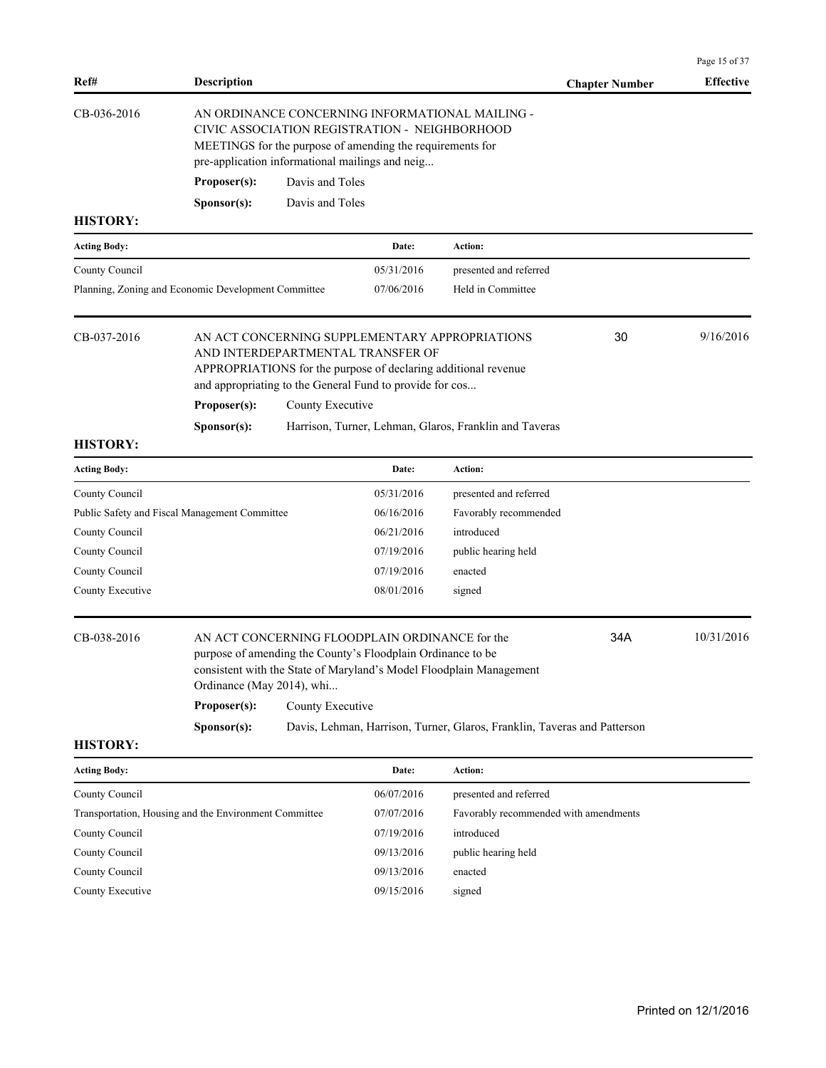|                     |                                                                   |                                                                                                                                                                                                                                     |                                                                                                                                                                 |                                                                                                                                                 |                       | Page 15 of 37    |
|---------------------|-------------------------------------------------------------------|-------------------------------------------------------------------------------------------------------------------------------------------------------------------------------------------------------------------------------------|-----------------------------------------------------------------------------------------------------------------------------------------------------------------|-------------------------------------------------------------------------------------------------------------------------------------------------|-----------------------|------------------|
| Ref#                | <b>Description</b>                                                |                                                                                                                                                                                                                                     |                                                                                                                                                                 |                                                                                                                                                 | <b>Chapter Number</b> | <b>Effective</b> |
| CB-036-2016         | Proposer(s):                                                      | AN ORDINANCE CONCERNING INFORMATIONAL MAILING -<br>CIVIC ASSOCIATION REGISTRATION - NEIGHBORHOOD<br>MEETINGS for the purpose of amending the requirements for<br>pre-application informational mailings and neig<br>Davis and Toles |                                                                                                                                                                 |                                                                                                                                                 |                       |                  |
|                     | Sponsor(s):                                                       | Davis and Toles                                                                                                                                                                                                                     |                                                                                                                                                                 |                                                                                                                                                 |                       |                  |
| <b>HISTORY:</b>     |                                                                   |                                                                                                                                                                                                                                     |                                                                                                                                                                 |                                                                                                                                                 |                       |                  |
| <b>Acting Body:</b> |                                                                   |                                                                                                                                                                                                                                     | Date:                                                                                                                                                           | Action:                                                                                                                                         |                       |                  |
| County Council      |                                                                   |                                                                                                                                                                                                                                     | 05/31/2016                                                                                                                                                      | presented and referred                                                                                                                          |                       |                  |
|                     | Planning, Zoning and Economic Development Committee               |                                                                                                                                                                                                                                     | 07/06/2016                                                                                                                                                      | Held in Committee                                                                                                                               |                       |                  |
| CB-037-2016         | Proposer(s):                                                      | County Executive                                                                                                                                                                                                                    | AND INTERDEPARTMENTAL TRANSFER OF<br>APPROPRIATIONS for the purpose of declaring additional revenue<br>and appropriating to the General Fund to provide for cos | AN ACT CONCERNING SUPPLEMENTARY APPROPRIATIONS                                                                                                  | 30                    | 9/16/2016        |
| <b>HISTORY:</b>     | Sponsor(s):                                                       |                                                                                                                                                                                                                                     |                                                                                                                                                                 | Harrison, Turner, Lehman, Glaros, Franklin and Taveras                                                                                          |                       |                  |
| <b>Acting Body:</b> |                                                                   |                                                                                                                                                                                                                                     | Date:                                                                                                                                                           | Action:                                                                                                                                         |                       |                  |
| County Council      |                                                                   |                                                                                                                                                                                                                                     | 05/31/2016                                                                                                                                                      | presented and referred                                                                                                                          |                       |                  |
|                     | Public Safety and Fiscal Management Committee                     |                                                                                                                                                                                                                                     | 06/16/2016                                                                                                                                                      | Favorably recommended                                                                                                                           |                       |                  |
| County Council      |                                                                   |                                                                                                                                                                                                                                     | 06/21/2016                                                                                                                                                      | introduced                                                                                                                                      |                       |                  |
| County Council      |                                                                   |                                                                                                                                                                                                                                     | 07/19/2016                                                                                                                                                      | public hearing held                                                                                                                             |                       |                  |
| County Council      |                                                                   |                                                                                                                                                                                                                                     | 07/19/2016                                                                                                                                                      | enacted                                                                                                                                         |                       |                  |
| County Executive    |                                                                   |                                                                                                                                                                                                                                     | 08/01/2016                                                                                                                                                      | signed                                                                                                                                          |                       |                  |
| CB-038-2016         | Ordinance (May 2014), whi<br>Proposer(s):<br>S <b>p</b> onsor(s): | County Executive                                                                                                                                                                                                                    | AN ACT CONCERNING FLOODPLAIN ORDINANCE for the<br>purpose of amending the County's Floodplain Ordinance to be                                                   | consistent with the State of Maryland's Model Floodplain Management<br>Davis, Lehman, Harrison, Turner, Glaros, Franklin, Taveras and Patterson | 34A                   | 10/31/2016       |
| <b>HISTORY:</b>     |                                                                   |                                                                                                                                                                                                                                     |                                                                                                                                                                 |                                                                                                                                                 |                       |                  |
| <b>Acting Body:</b> |                                                                   |                                                                                                                                                                                                                                     | Date:                                                                                                                                                           | Action:                                                                                                                                         |                       |                  |
| County Council      |                                                                   |                                                                                                                                                                                                                                     | 06/07/2016                                                                                                                                                      | presented and referred                                                                                                                          |                       |                  |
|                     | Transportation, Housing and the Environment Committee             |                                                                                                                                                                                                                                     | 07/07/2016                                                                                                                                                      | Favorably recommended with amendments                                                                                                           |                       |                  |
| County Council      |                                                                   |                                                                                                                                                                                                                                     | 07/19/2016                                                                                                                                                      | introduced                                                                                                                                      |                       |                  |
| County Council      |                                                                   |                                                                                                                                                                                                                                     | 09/13/2016                                                                                                                                                      | public hearing held                                                                                                                             |                       |                  |
| County Council      |                                                                   |                                                                                                                                                                                                                                     | 09/13/2016                                                                                                                                                      | enacted                                                                                                                                         |                       |                  |
| County Executive    |                                                                   |                                                                                                                                                                                                                                     | 09/15/2016                                                                                                                                                      | signed                                                                                                                                          |                       |                  |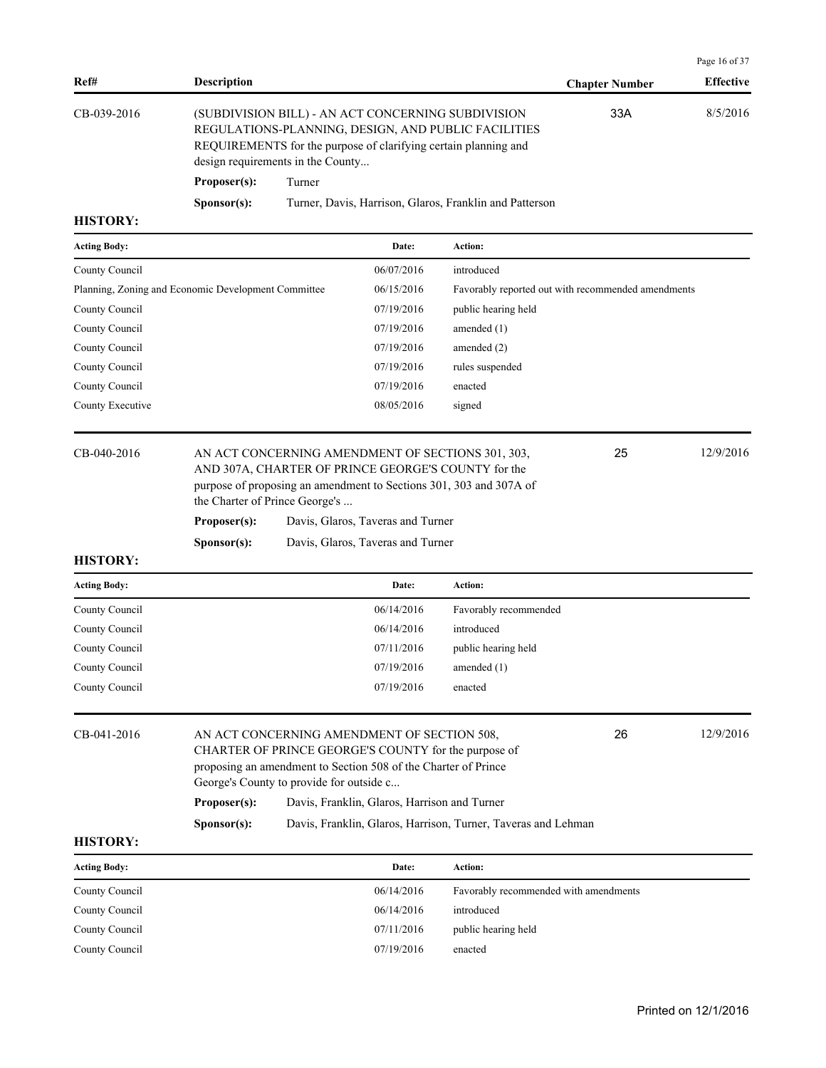| Ref#        | <b>Description</b>   |                                                                                                                                                                                                                   | <b>Chapter Number</b> | <b>Effective</b> |
|-------------|----------------------|-------------------------------------------------------------------------------------------------------------------------------------------------------------------------------------------------------------------|-----------------------|------------------|
| CB-039-2016 |                      | (SUBDIVISION BILL) - AN ACT CONCERNING SUBDIVISION<br>REGULATIONS-PLANNING, DESIGN, AND PUBLIC FACILITIES<br>REQUIREMENTS for the purpose of clarifying certain planning and<br>design requirements in the County | 33A                   | 8/5/2016         |
|             | Proposer(s):         | Turner                                                                                                                                                                                                            |                       |                  |
|             | S <b>p</b> onsor(s): | Turner, Davis, Harrison, Glaros, Franklin and Patterson                                                                                                                                                           |                       |                  |

| <b>Acting Body:</b>                                 | Date:      | Action:                                            |
|-----------------------------------------------------|------------|----------------------------------------------------|
| County Council                                      | 06/07/2016 | introduced                                         |
| Planning, Zoning and Economic Development Committee | 06/15/2016 | Favorably reported out with recommended amendments |
| County Council                                      | 07/19/2016 | public hearing held                                |
| County Council                                      | 07/19/2016 | amended $(1)$                                      |
| County Council                                      | 07/19/2016 | amended (2)                                        |
| County Council                                      | 07/19/2016 | rules suspended                                    |
| County Council                                      | 07/19/2016 | enacted                                            |
| County Executive                                    | 08/05/2016 | signed                                             |
|                                                     |            |                                                    |

CB-040-2016 AN ACT CONCERNING AMENDMENT OF SECTIONS 301, 303, 25 12/9/2016 AND 307A, CHARTER OF PRINCE GEORGE'S COUNTY for the purpose of proposing an amendment to Sections 301, 303 and 307A of the Charter of Prince George's ... 25 **Proposer(s):** Davis, Glaros, Taveras and Turner

| Sponsor(s): | Davis, Glaros, Taveras and Turner |
|-------------|-----------------------------------|

## **HISTORY:**

| <b>Acting Body:</b> | Date:      | Action:               |
|---------------------|------------|-----------------------|
| County Council      | 06/14/2016 | Favorably recommended |
| County Council      | 06/14/2016 | introduced            |
| County Council      | 07/11/2016 | public hearing held   |
| County Council      | 07/19/2016 | amended $(1)$         |
| County Council      | 07/19/2016 | enacted               |
|                     |            |                       |

| CB-041-2016 |                                                      | AN ACT CONCERNING AMENDMENT OF SECTION 508.                    | 26 | 12/9/2016 |  |  |  |
|-------------|------------------------------------------------------|----------------------------------------------------------------|----|-----------|--|--|--|
|             | CHARTER OF PRINCE GEORGE'S COUNTY for the purpose of |                                                                |    |           |  |  |  |
|             |                                                      | proposing an amendment to Section 508 of the Charter of Prince |    |           |  |  |  |
|             |                                                      | George's County to provide for outside c                       |    |           |  |  |  |
|             | Proposer(s):                                         | Davis, Franklin, Glaros, Harrison and Turner                   |    |           |  |  |  |
|             | S <b>p</b> onsor(s):                                 | Davis, Franklin, Glaros, Harrison, Turner, Taveras and Lehman  |    |           |  |  |  |

#### **HISTORY:**

| <b>Acting Body:</b> | Date:      | <b>Action:</b>                        |
|---------------------|------------|---------------------------------------|
| County Council      | 06/14/2016 | Favorably recommended with amendments |
| County Council      | 06/14/2016 | introduced                            |
| County Council      | 07/11/2016 | public hearing held                   |
| County Council      | 07/19/2016 | enacted                               |

Page 16 of 37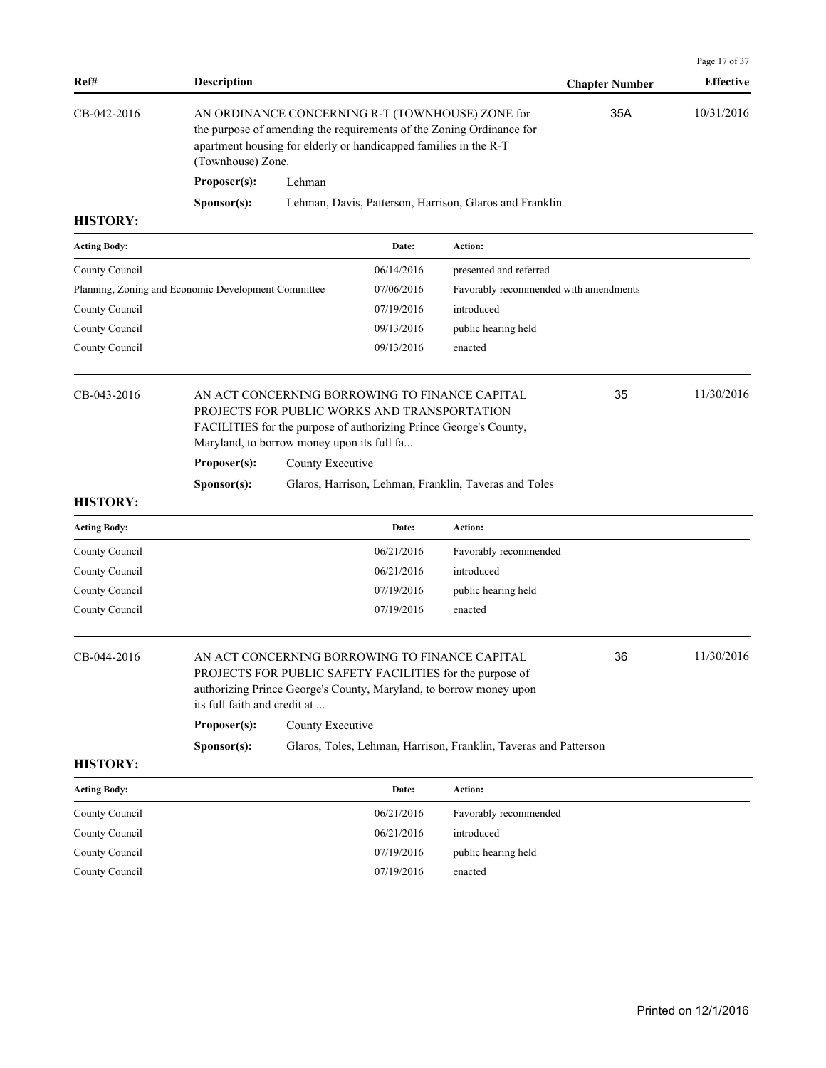| Ref#                                                | <b>Description</b>                                                                                                                                                                                                |                  |                                              |                                                                                                                                                                                  | <b>Chapter Number</b> | Page 17 of 37<br><b>Effective</b> |
|-----------------------------------------------------|-------------------------------------------------------------------------------------------------------------------------------------------------------------------------------------------------------------------|------------------|----------------------------------------------|----------------------------------------------------------------------------------------------------------------------------------------------------------------------------------|-----------------------|-----------------------------------|
| CB-042-2016                                         | AN ORDINANCE CONCERNING R-T (TOWNHOUSE) ZONE for<br>the purpose of amending the requirements of the Zoning Ordinance for<br>apartment housing for elderly or handicapped families in the R-T<br>(Townhouse) Zone. |                  |                                              |                                                                                                                                                                                  | 35A                   | 10/31/2016                        |
|                                                     | Proposer(s):                                                                                                                                                                                                      | Lehman           |                                              |                                                                                                                                                                                  |                       |                                   |
|                                                     | Sponsor(s):                                                                                                                                                                                                       |                  |                                              | Lehman, Davis, Patterson, Harrison, Glaros and Franklin                                                                                                                          |                       |                                   |
| <b>HISTORY:</b>                                     |                                                                                                                                                                                                                   |                  |                                              |                                                                                                                                                                                  |                       |                                   |
| <b>Acting Body:</b>                                 |                                                                                                                                                                                                                   |                  | Date:                                        | Action:                                                                                                                                                                          |                       |                                   |
| County Council                                      |                                                                                                                                                                                                                   |                  | 06/14/2016                                   | presented and referred                                                                                                                                                           |                       |                                   |
| Planning, Zoning and Economic Development Committee |                                                                                                                                                                                                                   |                  | 07/06/2016                                   | Favorably recommended with amendments                                                                                                                                            |                       |                                   |
| County Council                                      |                                                                                                                                                                                                                   |                  | 07/19/2016                                   | introduced                                                                                                                                                                       |                       |                                   |
| County Council                                      |                                                                                                                                                                                                                   |                  | 09/13/2016                                   | public hearing held                                                                                                                                                              |                       |                                   |
| County Council                                      |                                                                                                                                                                                                                   |                  | 09/13/2016                                   | enacted                                                                                                                                                                          |                       |                                   |
| CB-043-2016                                         | Maryland, to borrow money upon its full fa<br>Proposer(s):                                                                                                                                                        | County Executive | PROJECTS FOR PUBLIC WORKS AND TRANSPORTATION | AN ACT CONCERNING BORROWING TO FINANCE CAPITAL<br>FACILITIES for the purpose of authorizing Prince George's County,                                                              | 35                    | 11/30/2016                        |
|                                                     | Sponsor(s):                                                                                                                                                                                                       |                  |                                              | Glaros, Harrison, Lehman, Franklin, Taveras and Toles                                                                                                                            |                       |                                   |
| <b>HISTORY:</b>                                     |                                                                                                                                                                                                                   |                  |                                              |                                                                                                                                                                                  |                       |                                   |
| <b>Acting Body:</b>                                 |                                                                                                                                                                                                                   |                  | Date:                                        | Action:                                                                                                                                                                          |                       |                                   |
| County Council                                      |                                                                                                                                                                                                                   |                  | 06/21/2016                                   | Favorably recommended                                                                                                                                                            |                       |                                   |
| County Council                                      |                                                                                                                                                                                                                   |                  | 06/21/2016                                   | introduced                                                                                                                                                                       |                       |                                   |
| County Council                                      |                                                                                                                                                                                                                   |                  | 07/19/2016                                   | public hearing held                                                                                                                                                              |                       |                                   |
| County Council                                      |                                                                                                                                                                                                                   |                  | 07/19/2016                                   | enacted                                                                                                                                                                          |                       |                                   |
| CB-044-2016                                         | its full faith and credit at<br>Proposer(s):                                                                                                                                                                      | County Executive |                                              | AN ACT CONCERNING BORROWING TO FINANCE CAPITAL<br>PROJECTS FOR PUBLIC SAFETY FACILITIES for the purpose of<br>authorizing Prince George's County, Maryland, to borrow money upon | 36                    | 11/30/2016                        |
|                                                     | Sponsor(s):                                                                                                                                                                                                       |                  |                                              | Glaros, Toles, Lehman, Harrison, Franklin, Taveras and Patterson                                                                                                                 |                       |                                   |
| <b>HISTORY:</b>                                     |                                                                                                                                                                                                                   |                  |                                              |                                                                                                                                                                                  |                       |                                   |
| <b>Acting Body:</b>                                 |                                                                                                                                                                                                                   |                  | Date:                                        | Action:                                                                                                                                                                          |                       |                                   |
| County Council                                      |                                                                                                                                                                                                                   |                  | 06/21/2016                                   | Favorably recommended                                                                                                                                                            |                       |                                   |
| County Council                                      |                                                                                                                                                                                                                   |                  | 06/21/2016                                   | introduced                                                                                                                                                                       |                       |                                   |
| County Council                                      |                                                                                                                                                                                                                   |                  | 07/19/2016                                   | public hearing held                                                                                                                                                              |                       |                                   |
| County Council                                      |                                                                                                                                                                                                                   |                  | 07/19/2016                                   | enacted                                                                                                                                                                          |                       |                                   |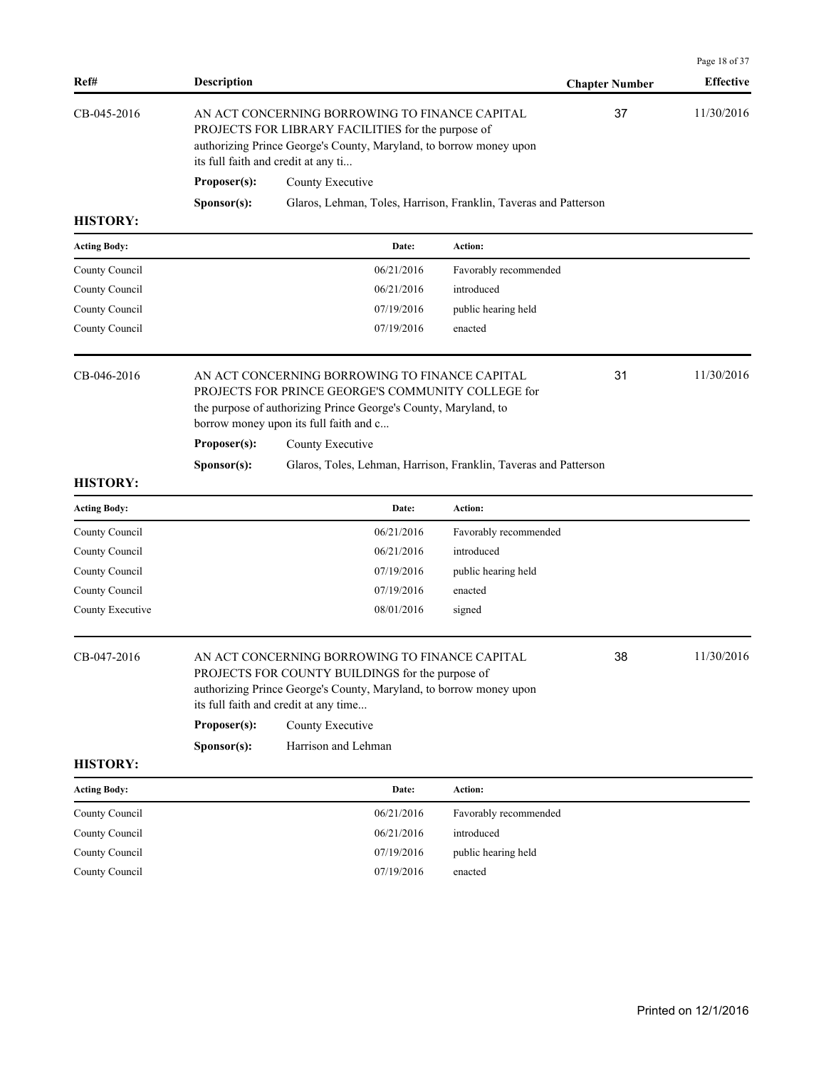| Ref#                | Description  |                                                                                                                                                                                                                   |                       | <b>Chapter Number</b> | <b>Effective</b> |
|---------------------|--------------|-------------------------------------------------------------------------------------------------------------------------------------------------------------------------------------------------------------------|-----------------------|-----------------------|------------------|
| CB-045-2016         |              | AN ACT CONCERNING BORROWING TO FINANCE CAPITAL<br>PROJECTS FOR LIBRARY FACILITIES for the purpose of<br>authorizing Prince George's County, Maryland, to borrow money upon<br>its full faith and credit at any ti |                       | 37                    | 11/30/2016       |
|                     | Proposer(s): | County Executive                                                                                                                                                                                                  |                       |                       |                  |
|                     | Sponsor(s):  | Glaros, Lehman, Toles, Harrison, Franklin, Taveras and Patterson                                                                                                                                                  |                       |                       |                  |
| <b>HISTORY:</b>     |              |                                                                                                                                                                                                                   |                       |                       |                  |
| <b>Acting Body:</b> |              | Date:                                                                                                                                                                                                             | Action:               |                       |                  |
| County Council      |              | 06/21/2016                                                                                                                                                                                                        | Favorably recommended |                       |                  |
| County Council      |              | 06/21/2016                                                                                                                                                                                                        | introduced            |                       |                  |
| County Council      |              | 07/19/2016                                                                                                                                                                                                        | public hearing held   |                       |                  |
| County Council      |              | 07/19/2016                                                                                                                                                                                                        | enacted               |                       |                  |
| CB-046-2016         |              | AN ACT CONCERNING BORROWING TO FINANCE CAPITAL<br>PROJECTS FOR PRINCE GEORGE'S COMMUNITY COLLEGE for<br>the purpose of authorizing Prince George's County, Maryland, to<br>borrow money upon its full faith and c |                       | 31                    | 11/30/2016       |
|                     | Proposer(s): | County Executive                                                                                                                                                                                                  |                       |                       |                  |
| <b>HISTORY:</b>     | Sponsor(s):  | Glaros, Toles, Lehman, Harrison, Franklin, Taveras and Patterson                                                                                                                                                  |                       |                       |                  |
| <b>Acting Body:</b> |              | Date:                                                                                                                                                                                                             | Action:               |                       |                  |
| County Council      |              | 06/21/2016                                                                                                                                                                                                        | Favorably recommended |                       |                  |
| County Council      |              | 06/21/2016                                                                                                                                                                                                        | introduced            |                       |                  |
| County Council      |              | 07/19/2016                                                                                                                                                                                                        | public hearing held   |                       |                  |
| County Council      |              | 07/19/2016                                                                                                                                                                                                        | enacted               |                       |                  |
| County Executive    |              | 08/01/2016                                                                                                                                                                                                        | signed                |                       |                  |
| CB-047-2016         |              | AN ACT CONCERNING BORROWING TO FINANCE CAPITAL<br>PROJECTS FOR COUNTY BUILDINGS for the purpose of<br>authorizing Prince George's County, Maryland, to borrow money upon<br>its full faith and credit at any time |                       | 38                    | 11/30/2016       |
|                     | Proposer(s): | County Executive                                                                                                                                                                                                  |                       |                       |                  |
|                     | Sponsor(s):  | Harrison and Lehman                                                                                                                                                                                               |                       |                       |                  |
| <b>HISTORY:</b>     |              |                                                                                                                                                                                                                   |                       |                       |                  |
| <b>Acting Body:</b> |              | Date:                                                                                                                                                                                                             | Action:               |                       |                  |
| County Council      |              | 06/21/2016                                                                                                                                                                                                        | Favorably recommended |                       |                  |
| County Council      |              | 06/21/2016                                                                                                                                                                                                        | introduced            |                       |                  |
| County Council      |              | 07/19/2016                                                                                                                                                                                                        | public hearing held   |                       |                  |
| County Council      |              | 07/19/2016                                                                                                                                                                                                        | enacted               |                       |                  |

Page 18 of 37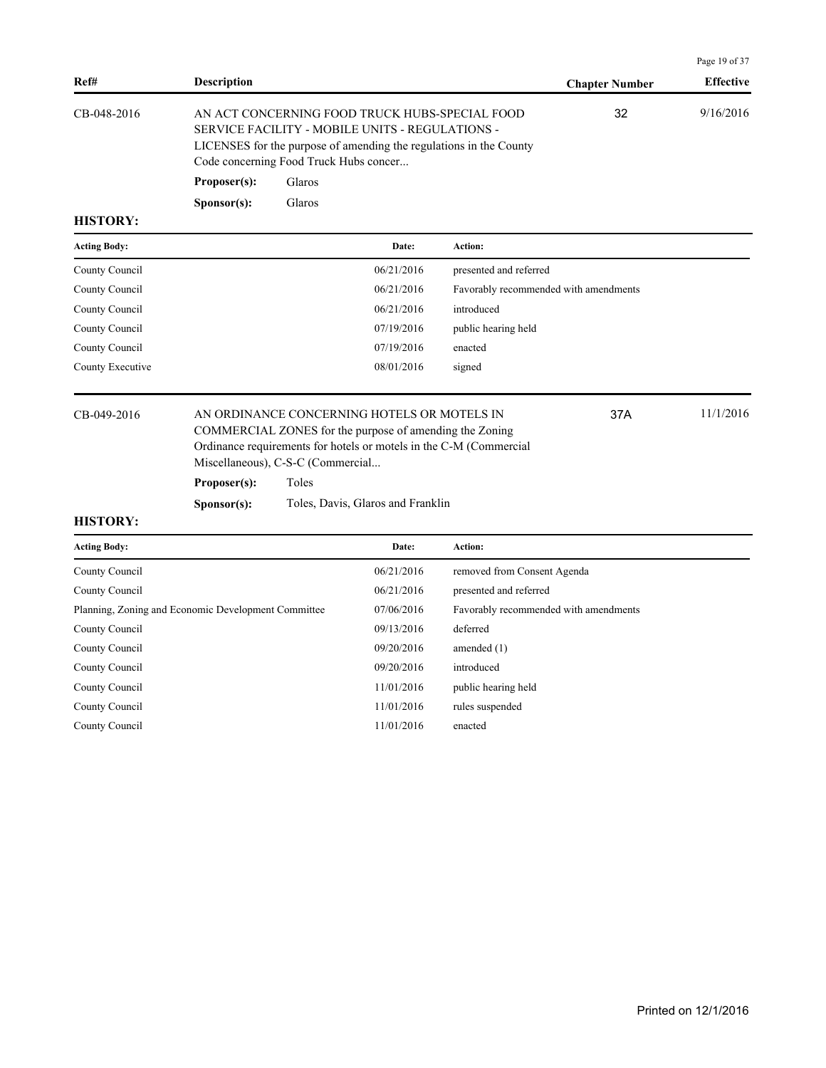|                     |                      |                                                                                                                                                                                                                   |                                       |                       | Page 19 of 37    |
|---------------------|----------------------|-------------------------------------------------------------------------------------------------------------------------------------------------------------------------------------------------------------------|---------------------------------------|-----------------------|------------------|
| Ref#                | <b>Description</b>   |                                                                                                                                                                                                                   |                                       | <b>Chapter Number</b> | <b>Effective</b> |
| CB-048-2016         |                      | AN ACT CONCERNING FOOD TRUCK HUBS-SPECIAL FOOD<br>SERVICE FACILITY - MOBILE UNITS - REGULATIONS -<br>LICENSES for the purpose of amending the regulations in the County<br>Code concerning Food Truck Hubs concer |                                       | 32                    | 9/16/2016        |
|                     | Proposer(s):         | Glaros                                                                                                                                                                                                            |                                       |                       |                  |
|                     | S <b>p</b> onsor(s): | Glaros                                                                                                                                                                                                            |                                       |                       |                  |
| <b>HISTORY:</b>     |                      |                                                                                                                                                                                                                   |                                       |                       |                  |
| <b>Acting Body:</b> |                      | Date:                                                                                                                                                                                                             | <b>Action:</b>                        |                       |                  |
| County Council      |                      | 06/21/2016                                                                                                                                                                                                        | presented and referred                |                       |                  |
| County Council      |                      | 06/21/2016                                                                                                                                                                                                        | Favorably recommended with amendments |                       |                  |
| County Council      |                      | 06/21/2016                                                                                                                                                                                                        | introduced                            |                       |                  |
| County Council      |                      | 07/19/2016                                                                                                                                                                                                        | public hearing held                   |                       |                  |
| County Council      |                      | 07/19/2016                                                                                                                                                                                                        | enacted                               |                       |                  |
| County Executive    |                      | 08/01/2016                                                                                                                                                                                                        | signed                                |                       |                  |

CB-049-2016 AN ORDINANCE CONCERNING HOTELS OR MOTELS IN 37A 11/1/2016 COMMERCIAL ZONES for the purpose of amending the Zoning Ordinance requirements for hotels or motels in the C-M (Commercial Miscellaneous), C-S-C (Commercial...

**Proposer(s):** Toles

**Sponsor(s):** Toles, Davis, Glaros and Franklin

#### **HISTORY:**

| <b>Acting Body:</b>                                 | Date:      | Action:                               |
|-----------------------------------------------------|------------|---------------------------------------|
| County Council                                      | 06/21/2016 | removed from Consent Agenda           |
| County Council                                      | 06/21/2016 | presented and referred                |
| Planning, Zoning and Economic Development Committee | 07/06/2016 | Favorably recommended with amendments |
| County Council                                      | 09/13/2016 | deferred                              |
| County Council                                      | 09/20/2016 | amended $(1)$                         |
| County Council                                      | 09/20/2016 | introduced                            |
| County Council                                      | 11/01/2016 | public hearing held                   |
| County Council                                      | 11/01/2016 | rules suspended                       |
| County Council                                      | 11/01/2016 | enacted                               |

37A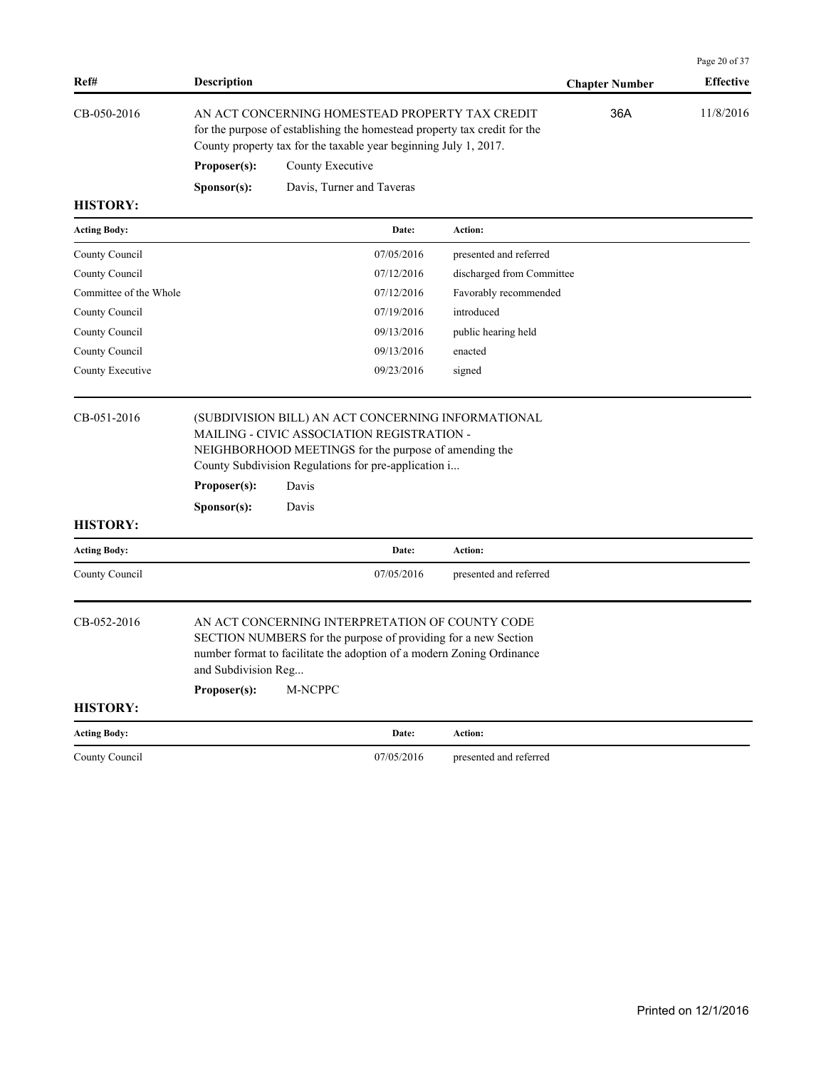|                                |                             |                                                                                                                                                                                                                                     |                           |                       | Page 20 of 37    |
|--------------------------------|-----------------------------|-------------------------------------------------------------------------------------------------------------------------------------------------------------------------------------------------------------------------------------|---------------------------|-----------------------|------------------|
| Ref#                           | <b>Description</b>          |                                                                                                                                                                                                                                     |                           | <b>Chapter Number</b> | <b>Effective</b> |
| CB-050-2016                    |                             | AN ACT CONCERNING HOMESTEAD PROPERTY TAX CREDIT<br>for the purpose of establishing the homestead property tax credit for the<br>County property tax for the taxable year beginning July 1, 2017.                                    |                           | 36A                   | 11/8/2016        |
|                                | Proposer(s):                | County Executive                                                                                                                                                                                                                    |                           |                       |                  |
|                                | Sponsor(s):                 | Davis, Turner and Taveras                                                                                                                                                                                                           |                           |                       |                  |
| <b>HISTORY:</b>                |                             |                                                                                                                                                                                                                                     |                           |                       |                  |
| <b>Acting Body:</b>            |                             | Date:                                                                                                                                                                                                                               | Action:                   |                       |                  |
| County Council                 |                             | 07/05/2016                                                                                                                                                                                                                          | presented and referred    |                       |                  |
| County Council                 |                             | 07/12/2016                                                                                                                                                                                                                          | discharged from Committee |                       |                  |
| Committee of the Whole         |                             | 07/12/2016                                                                                                                                                                                                                          | Favorably recommended     |                       |                  |
| County Council                 |                             | 07/19/2016                                                                                                                                                                                                                          | introduced                |                       |                  |
| County Council                 |                             | 09/13/2016                                                                                                                                                                                                                          | public hearing held       |                       |                  |
| County Council                 |                             | 09/13/2016                                                                                                                                                                                                                          | enacted                   |                       |                  |
| County Executive               |                             | 09/23/2016                                                                                                                                                                                                                          | signed                    |                       |                  |
| CB-051-2016<br><b>HISTORY:</b> | Proposer(s):<br>Sponsor(s): | (SUBDIVISION BILL) AN ACT CONCERNING INFORMATIONAL<br>MAILING - CIVIC ASSOCIATION REGISTRATION -<br>NEIGHBORHOOD MEETINGS for the purpose of amending the<br>County Subdivision Regulations for pre-application i<br>Davis<br>Davis |                           |                       |                  |
| <b>Acting Body:</b>            |                             | Date:                                                                                                                                                                                                                               | Action:                   |                       |                  |
| County Council                 |                             | 07/05/2016                                                                                                                                                                                                                          | presented and referred    |                       |                  |
| CB-052-2016                    | and Subdivision Reg         | AN ACT CONCERNING INTERPRETATION OF COUNTY CODE<br>SECTION NUMBERS for the purpose of providing for a new Section<br>number format to facilitate the adoption of a modern Zoning Ordinance                                          |                           |                       |                  |
|                                | Proposer(s):                | M-NCPPC                                                                                                                                                                                                                             |                           |                       |                  |
| <b>HISTORY:</b>                |                             |                                                                                                                                                                                                                                     |                           |                       |                  |
| <b>Acting Body:</b>            |                             | Date:                                                                                                                                                                                                                               | Action:                   |                       |                  |
| County Council                 |                             | 07/05/2016                                                                                                                                                                                                                          | presented and referred    |                       |                  |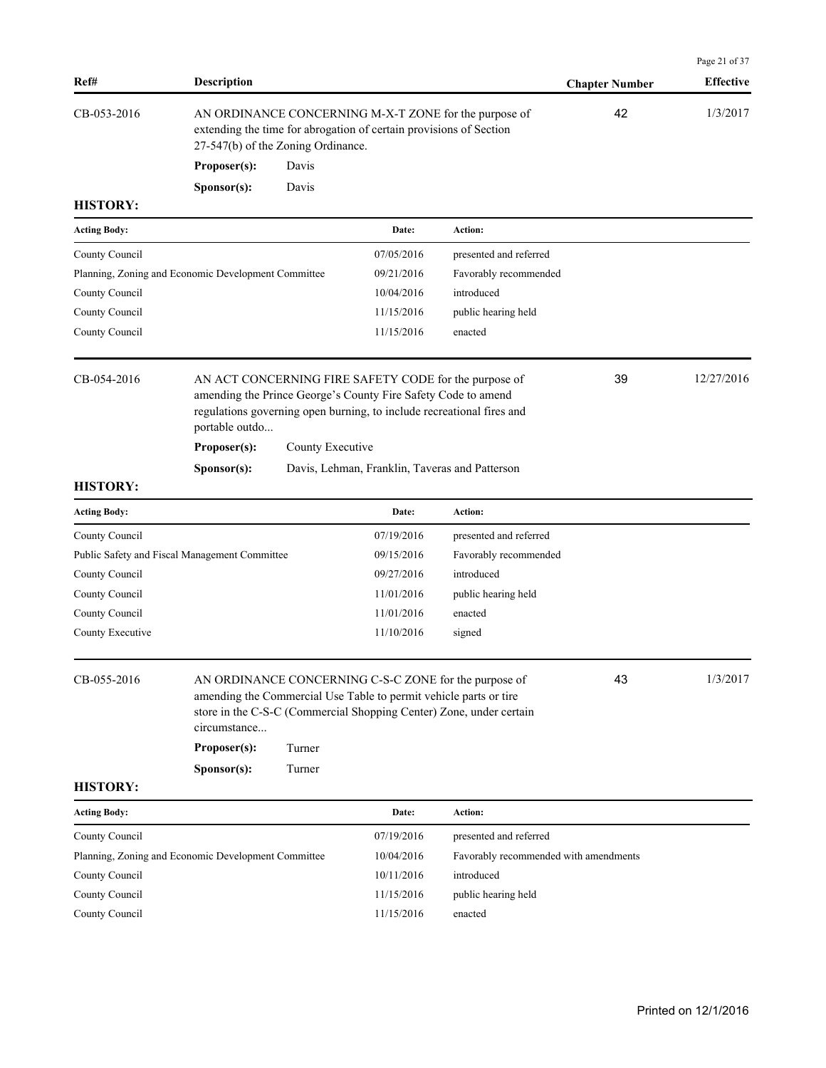| Ref#                           | <b>Description</b>                                  |                                                                                                                                                                   |                                                                                                                                                                                                 |                                                                                                                              | <b>Chapter Number</b> | Page 21 of 37<br><b>Effective</b> |
|--------------------------------|-----------------------------------------------------|-------------------------------------------------------------------------------------------------------------------------------------------------------------------|-------------------------------------------------------------------------------------------------------------------------------------------------------------------------------------------------|------------------------------------------------------------------------------------------------------------------------------|-----------------------|-----------------------------------|
| CB-053-2016                    |                                                     | AN ORDINANCE CONCERNING M-X-T ZONE for the purpose of<br>extending the time for abrogation of certain provisions of Section<br>27-547(b) of the Zoning Ordinance. |                                                                                                                                                                                                 |                                                                                                                              | 42                    | 1/3/2017                          |
|                                | Proposer(s):                                        | Davis                                                                                                                                                             |                                                                                                                                                                                                 |                                                                                                                              |                       |                                   |
|                                | Sponsor(s):                                         | Davis                                                                                                                                                             |                                                                                                                                                                                                 |                                                                                                                              |                       |                                   |
| <b>HISTORY:</b>                |                                                     |                                                                                                                                                                   |                                                                                                                                                                                                 |                                                                                                                              |                       |                                   |
| <b>Acting Body:</b>            |                                                     |                                                                                                                                                                   | Date:                                                                                                                                                                                           | <b>Action:</b>                                                                                                               |                       |                                   |
| County Council                 |                                                     |                                                                                                                                                                   | 07/05/2016                                                                                                                                                                                      | presented and referred                                                                                                       |                       |                                   |
|                                | Planning, Zoning and Economic Development Committee |                                                                                                                                                                   | 09/21/2016                                                                                                                                                                                      | Favorably recommended                                                                                                        |                       |                                   |
| County Council                 |                                                     |                                                                                                                                                                   | 10/04/2016                                                                                                                                                                                      | introduced                                                                                                                   |                       |                                   |
| County Council                 |                                                     |                                                                                                                                                                   | 11/15/2016                                                                                                                                                                                      | public hearing held                                                                                                          |                       |                                   |
| County Council                 |                                                     |                                                                                                                                                                   | 11/15/2016                                                                                                                                                                                      | enacted                                                                                                                      |                       |                                   |
| CB-054-2016                    | portable outdo                                      |                                                                                                                                                                   | AN ACT CONCERNING FIRE SAFETY CODE for the purpose of<br>amending the Prince George's County Fire Safety Code to amend<br>regulations governing open burning, to include recreational fires and |                                                                                                                              | 39                    | 12/27/2016                        |
|                                | Proposer(s):                                        | County Executive                                                                                                                                                  |                                                                                                                                                                                                 |                                                                                                                              |                       |                                   |
|                                | Sponsor(s):                                         |                                                                                                                                                                   | Davis, Lehman, Franklin, Taveras and Patterson                                                                                                                                                  |                                                                                                                              |                       |                                   |
| <b>HISTORY:</b>                |                                                     |                                                                                                                                                                   |                                                                                                                                                                                                 |                                                                                                                              |                       |                                   |
| <b>Acting Body:</b>            |                                                     |                                                                                                                                                                   | Date:                                                                                                                                                                                           | Action:                                                                                                                      |                       |                                   |
| County Council                 |                                                     |                                                                                                                                                                   | 07/19/2016                                                                                                                                                                                      | presented and referred                                                                                                       |                       |                                   |
|                                | Public Safety and Fiscal Management Committee       |                                                                                                                                                                   | 09/15/2016                                                                                                                                                                                      | Favorably recommended                                                                                                        |                       |                                   |
| County Council                 |                                                     |                                                                                                                                                                   | 09/27/2016                                                                                                                                                                                      | introduced                                                                                                                   |                       |                                   |
| County Council                 |                                                     |                                                                                                                                                                   | 11/01/2016                                                                                                                                                                                      | public hearing held                                                                                                          |                       |                                   |
| County Council                 |                                                     |                                                                                                                                                                   | 11/01/2016                                                                                                                                                                                      | enacted                                                                                                                      |                       |                                   |
| County Executive               |                                                     |                                                                                                                                                                   | 11/10/2016                                                                                                                                                                                      | signed                                                                                                                       |                       |                                   |
| CB-055-2016<br><b>HISTORY:</b> | circumstance<br>Proposer(s):<br>Sponsor(s):         | Turner<br>Turner                                                                                                                                                  | amending the Commercial Use Table to permit vehicle parts or tire                                                                                                                               | AN ORDINANCE CONCERNING C-S-C ZONE for the purpose of<br>store in the C-S-C (Commercial Shopping Center) Zone, under certain | 43                    | 1/3/2017                          |
| <b>Acting Body:</b>            |                                                     |                                                                                                                                                                   | Date:                                                                                                                                                                                           | Action:                                                                                                                      |                       |                                   |
| County Council                 |                                                     |                                                                                                                                                                   | 07/19/2016                                                                                                                                                                                      | presented and referred                                                                                                       |                       |                                   |
|                                | Planning, Zoning and Economic Development Committee |                                                                                                                                                                   | 10/04/2016                                                                                                                                                                                      | Favorably recommended with amendments                                                                                        |                       |                                   |
| County Council                 |                                                     |                                                                                                                                                                   | 10/11/2016                                                                                                                                                                                      | introduced                                                                                                                   |                       |                                   |
| County Council                 |                                                     |                                                                                                                                                                   | 11/15/2016                                                                                                                                                                                      | public hearing held                                                                                                          |                       |                                   |
| County Council                 |                                                     |                                                                                                                                                                   | 11/15/2016                                                                                                                                                                                      | enacted                                                                                                                      |                       |                                   |
|                                |                                                     |                                                                                                                                                                   |                                                                                                                                                                                                 |                                                                                                                              |                       |                                   |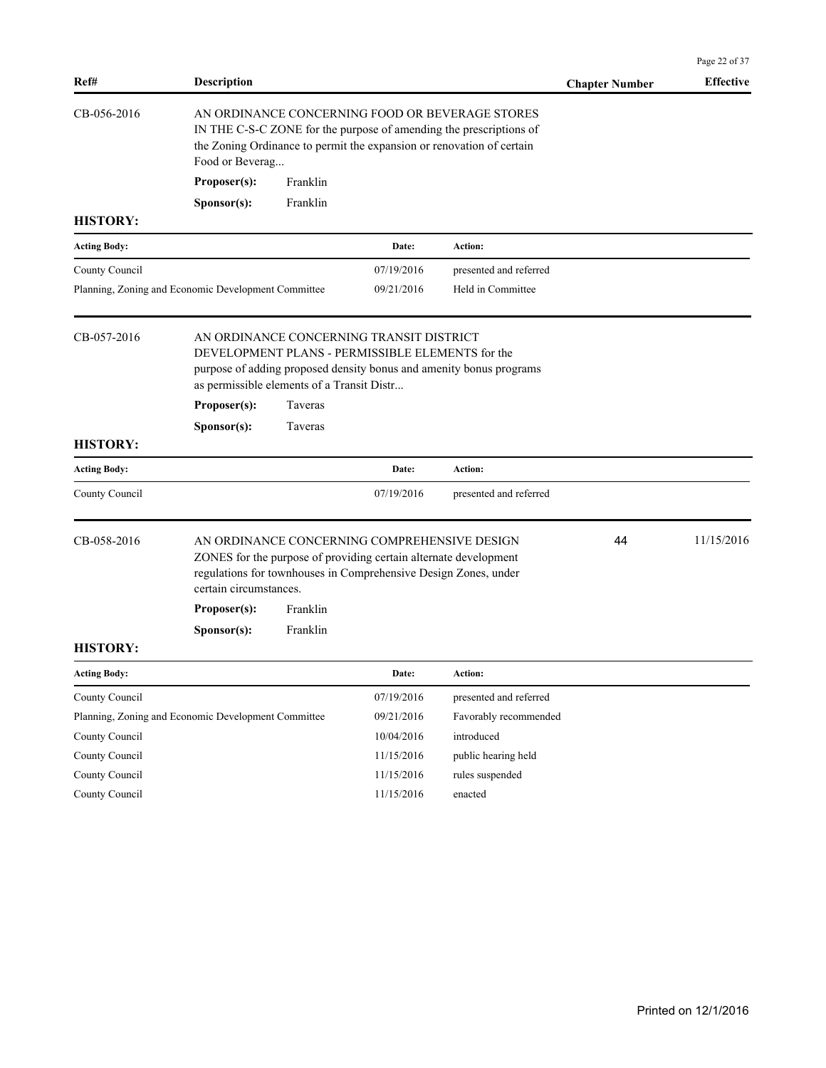| Ref#                                                                                                                                                                                                                         | <b>Description</b>                                                                                                                                                                                                |          |            |                                                                                                                                                                                                | <b>Chapter Number</b> | <b>Effective</b> |
|------------------------------------------------------------------------------------------------------------------------------------------------------------------------------------------------------------------------------|-------------------------------------------------------------------------------------------------------------------------------------------------------------------------------------------------------------------|----------|------------|------------------------------------------------------------------------------------------------------------------------------------------------------------------------------------------------|-----------------------|------------------|
| CB-056-2016                                                                                                                                                                                                                  | Food or Beverag                                                                                                                                                                                                   |          |            | AN ORDINANCE CONCERNING FOOD OR BEVERAGE STORES<br>IN THE C-S-C ZONE for the purpose of amending the prescriptions of<br>the Zoning Ordinance to permit the expansion or renovation of certain |                       |                  |
|                                                                                                                                                                                                                              | Proposer(s):                                                                                                                                                                                                      | Franklin |            |                                                                                                                                                                                                |                       |                  |
|                                                                                                                                                                                                                              | Sponsor(s):                                                                                                                                                                                                       | Franklin |            |                                                                                                                                                                                                |                       |                  |
| <b>HISTORY:</b>                                                                                                                                                                                                              |                                                                                                                                                                                                                   |          |            |                                                                                                                                                                                                |                       |                  |
| <b>Acting Body:</b>                                                                                                                                                                                                          |                                                                                                                                                                                                                   |          | Date:      | Action:                                                                                                                                                                                        |                       |                  |
| County Council                                                                                                                                                                                                               |                                                                                                                                                                                                                   |          | 07/19/2016 | presented and referred                                                                                                                                                                         |                       |                  |
| Planning, Zoning and Economic Development Committee                                                                                                                                                                          |                                                                                                                                                                                                                   |          | 09/21/2016 | Held in Committee                                                                                                                                                                              |                       |                  |
| CB-057-2016                                                                                                                                                                                                                  | AN ORDINANCE CONCERNING TRANSIT DISTRICT<br>DEVELOPMENT PLANS - PERMISSIBLE ELEMENTS for the<br>purpose of adding proposed density bonus and amenity bonus programs<br>as permissible elements of a Transit Distr |          |            |                                                                                                                                                                                                |                       |                  |
|                                                                                                                                                                                                                              | Proposer(s):                                                                                                                                                                                                      | Taveras  |            |                                                                                                                                                                                                |                       |                  |
|                                                                                                                                                                                                                              | S <b>p</b> onsor(s):                                                                                                                                                                                              | Taveras  |            |                                                                                                                                                                                                |                       |                  |
| <b>HISTORY:</b>                                                                                                                                                                                                              |                                                                                                                                                                                                                   |          |            |                                                                                                                                                                                                |                       |                  |
| <b>Acting Body:</b>                                                                                                                                                                                                          |                                                                                                                                                                                                                   |          | Date:      | Action:                                                                                                                                                                                        |                       |                  |
| County Council                                                                                                                                                                                                               |                                                                                                                                                                                                                   |          | 07/19/2016 | presented and referred                                                                                                                                                                         |                       |                  |
| CB-058-2016<br>AN ORDINANCE CONCERNING COMPREHENSIVE DESIGN<br>ZONES for the purpose of providing certain alternate development<br>regulations for townhouses in Comprehensive Design Zones, under<br>certain circumstances. |                                                                                                                                                                                                                   |          |            |                                                                                                                                                                                                | 44                    | 11/15/2016       |
|                                                                                                                                                                                                                              | Proposer(s):                                                                                                                                                                                                      | Franklin |            |                                                                                                                                                                                                |                       |                  |
|                                                                                                                                                                                                                              | Sponsor(s):                                                                                                                                                                                                       | Franklin |            |                                                                                                                                                                                                |                       |                  |
| <b>HISTORY:</b>                                                                                                                                                                                                              |                                                                                                                                                                                                                   |          |            |                                                                                                                                                                                                |                       |                  |
| <b>Acting Body:</b>                                                                                                                                                                                                          |                                                                                                                                                                                                                   |          | Date:      | <b>Action:</b>                                                                                                                                                                                 |                       |                  |
| County Council                                                                                                                                                                                                               |                                                                                                                                                                                                                   |          | 07/19/2016 | presented and referred                                                                                                                                                                         |                       |                  |
| Planning, Zoning and Economic Development Committee                                                                                                                                                                          |                                                                                                                                                                                                                   |          | 09/21/2016 | Favorably recommended                                                                                                                                                                          |                       |                  |
| County Council                                                                                                                                                                                                               |                                                                                                                                                                                                                   |          | 10/04/2016 | introduced                                                                                                                                                                                     |                       |                  |
| County Council                                                                                                                                                                                                               |                                                                                                                                                                                                                   |          | 11/15/2016 | public hearing held                                                                                                                                                                            |                       |                  |
| County Council                                                                                                                                                                                                               |                                                                                                                                                                                                                   |          | 11/15/2016 | rules suspended                                                                                                                                                                                |                       |                  |
| County Council                                                                                                                                                                                                               |                                                                                                                                                                                                                   |          | 11/15/2016 | enacted                                                                                                                                                                                        |                       |                  |

Page 22 of 37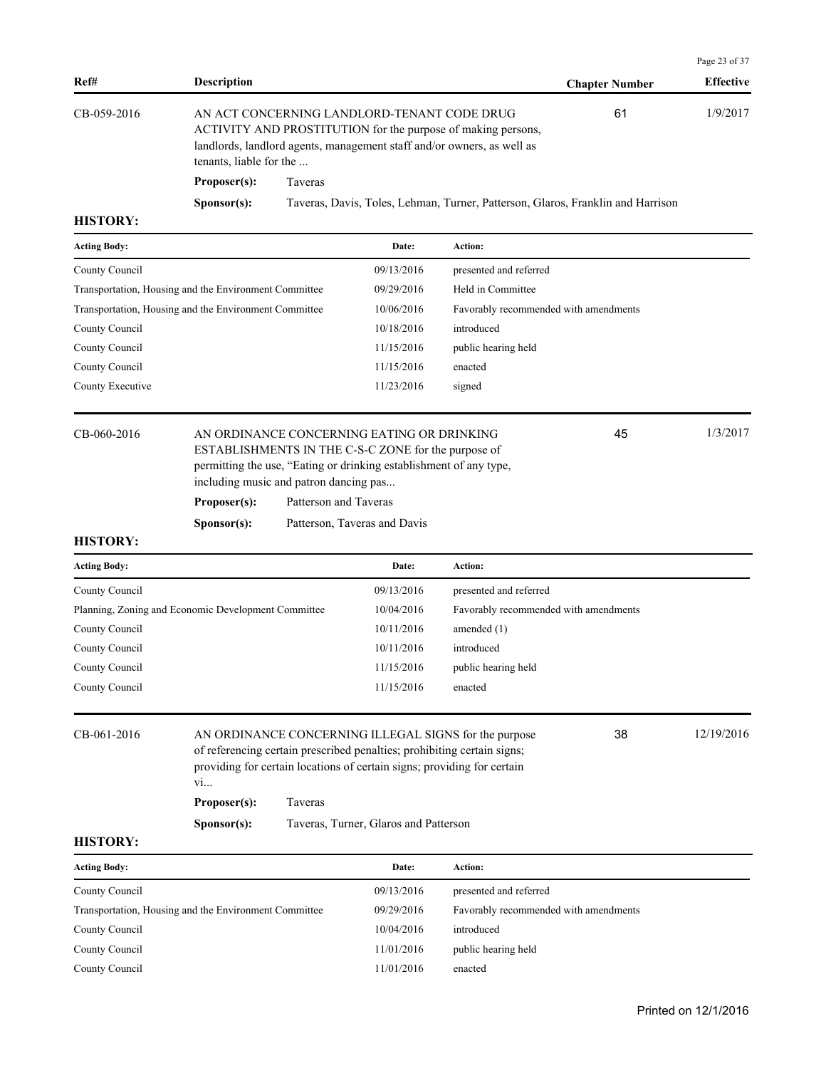|                 |                                                                                                                                                                                                                  |                                                                                 |                       | Page 23 of 37    |
|-----------------|------------------------------------------------------------------------------------------------------------------------------------------------------------------------------------------------------------------|---------------------------------------------------------------------------------|-----------------------|------------------|
| Ref#            | <b>Description</b>                                                                                                                                                                                               |                                                                                 | <b>Chapter Number</b> | <b>Effective</b> |
| CB-059-2016     | AN ACT CONCERNING LANDLORD-TENANT CODE DRUG<br>ACTIVITY AND PROSTITUTION for the purpose of making persons,<br>landlords, landlord agents, management staff and/or owners, as well as<br>tenants, liable for the |                                                                                 | 61                    | 1/9/2017         |
|                 | Proposer(s):                                                                                                                                                                                                     | Taveras                                                                         |                       |                  |
|                 | S <b>p</b> onsor(s):                                                                                                                                                                                             | Taveras, Davis, Toles, Lehman, Turner, Patterson, Glaros, Franklin and Harrison |                       |                  |
| <b>HISTORY:</b> |                                                                                                                                                                                                                  |                                                                                 |                       |                  |

| <b>Acting Body:</b>                                   | Date:      | <b>Action:</b>                        |
|-------------------------------------------------------|------------|---------------------------------------|
| County Council                                        | 09/13/2016 | presented and referred                |
| Transportation, Housing and the Environment Committee | 09/29/2016 | Held in Committee                     |
| Transportation, Housing and the Environment Committee | 10/06/2016 | Favorably recommended with amendments |
| County Council                                        | 10/18/2016 | introduced                            |
| County Council                                        | 11/15/2016 | public hearing held                   |
| County Council                                        | 11/15/2016 | enacted                               |
| County Executive                                      | 11/23/2016 | signed                                |
|                                                       |            |                                       |

CB-060-2016 AN ORDINANCE CONCERNING EATING OR DRINKING 45 1/3/2017 ESTABLISHMENTS IN THE C-S-C ZONE for the purpose of permitting the use, "Eating or drinking establishment of any type, including music and patron dancing pas...

Proposer(s): Patterson and Taveras

**Sponsor(s):** Patterson, Taveras and Davis

#### **HISTORY:**

| <b>Acting Body:</b>                                 | Date:      | <b>Action:</b>                        |
|-----------------------------------------------------|------------|---------------------------------------|
| County Council                                      | 09/13/2016 | presented and referred                |
| Planning, Zoning and Economic Development Committee | 10/04/2016 | Favorably recommended with amendments |
| County Council                                      | 10/11/2016 | amended $(1)$                         |
| County Council                                      | 10/11/2016 | introduced                            |
| County Council                                      | 11/15/2016 | public hearing held                   |
| County Council                                      | 11/15/2016 | enacted                               |

| CB-061-2016 |                      | AN ORDINANCE CONCERNING ILLEGAL SIGNS for the purpose<br>of referencing certain prescribed penalties; prohibiting certain signs;<br>providing for certain locations of certain signs; providing for certain |  |  |  |  |
|-------------|----------------------|-------------------------------------------------------------------------------------------------------------------------------------------------------------------------------------------------------------|--|--|--|--|
|             | V1                   |                                                                                                                                                                                                             |  |  |  |  |
|             | Proposer(s):         | Taveras                                                                                                                                                                                                     |  |  |  |  |
|             | S <b>p</b> onsor(s): | Taveras, Turner, Glaros and Patterson                                                                                                                                                                       |  |  |  |  |

#### **HISTORY:**

| <b>Acting Body:</b>                                   | Date:      | Action:                               |
|-------------------------------------------------------|------------|---------------------------------------|
| County Council                                        | 09/13/2016 | presented and referred                |
| Transportation, Housing and the Environment Committee | 09/29/2016 | Favorably recommended with amendments |
| County Council                                        | 10/04/2016 | introduced                            |
| County Council                                        | 11/01/2016 | public hearing held                   |
| County Council                                        | 11/01/2016 | enacted                               |

45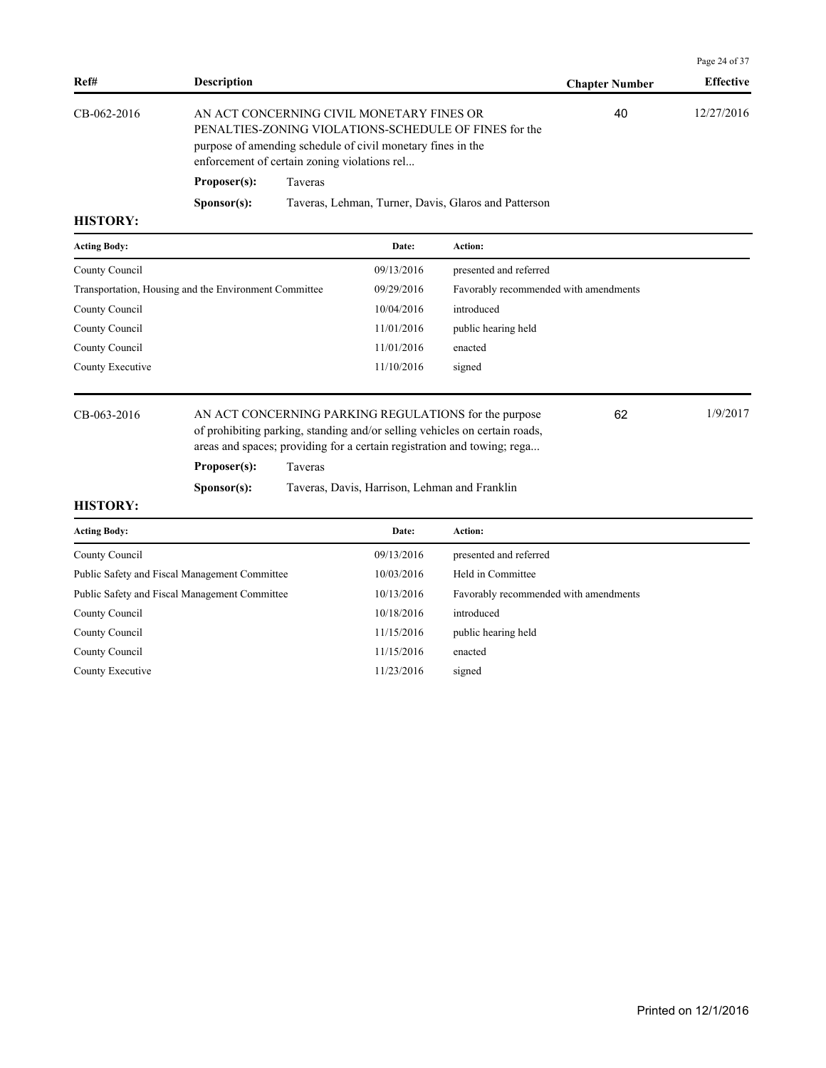| Ref#                                                                                                                                                                                                                             | <b>Description</b>   |                                                      | <b>Chapter Number</b> | <b>Effective</b> |
|----------------------------------------------------------------------------------------------------------------------------------------------------------------------------------------------------------------------------------|----------------------|------------------------------------------------------|-----------------------|------------------|
| CB-062-2016<br>AN ACT CONCERNING CIVIL MONETARY FINES OR<br>PENALTIES-ZONING VIOLATIONS-SCHEDULE OF FINES for the<br>purpose of amending schedule of civil monetary fines in the<br>enforcement of certain zoning violations rel |                      |                                                      | 40                    | 12/27/2016       |
|                                                                                                                                                                                                                                  | Proposer(s):         | Taveras                                              |                       |                  |
|                                                                                                                                                                                                                                  | S <b>p</b> onsor(s): | Taveras, Lehman, Turner, Davis, Glaros and Patterson |                       |                  |
| <b>HISTORY:</b>                                                                                                                                                                                                                  |                      |                                                      |                       |                  |

| <b>Acting Body:</b>                                   | Date:      | <b>Action:</b>                        |
|-------------------------------------------------------|------------|---------------------------------------|
| County Council                                        | 09/13/2016 | presented and referred                |
| Transportation, Housing and the Environment Committee | 09/29/2016 | Favorably recommended with amendments |
| County Council                                        | 10/04/2016 | introduced                            |
| County Council                                        | 11/01/2016 | public hearing held                   |
| County Council                                        | 11/01/2016 | enacted                               |
| County Executive                                      | 11/10/2016 | signed                                |
|                                                       |            |                                       |

CB-063-2016 AN ACT CONCERNING PARKING REGULATIONS for the purpose 1/9/2017 of prohibiting parking, standing and/or selling vehicles on certain roads, areas and spaces; providing for a certain registration and towing; rega... 62 **Proposer(s):** Taveras

**Sponsor(s):** Taveras, Davis, Harrison, Lehman and Franklin

# **HISTORY:**

| <b>Acting Body:</b>                           | Date:      | Action:                               |
|-----------------------------------------------|------------|---------------------------------------|
| County Council                                | 09/13/2016 | presented and referred                |
| Public Safety and Fiscal Management Committee | 10/03/2016 | Held in Committee                     |
| Public Safety and Fiscal Management Committee | 10/13/2016 | Favorably recommended with amendments |
| County Council                                | 10/18/2016 | introduced                            |
| County Council                                | 11/15/2016 | public hearing held                   |
| County Council                                | 11/15/2016 | enacted                               |
| County Executive                              | 11/23/2016 | signed                                |

Page 24 of 37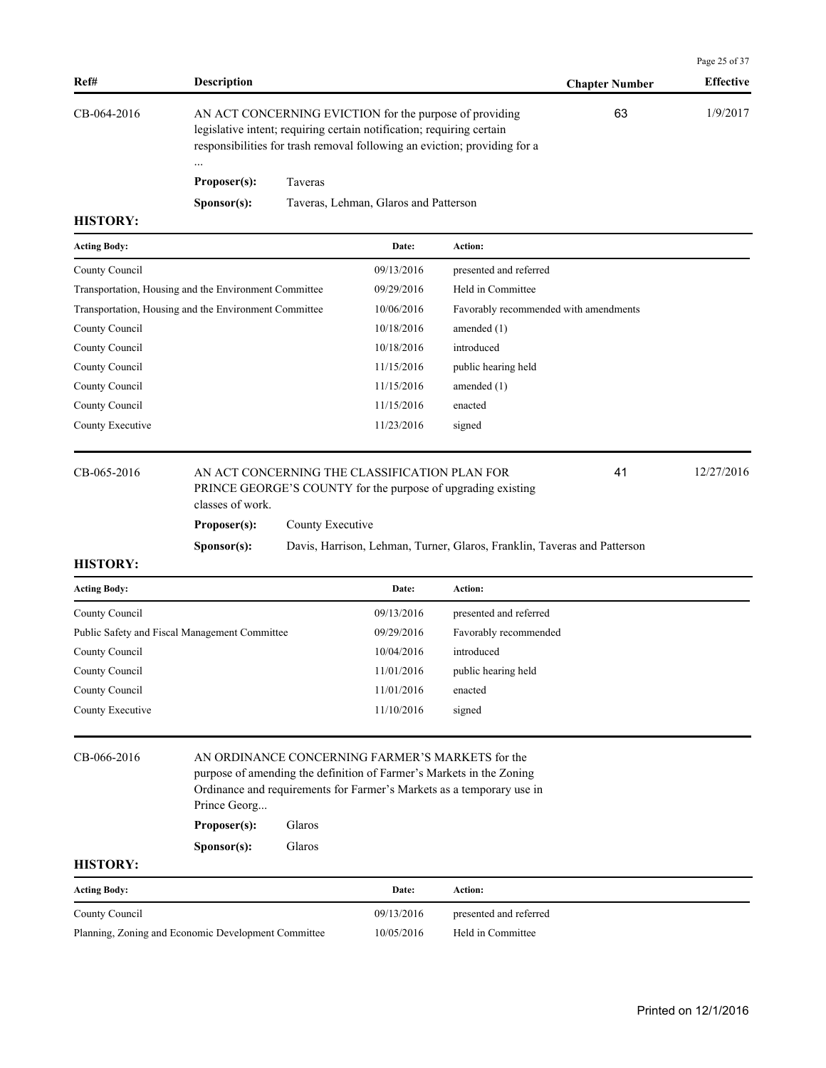|                                                       |                      |                  |                                                                                                                                                                                                               |                                                                          |                       | Page 25 of 37    |
|-------------------------------------------------------|----------------------|------------------|---------------------------------------------------------------------------------------------------------------------------------------------------------------------------------------------------------------|--------------------------------------------------------------------------|-----------------------|------------------|
| Ref#                                                  | <b>Description</b>   |                  |                                                                                                                                                                                                               |                                                                          | <b>Chapter Number</b> | <b>Effective</b> |
| CB-064-2016                                           | Proposer(s):         | Taveras          | AN ACT CONCERNING EVICTION for the purpose of providing<br>legislative intent; requiring certain notification; requiring certain<br>responsibilities for trash removal following an eviction; providing for a |                                                                          | 63                    | 1/9/2017         |
|                                                       | S <b>p</b> onsor(s): |                  | Taveras, Lehman, Glaros and Patterson                                                                                                                                                                         |                                                                          |                       |                  |
| <b>HISTORY:</b>                                       |                      |                  |                                                                                                                                                                                                               |                                                                          |                       |                  |
| <b>Acting Body:</b>                                   |                      |                  | Date:                                                                                                                                                                                                         | Action:                                                                  |                       |                  |
| County Council                                        |                      |                  | 09/13/2016                                                                                                                                                                                                    | presented and referred                                                   |                       |                  |
| Transportation, Housing and the Environment Committee |                      |                  | 09/29/2016                                                                                                                                                                                                    | Held in Committee                                                        |                       |                  |
| Transportation, Housing and the Environment Committee |                      |                  | 10/06/2016                                                                                                                                                                                                    | Favorably recommended with amendments                                    |                       |                  |
| County Council                                        |                      |                  | 10/18/2016                                                                                                                                                                                                    | amended $(1)$                                                            |                       |                  |
| County Council                                        |                      |                  | 10/18/2016                                                                                                                                                                                                    | introduced                                                               |                       |                  |
| County Council                                        |                      |                  | 11/15/2016                                                                                                                                                                                                    | public hearing held                                                      |                       |                  |
| County Council                                        |                      |                  | 11/15/2016                                                                                                                                                                                                    | amended $(1)$                                                            |                       |                  |
| County Council                                        |                      |                  | 11/15/2016                                                                                                                                                                                                    | enacted                                                                  |                       |                  |
| County Executive                                      |                      |                  | 11/23/2016                                                                                                                                                                                                    | signed                                                                   |                       |                  |
| CB-065-2016                                           | classes of work.     |                  | AN ACT CONCERNING THE CLASSIFICATION PLAN FOR                                                                                                                                                                 | PRINCE GEORGE'S COUNTY for the purpose of upgrading existing             | 41                    | 12/27/2016       |
|                                                       | Proposer(s):         | County Executive |                                                                                                                                                                                                               |                                                                          |                       |                  |
|                                                       | Sponsor(s):          |                  |                                                                                                                                                                                                               | Davis, Harrison, Lehman, Turner, Glaros, Franklin, Taveras and Patterson |                       |                  |
| <b>HISTORY:</b>                                       |                      |                  |                                                                                                                                                                                                               |                                                                          |                       |                  |

| <b>Acting Body:</b>                           | Date:      | <b>Action:</b>         |
|-----------------------------------------------|------------|------------------------|
| County Council                                | 09/13/2016 | presented and referred |
| Public Safety and Fiscal Management Committee | 09/29/2016 | Favorably recommended  |
| County Council                                | 10/04/2016 | introduced             |
| County Council                                | 11/01/2016 | public hearing held    |
| County Council                                | 11/01/2016 | enacted                |
| County Executive                              | 11/10/2016 | signed                 |

| CB-066-2016                                         | AN ORDINANCE CONCERNING FARMER'S MARKETS for the<br>purpose of amending the definition of Farmer's Markets in the Zoning<br>Ordinance and requirements for Farmer's Markets as a temporary use in<br>Prince Georg<br>Glaros<br>Proposer(s): |        |            |                        |  |  |
|-----------------------------------------------------|---------------------------------------------------------------------------------------------------------------------------------------------------------------------------------------------------------------------------------------------|--------|------------|------------------------|--|--|
|                                                     |                                                                                                                                                                                                                                             |        |            |                        |  |  |
|                                                     | S <b>p</b> onsor(s):                                                                                                                                                                                                                        | Glaros |            |                        |  |  |
| <b>HISTORY:</b>                                     |                                                                                                                                                                                                                                             |        |            |                        |  |  |
| <b>Acting Body:</b>                                 |                                                                                                                                                                                                                                             |        | Date:      | Action:                |  |  |
| County Council                                      |                                                                                                                                                                                                                                             |        | 09/13/2016 | presented and referred |  |  |
| Planning, Zoning and Economic Development Committee |                                                                                                                                                                                                                                             |        | 10/05/2016 | Held in Committee      |  |  |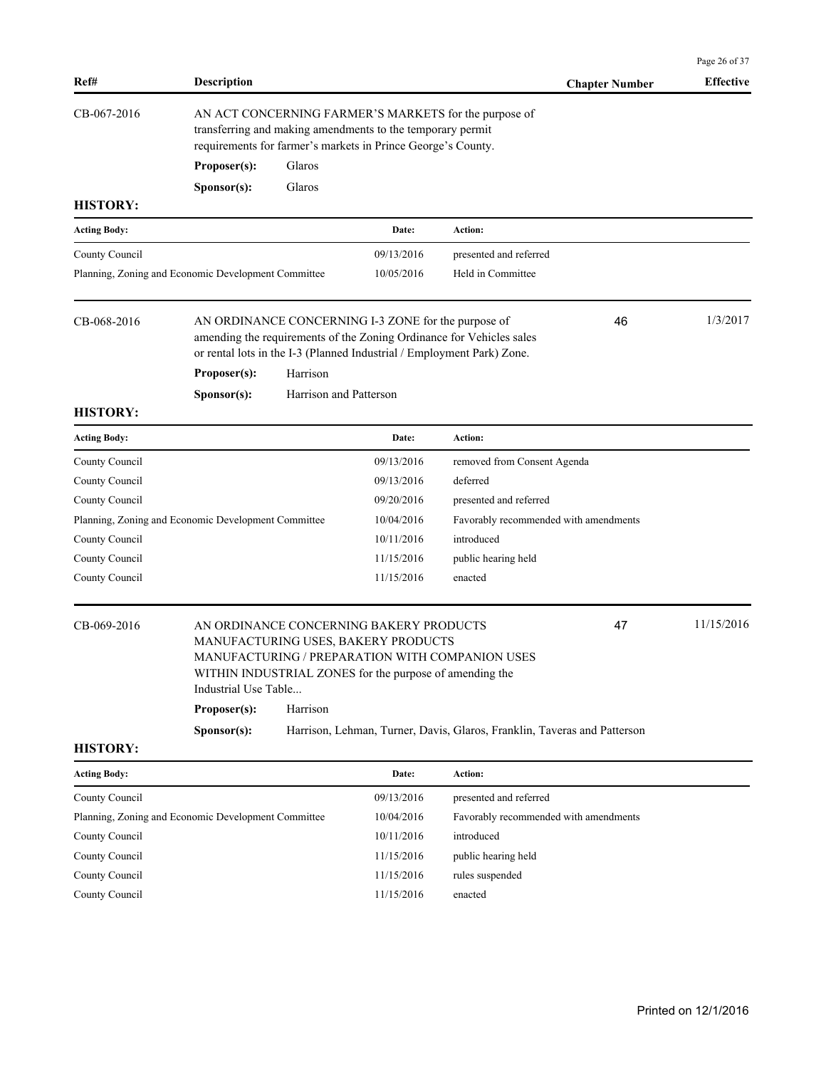|                                                                                                                                                                                                    |                                                     |                        |                                                                                                                                           |                                                                                                                                                      | Page 26 of 37    |
|----------------------------------------------------------------------------------------------------------------------------------------------------------------------------------------------------|-----------------------------------------------------|------------------------|-------------------------------------------------------------------------------------------------------------------------------------------|------------------------------------------------------------------------------------------------------------------------------------------------------|------------------|
| Ref#                                                                                                                                                                                               | <b>Description</b>                                  |                        |                                                                                                                                           | <b>Chapter Number</b>                                                                                                                                | <b>Effective</b> |
| CB-067-2016<br>AN ACT CONCERNING FARMER'S MARKETS for the purpose of<br>transferring and making amendments to the temporary permit<br>requirements for farmer's markets in Prince George's County. |                                                     |                        |                                                                                                                                           |                                                                                                                                                      |                  |
|                                                                                                                                                                                                    | Proposer(s):                                        | Glaros                 |                                                                                                                                           |                                                                                                                                                      |                  |
|                                                                                                                                                                                                    | Sponsor(s):                                         | Glaros                 |                                                                                                                                           |                                                                                                                                                      |                  |
| <b>HISTORY:</b>                                                                                                                                                                                    |                                                     |                        |                                                                                                                                           |                                                                                                                                                      |                  |
| <b>Acting Body:</b>                                                                                                                                                                                |                                                     |                        | Date:                                                                                                                                     | Action:                                                                                                                                              |                  |
| County Council                                                                                                                                                                                     |                                                     |                        | 09/13/2016                                                                                                                                | presented and referred                                                                                                                               |                  |
|                                                                                                                                                                                                    | Planning, Zoning and Economic Development Committee |                        | 10/05/2016                                                                                                                                | Held in Committee                                                                                                                                    |                  |
| CB-068-2016                                                                                                                                                                                        | Proposer(s):                                        | Harrison               | AN ORDINANCE CONCERNING I-3 ZONE for the purpose of                                                                                       | 46<br>amending the requirements of the Zoning Ordinance for Vehicles sales<br>or rental lots in the I-3 (Planned Industrial / Employment Park) Zone. | 1/3/2017         |
|                                                                                                                                                                                                    | Sponsor(s):                                         | Harrison and Patterson |                                                                                                                                           |                                                                                                                                                      |                  |
| <b>HISTORY:</b>                                                                                                                                                                                    |                                                     |                        |                                                                                                                                           |                                                                                                                                                      |                  |
| <b>Acting Body:</b>                                                                                                                                                                                |                                                     |                        | Date:                                                                                                                                     | Action:                                                                                                                                              |                  |
| County Council                                                                                                                                                                                     |                                                     |                        | 09/13/2016                                                                                                                                | removed from Consent Agenda                                                                                                                          |                  |
| County Council                                                                                                                                                                                     |                                                     |                        | 09/13/2016                                                                                                                                | deferred                                                                                                                                             |                  |
| County Council                                                                                                                                                                                     |                                                     |                        | 09/20/2016                                                                                                                                | presented and referred                                                                                                                               |                  |
|                                                                                                                                                                                                    | Planning, Zoning and Economic Development Committee |                        | 10/04/2016                                                                                                                                | Favorably recommended with amendments                                                                                                                |                  |
| County Council                                                                                                                                                                                     |                                                     |                        | 10/11/2016                                                                                                                                | introduced                                                                                                                                           |                  |
| County Council                                                                                                                                                                                     |                                                     |                        | 11/15/2016                                                                                                                                | public hearing held                                                                                                                                  |                  |
| County Council                                                                                                                                                                                     |                                                     |                        | 11/15/2016                                                                                                                                | enacted                                                                                                                                              |                  |
| CB-069-2016                                                                                                                                                                                        | Industrial Use Table                                |                        | AN ORDINANCE CONCERNING BAKERY PRODUCTS<br>MANUFACTURING USES, BAKERY PRODUCTS<br>WITHIN INDUSTRIAL ZONES for the purpose of amending the | 47<br>MANUFACTURING / PREPARATION WITH COMPANION USES                                                                                                | 11/15/2016       |
|                                                                                                                                                                                                    | Proposer(s):                                        | Harrison               |                                                                                                                                           |                                                                                                                                                      |                  |
|                                                                                                                                                                                                    | Sponsor(s):                                         |                        |                                                                                                                                           | Harrison, Lehman, Turner, Davis, Glaros, Franklin, Taveras and Patterson                                                                             |                  |
| <b>HISTORY:</b>                                                                                                                                                                                    |                                                     |                        |                                                                                                                                           |                                                                                                                                                      |                  |
| <b>Acting Body:</b>                                                                                                                                                                                |                                                     |                        | Date:                                                                                                                                     | Action:                                                                                                                                              |                  |
| County Council                                                                                                                                                                                     |                                                     |                        | 09/13/2016                                                                                                                                | presented and referred                                                                                                                               |                  |
|                                                                                                                                                                                                    | Planning, Zoning and Economic Development Committee |                        | 10/04/2016                                                                                                                                | Favorably recommended with amendments                                                                                                                |                  |
| County Council                                                                                                                                                                                     |                                                     |                        | 10/11/2016                                                                                                                                | introduced                                                                                                                                           |                  |
| County Council                                                                                                                                                                                     |                                                     |                        | 11/15/2016                                                                                                                                | public hearing held                                                                                                                                  |                  |
| County Council                                                                                                                                                                                     |                                                     |                        | 11/15/2016                                                                                                                                | rules suspended                                                                                                                                      |                  |
| County Council                                                                                                                                                                                     |                                                     |                        | 11/15/2016                                                                                                                                | enacted                                                                                                                                              |                  |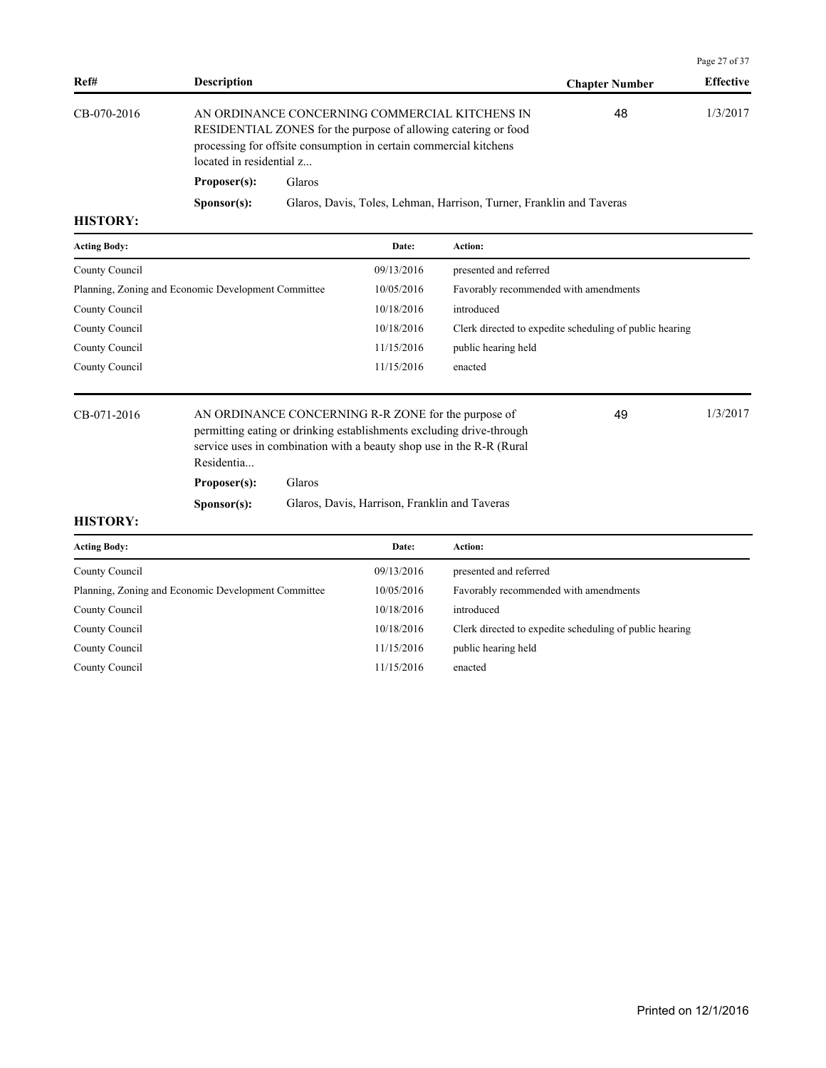|                      |                                                                      |                                                                                                                                                                                                                   | Page 27 of 37    |
|----------------------|----------------------------------------------------------------------|-------------------------------------------------------------------------------------------------------------------------------------------------------------------------------------------------------------------|------------------|
| <b>Description</b>   |                                                                      | <b>Chapter Number</b>                                                                                                                                                                                             | <b>Effective</b> |
|                      |                                                                      | 48                                                                                                                                                                                                                | 1/3/2017         |
| Proposer(s):         | Glaros                                                               |                                                                                                                                                                                                                   |                  |
| S <b>p</b> onsor(s): | Glaros, Davis, Toles, Lehman, Harrison, Turner, Franklin and Taveras |                                                                                                                                                                                                                   |                  |
|                      |                                                                      | AN ORDINANCE CONCERNING COMMERCIAL KITCHENS IN<br>RESIDENTIAL ZONES for the purpose of allowing catering or food<br>processing for offsite consumption in certain commercial kitchens<br>located in residential z |                  |

| <b>Acting Body:</b>                                 | Date:      | Action:                                                 |
|-----------------------------------------------------|------------|---------------------------------------------------------|
| County Council                                      | 09/13/2016 | presented and referred                                  |
| Planning, Zoning and Economic Development Committee | 10/05/2016 | Favorably recommended with amendments                   |
| County Council                                      | 10/18/2016 | introduced                                              |
| County Council                                      | 10/18/2016 | Clerk directed to expedite scheduling of public hearing |
| County Council                                      | 11/15/2016 | public hearing held                                     |
| County Council                                      | 11/15/2016 | enacted                                                 |
|                                                     |            |                                                         |

CB-071-2016 AN ORDINANCE CONCERNING R-R ZONE for the purpose of 49 1/3/2017 permitting eating or drinking establishments excluding drive-through service uses in combination with a beauty shop use in the R-R (Rural Residentia... 49

**Proposer(s):** Glaros

**Sponsor(s):** Glaros, Davis, Harrison, Franklin and Taveras

| <b>Acting Body:</b>                                 | Date:      | Action:                                                 |
|-----------------------------------------------------|------------|---------------------------------------------------------|
| County Council                                      | 09/13/2016 | presented and referred                                  |
| Planning, Zoning and Economic Development Committee | 10/05/2016 | Favorably recommended with amendments                   |
| County Council                                      | 10/18/2016 | introduced                                              |
| County Council                                      | 10/18/2016 | Clerk directed to expedite scheduling of public hearing |
| County Council                                      | 11/15/2016 | public hearing held                                     |
| County Council                                      | 11/15/2016 | enacted                                                 |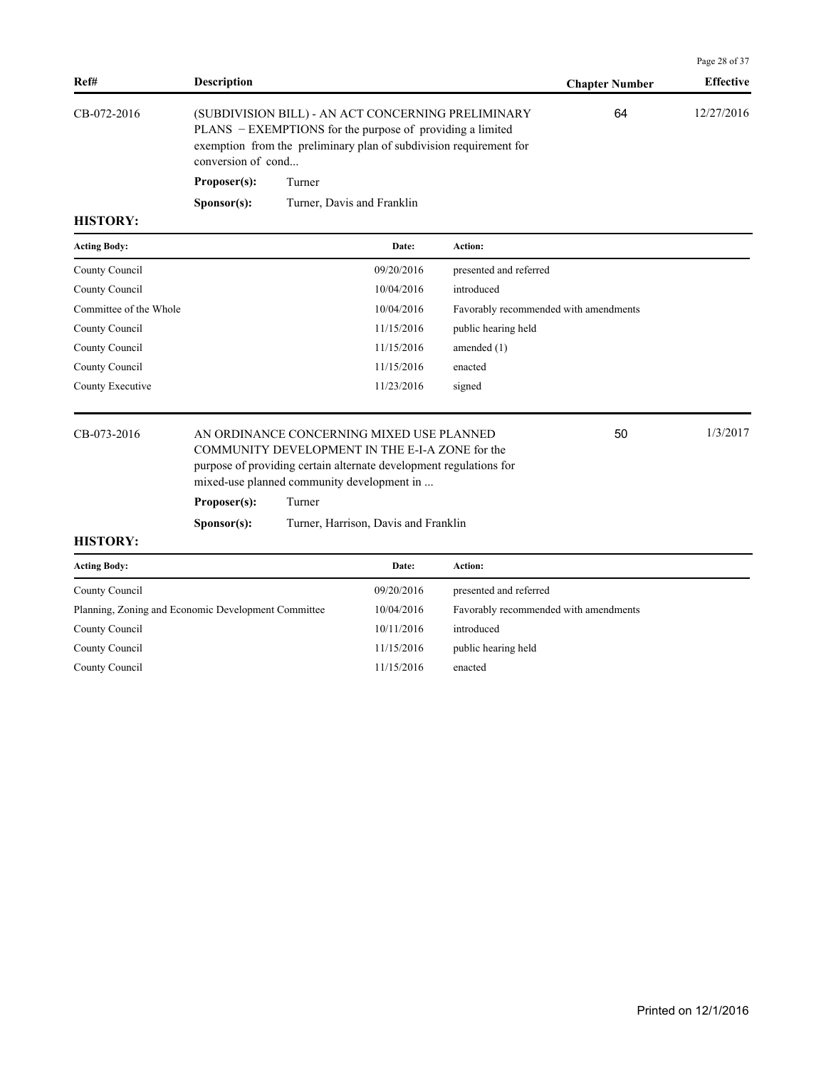| <b>Effective</b> |
|------------------|
| 12/27/2016       |
|                  |
|                  |
|                  |

| <b>Acting Body:</b>    | Date:      | Action:                               |
|------------------------|------------|---------------------------------------|
| County Council         | 09/20/2016 | presented and referred                |
| County Council         | 10/04/2016 | introduced                            |
| Committee of the Whole | 10/04/2016 | Favorably recommended with amendments |
| County Council         | 11/15/2016 | public hearing held                   |
| County Council         | 11/15/2016 | amended $(1)$                         |
| County Council         | 11/15/2016 | enacted                               |
| County Executive       | 11/23/2016 | signed                                |
|                        |            |                                       |

CB-073-2016 AN ORDINANCE CONCERNING MIXED USE PLANNED 150 1/3/2017 COMMUNITY DEVELOPMENT IN THE E-I-A ZONE for the purpose of providing certain alternate development regulations for mixed-use planned community development in ...

50

Page 28 of 37

## **Proposer(s):** Turner

**Sponsor(s):** Turner, Harrison, Davis and Franklin

| <b>Acting Body:</b>                                 | Date:      | Action:                               |
|-----------------------------------------------------|------------|---------------------------------------|
| County Council                                      | 09/20/2016 | presented and referred                |
| Planning, Zoning and Economic Development Committee | 10/04/2016 | Favorably recommended with amendments |
| County Council                                      | 10/11/2016 | introduced                            |
| County Council                                      | 11/15/2016 | public hearing held                   |
| County Council                                      | 11/15/2016 | enacted                               |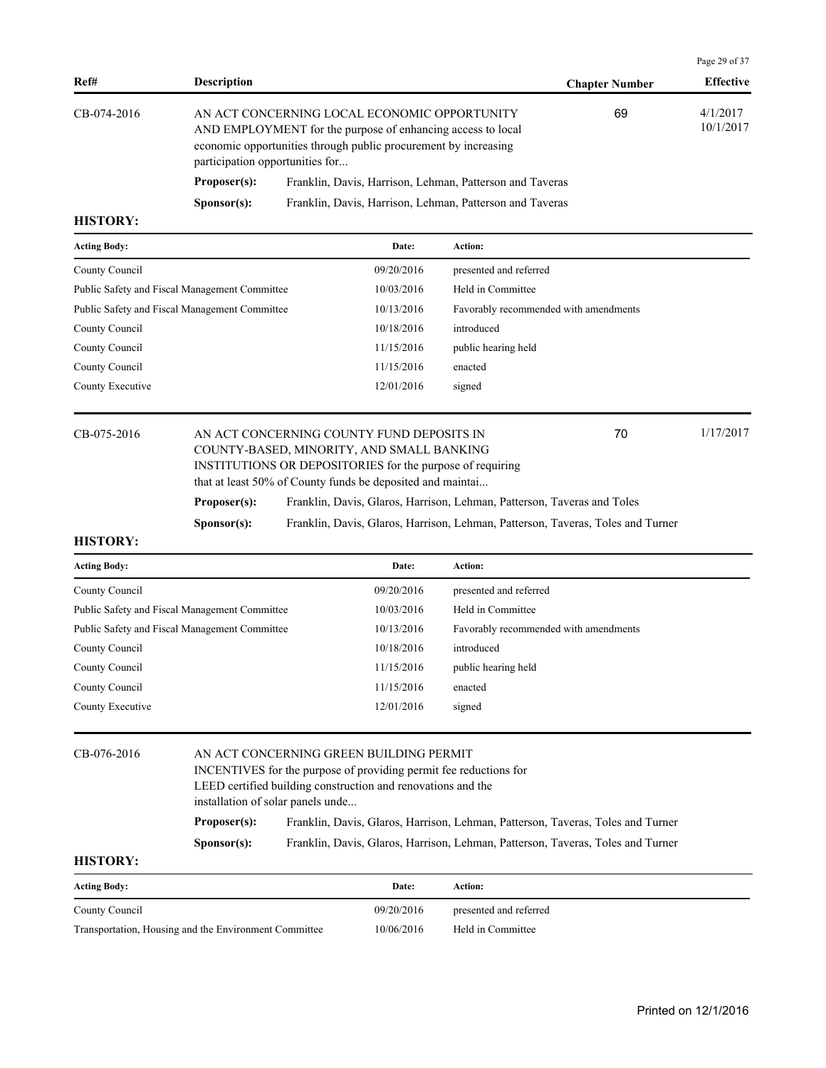| Ref#        | <b>Description</b>   |                                                                                                                                                                                                                   | <b>Chapter Number</b> | <b>Effective</b>      |
|-------------|----------------------|-------------------------------------------------------------------------------------------------------------------------------------------------------------------------------------------------------------------|-----------------------|-----------------------|
| CB-074-2016 |                      | AN ACT CONCERNING LOCAL ECONOMIC OPPORTUNITY<br>AND EMPLOYMENT for the purpose of enhancing access to local<br>economic opportunities through public procurement by increasing<br>participation opportunities for | 69                    | 4/1/2017<br>10/1/2017 |
|             | Proposer(s):         | Franklin, Davis, Harrison, Lehman, Patterson and Taveras                                                                                                                                                          |                       |                       |
|             | S <b>p</b> onsor(s): | Franklin, Davis, Harrison, Lehman, Patterson and Taveras                                                                                                                                                          |                       |                       |

| <b>Acting Body:</b>                           | Date:      | Action:                               |
|-----------------------------------------------|------------|---------------------------------------|
| County Council                                | 09/20/2016 | presented and referred                |
| Public Safety and Fiscal Management Committee | 10/03/2016 | Held in Committee                     |
| Public Safety and Fiscal Management Committee | 10/13/2016 | Favorably recommended with amendments |
| County Council                                | 10/18/2016 | introduced                            |
| County Council                                | 11/15/2016 | public hearing held                   |
| County Council                                | 11/15/2016 | enacted                               |
| County Executive                              | 12/01/2016 | signed                                |
|                                               |            |                                       |

#### CB-075-2016 AN ACT CONCERNING COUNTY FUND DEPOSITS IN 70 1/17/2017 COUNTY-BASED, MINORITY, AND SMALL BANKING INSTITUTIONS OR DEPOSITORIES for the purpose of requiring that at least 50% of County funds be deposited and maintai... 70 **Proposer(s):** Franklin, Davis, Glaros, Harrison, Lehman, Patterson, Taveras and Toles **Sponsor(s):** Franklin, Davis, Glaros, Harrison, Lehman, Patterson, Taveras, Toles and Turner

#### **HISTORY:**

| <b>Acting Body:</b>                           | Date:      | Action:                               |
|-----------------------------------------------|------------|---------------------------------------|
| County Council                                | 09/20/2016 | presented and referred                |
| Public Safety and Fiscal Management Committee | 10/03/2016 | Held in Committee                     |
| Public Safety and Fiscal Management Committee | 10/13/2016 | Favorably recommended with amendments |
| County Council                                | 10/18/2016 | introduced                            |
| County Council                                | 11/15/2016 | public hearing held                   |
| County Council                                | 11/15/2016 | enacted                               |
| County Executive                              | 12/01/2016 | signed                                |
|                                               |            |                                       |

| CB-076-2016     |                                                                   | AN ACT CONCERNING GREEN BUILDING PERMIT                                         |  |  |  |  |  |
|-----------------|-------------------------------------------------------------------|---------------------------------------------------------------------------------|--|--|--|--|--|
|                 | INCENTIVES for the purpose of providing permit fee reductions for |                                                                                 |  |  |  |  |  |
|                 | LEED certified building construction and renovations and the      |                                                                                 |  |  |  |  |  |
|                 |                                                                   | installation of solar panels unde                                               |  |  |  |  |  |
|                 | Proposer(s):                                                      | Franklin, Davis, Glaros, Harrison, Lehman, Patterson, Taveras, Toles and Turner |  |  |  |  |  |
|                 | S <b>p</b> onsor(s):                                              | Franklin, Davis, Glaros, Harrison, Lehman, Patterson, Taveras, Toles and Turner |  |  |  |  |  |
| <b>HISTORY:</b> |                                                                   |                                                                                 |  |  |  |  |  |

| <b>Acting Body:</b>                                   | Date:      | Action:                |
|-------------------------------------------------------|------------|------------------------|
| County Council                                        | 09/20/2016 | presented and referred |
| Transportation, Housing and the Environment Committee | 10/06/2016 | Held in Committee      |

Page 29 of 37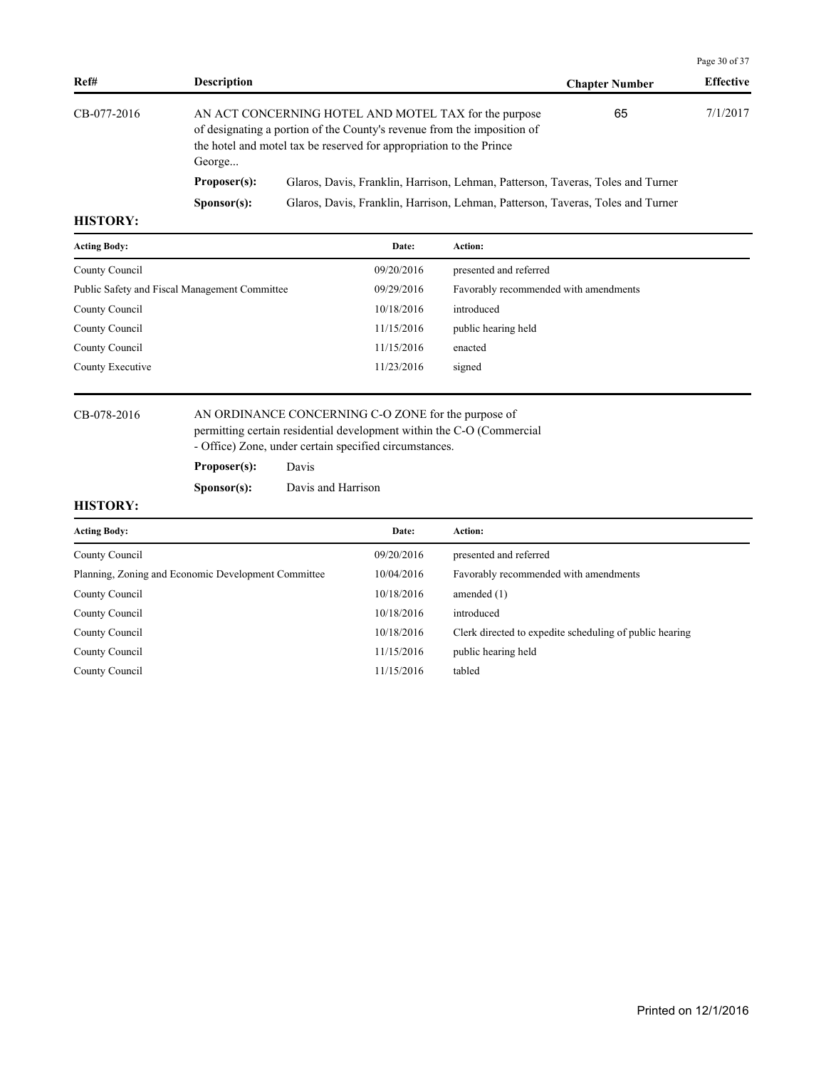| Ref#                                                                                                    | <b>Description</b> |                                                                                                                                  | <b>Chapter Number</b> | <b>Effective</b> |
|---------------------------------------------------------------------------------------------------------|--------------------|----------------------------------------------------------------------------------------------------------------------------------|-----------------------|------------------|
| CB-077-2016<br>the hotel and motel tax be reserved for appropriation to the Prince<br>George            |                    | AN ACT CONCERNING HOTEL AND MOTEL TAX for the purpose<br>of designating a portion of the County's revenue from the imposition of | 65                    | 7/1/2017         |
|                                                                                                         | Proposer(s):       | Glaros, Davis, Franklin, Harrison, Lehman, Patterson, Taveras, Toles and Turner                                                  |                       |                  |
| Glaros, Davis, Franklin, Harrison, Lehman, Patterson, Taveras, Toles and Turner<br>S <b>p</b> onsor(s): |                    |                                                                                                                                  |                       |                  |

| <b>Acting Body:</b>                           | Date:      | Action:                               |
|-----------------------------------------------|------------|---------------------------------------|
| County Council                                | 09/20/2016 | presented and referred                |
| Public Safety and Fiscal Management Committee | 09/29/2016 | Favorably recommended with amendments |
| County Council                                | 10/18/2016 | introduced                            |
| County Council                                | 11/15/2016 | public hearing held                   |
| County Council                                | 11/15/2016 | enacted                               |
| County Executive                              | 11/23/2016 | signed                                |
|                                               |            |                                       |

#### CB-078-2016 AN ORDINANCE CONCERNING C-O ZONE for the purpose of permitting certain residential development within the C-O (Commercial - Office) Zone, under certain specified circumstances.

**Proposer(s):** Davis

**Sponsor(s):** Davis and Harrison

# **HISTORY:**

| <b>Acting Body:</b>                                 | Date:      | <b>Action:</b>                                          |
|-----------------------------------------------------|------------|---------------------------------------------------------|
| County Council                                      | 09/20/2016 | presented and referred                                  |
| Planning, Zoning and Economic Development Committee | 10/04/2016 | Favorably recommended with amendments                   |
| County Council                                      | 10/18/2016 | amended $(1)$                                           |
| County Council                                      | 10/18/2016 | introduced                                              |
| County Council                                      | 10/18/2016 | Clerk directed to expedite scheduling of public hearing |
| County Council                                      | 11/15/2016 | public hearing held                                     |
| County Council                                      | 11/15/2016 | tabled                                                  |

Page 30 of 37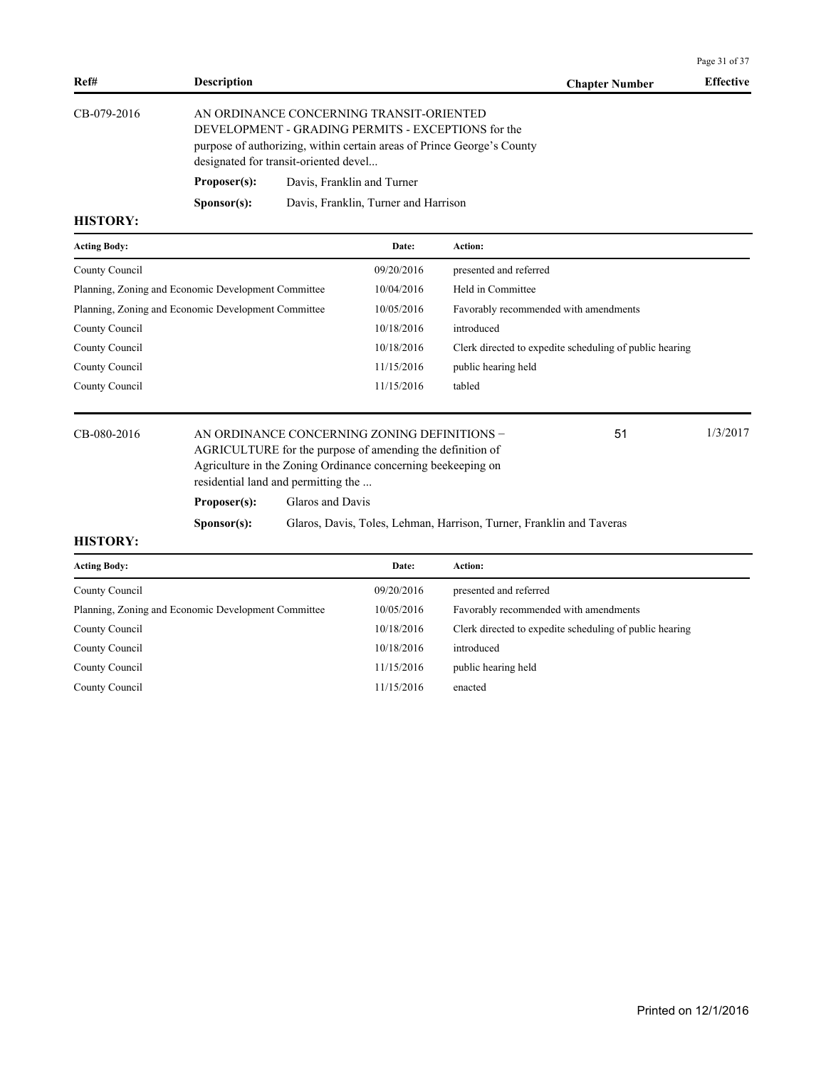|                                                     |                                                       |                  |                                                                                                                                                                           |                                                                        |                                                         | Page 31 of 37    |
|-----------------------------------------------------|-------------------------------------------------------|------------------|---------------------------------------------------------------------------------------------------------------------------------------------------------------------------|------------------------------------------------------------------------|---------------------------------------------------------|------------------|
| Ref#                                                | <b>Description</b>                                    |                  |                                                                                                                                                                           |                                                                        | <b>Chapter Number</b>                                   | <b>Effective</b> |
| CB-079-2016                                         | designated for transit-oriented devel<br>Proposer(s): |                  | AN ORDINANCE CONCERNING TRANSIT-ORIENTED<br>DEVELOPMENT - GRADING PERMITS - EXCEPTIONS for the<br>Davis, Franklin and Turner                                              | purpose of authorizing, within certain areas of Prince George's County |                                                         |                  |
|                                                     | S <b>p</b> onsor(s):                                  |                  | Davis, Franklin, Turner and Harrison                                                                                                                                      |                                                                        |                                                         |                  |
| <b>HISTORY:</b>                                     |                                                       |                  |                                                                                                                                                                           |                                                                        |                                                         |                  |
| <b>Acting Body:</b>                                 |                                                       |                  | Date:                                                                                                                                                                     | Action:                                                                |                                                         |                  |
| County Council                                      |                                                       |                  | 09/20/2016                                                                                                                                                                | presented and referred                                                 |                                                         |                  |
| Planning, Zoning and Economic Development Committee |                                                       | 10/04/2016       | Held in Committee                                                                                                                                                         |                                                                        |                                                         |                  |
| Planning, Zoning and Economic Development Committee |                                                       | 10/05/2016       | Favorably recommended with amendments                                                                                                                                     |                                                                        |                                                         |                  |
| County Council                                      |                                                       |                  | 10/18/2016                                                                                                                                                                | introduced                                                             |                                                         |                  |
| County Council                                      |                                                       |                  | 10/18/2016                                                                                                                                                                |                                                                        | Clerk directed to expedite scheduling of public hearing |                  |
| County Council                                      |                                                       |                  | 11/15/2016                                                                                                                                                                | public hearing held                                                    |                                                         |                  |
| County Council                                      |                                                       |                  | 11/15/2016                                                                                                                                                                | tabled                                                                 |                                                         |                  |
| CB-080-2016                                         | residential land and permitting the                   |                  | AN ORDINANCE CONCERNING ZONING DEFINITIONS -<br>AGRICULTURE for the purpose of amending the definition of<br>Agriculture in the Zoning Ordinance concerning beekeeping on |                                                                        | 51                                                      | 1/3/2017         |
|                                                     | Proposer(s):                                          | Glaros and Davis |                                                                                                                                                                           |                                                                        |                                                         |                  |
|                                                     | Sponsor(s):                                           |                  |                                                                                                                                                                           | Glaros, Davis, Toles, Lehman, Harrison, Turner, Franklin and Taveras   |                                                         |                  |
| $\alpha$ of $\alpha$ in $\mathbf{v}$                |                                                       |                  |                                                                                                                                                                           |                                                                        |                                                         |                  |

| <b>Acting Body:</b>                                 | Date:      | Action:                                                 |
|-----------------------------------------------------|------------|---------------------------------------------------------|
| County Council                                      | 09/20/2016 | presented and referred                                  |
| Planning, Zoning and Economic Development Committee | 10/05/2016 | Favorably recommended with amendments                   |
| County Council                                      | 10/18/2016 | Clerk directed to expedite scheduling of public hearing |
| County Council                                      | 10/18/2016 | introduced                                              |
| County Council                                      | 11/15/2016 | public hearing held                                     |
| County Council                                      | 11/15/2016 | enacted                                                 |
|                                                     |            |                                                         |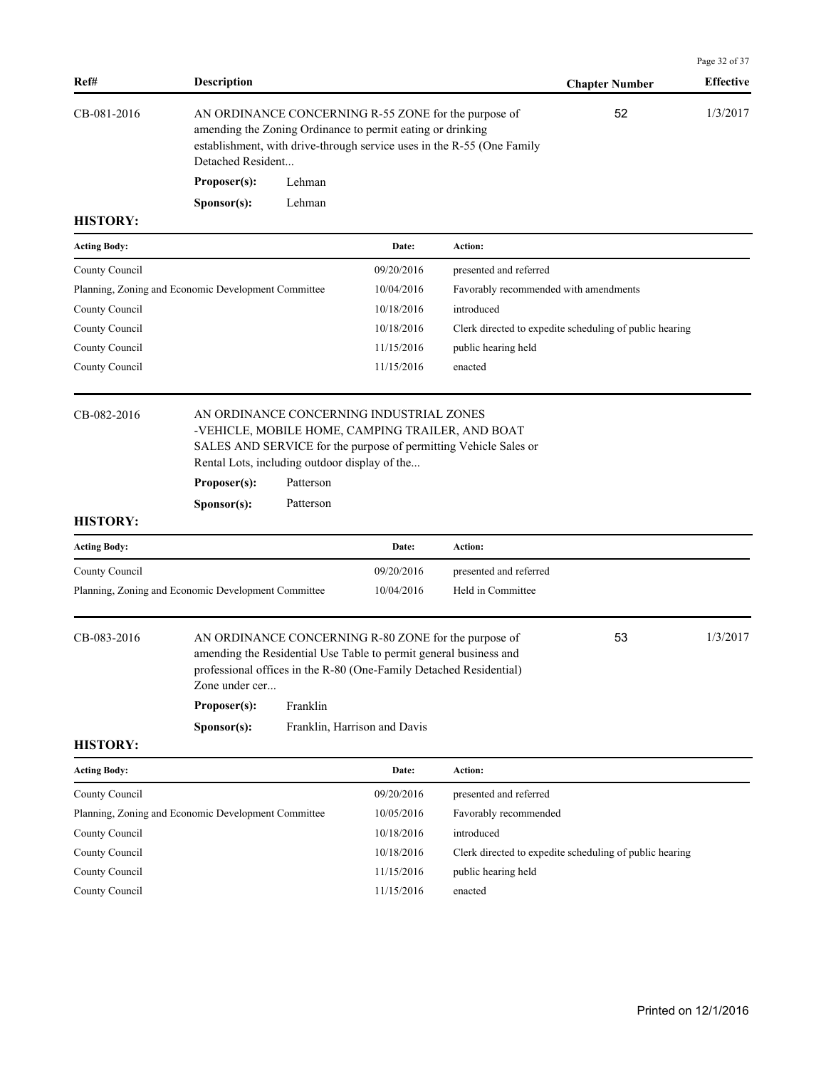|                     |                                                                              |                        |                                                                                                                                                                                                                                 |                                                                        |                                                         | Page 32 of 37    |
|---------------------|------------------------------------------------------------------------------|------------------------|---------------------------------------------------------------------------------------------------------------------------------------------------------------------------------------------------------------------------------|------------------------------------------------------------------------|---------------------------------------------------------|------------------|
| Ref#                | <b>Description</b>                                                           |                        |                                                                                                                                                                                                                                 |                                                                        | <b>Chapter Number</b>                                   | <b>Effective</b> |
| CB-081-2016         | Detached Resident                                                            |                        | AN ORDINANCE CONCERNING R-55 ZONE for the purpose of<br>amending the Zoning Ordinance to permit eating or drinking                                                                                                              | establishment, with drive-through service uses in the R-55 (One Family | 52                                                      | 1/3/2017         |
|                     | Proposer(s):                                                                 | Lehman                 |                                                                                                                                                                                                                                 |                                                                        |                                                         |                  |
|                     | Sponsor(s):                                                                  | Lehman                 |                                                                                                                                                                                                                                 |                                                                        |                                                         |                  |
| <b>HISTORY:</b>     |                                                                              |                        |                                                                                                                                                                                                                                 |                                                                        |                                                         |                  |
| <b>Acting Body:</b> |                                                                              |                        | Date:                                                                                                                                                                                                                           | Action:                                                                |                                                         |                  |
| County Council      |                                                                              |                        | 09/20/2016                                                                                                                                                                                                                      | presented and referred                                                 |                                                         |                  |
|                     | Planning, Zoning and Economic Development Committee                          |                        | 10/04/2016                                                                                                                                                                                                                      | Favorably recommended with amendments                                  |                                                         |                  |
| County Council      |                                                                              |                        | 10/18/2016                                                                                                                                                                                                                      | introduced                                                             |                                                         |                  |
| County Council      |                                                                              |                        | 10/18/2016                                                                                                                                                                                                                      |                                                                        | Clerk directed to expedite scheduling of public hearing |                  |
| County Council      |                                                                              |                        | 11/15/2016                                                                                                                                                                                                                      | public hearing held                                                    |                                                         |                  |
| County Council      |                                                                              |                        | 11/15/2016                                                                                                                                                                                                                      | enacted                                                                |                                                         |                  |
| <b>HISTORY:</b>     | Rental Lots, including outdoor display of the<br>Proposer(s):<br>Sponsor(s): | Patterson<br>Patterson |                                                                                                                                                                                                                                 | SALES AND SERVICE for the purpose of permitting Vehicle Sales or       |                                                         |                  |
| <b>Acting Body:</b> |                                                                              |                        | Date:                                                                                                                                                                                                                           | Action:                                                                |                                                         |                  |
| County Council      |                                                                              |                        | 09/20/2016                                                                                                                                                                                                                      | presented and referred                                                 |                                                         |                  |
|                     | Planning, Zoning and Economic Development Committee                          |                        | 10/04/2016                                                                                                                                                                                                                      | Held in Committee                                                      |                                                         |                  |
| CB-083-2016         | Zone under cer<br>Proposer(s):<br>Sponsor(s):                                | Franklin               | AN ORDINANCE CONCERNING R-80 ZONE for the purpose of<br>amending the Residential Use Table to permit general business and<br>professional offices in the R-80 (One-Family Detached Residential)<br>Franklin, Harrison and Davis |                                                                        | 53                                                      | 1/3/2017         |
| <b>HISTORY:</b>     |                                                                              |                        |                                                                                                                                                                                                                                 |                                                                        |                                                         |                  |
| <b>Acting Body:</b> |                                                                              |                        | Date:                                                                                                                                                                                                                           | Action:                                                                |                                                         |                  |
| County Council      |                                                                              |                        | 09/20/2016                                                                                                                                                                                                                      | presented and referred                                                 |                                                         |                  |
|                     | Planning, Zoning and Economic Development Committee                          |                        | 10/05/2016                                                                                                                                                                                                                      | Favorably recommended                                                  |                                                         |                  |
| County Council      |                                                                              |                        | 10/18/2016                                                                                                                                                                                                                      | introduced                                                             |                                                         |                  |
| County Council      |                                                                              |                        | 10/18/2016                                                                                                                                                                                                                      |                                                                        | Clerk directed to expedite scheduling of public hearing |                  |
| County Council      |                                                                              |                        | 11/15/2016                                                                                                                                                                                                                      | public hearing held                                                    |                                                         |                  |

County Council 11/15/2016 enacted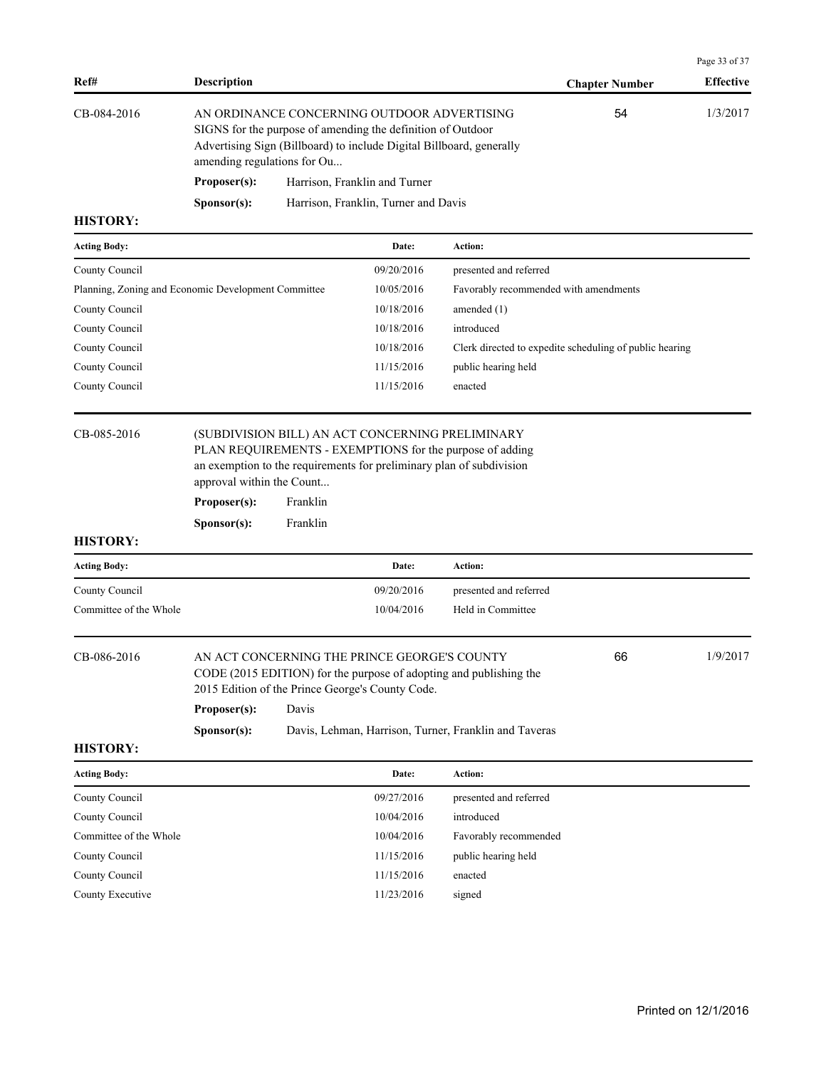|                                                     |                             |          |                                                                                                                                                                                    |                                                                                                                                  |                                                         | Page 33 of 37    |
|-----------------------------------------------------|-----------------------------|----------|------------------------------------------------------------------------------------------------------------------------------------------------------------------------------------|----------------------------------------------------------------------------------------------------------------------------------|---------------------------------------------------------|------------------|
| Ref#                                                | <b>Description</b>          |          |                                                                                                                                                                                    |                                                                                                                                  | <b>Chapter Number</b>                                   | <b>Effective</b> |
| CB-084-2016                                         | amending regulations for Ou |          | AN ORDINANCE CONCERNING OUTDOOR ADVERTISING<br>SIGNS for the purpose of amending the definition of Outdoor<br>Advertising Sign (Billboard) to include Digital Billboard, generally |                                                                                                                                  | 54                                                      | 1/3/2017         |
|                                                     | Proposer(s):                |          | Harrison, Franklin and Turner                                                                                                                                                      |                                                                                                                                  |                                                         |                  |
| <b>HISTORY:</b>                                     | S <b>p</b> onsor(s):        |          | Harrison, Franklin, Turner and Davis                                                                                                                                               |                                                                                                                                  |                                                         |                  |
| <b>Acting Body:</b>                                 |                             |          | Date:                                                                                                                                                                              | Action:                                                                                                                          |                                                         |                  |
| County Council                                      |                             |          | 09/20/2016                                                                                                                                                                         | presented and referred                                                                                                           |                                                         |                  |
| Planning, Zoning and Economic Development Committee |                             |          | 10/05/2016                                                                                                                                                                         |                                                                                                                                  | Favorably recommended with amendments                   |                  |
| County Council                                      |                             |          | 10/18/2016                                                                                                                                                                         | amended $(1)$                                                                                                                    |                                                         |                  |
| County Council                                      |                             |          | 10/18/2016                                                                                                                                                                         | introduced                                                                                                                       |                                                         |                  |
| County Council                                      |                             |          | 10/18/2016                                                                                                                                                                         |                                                                                                                                  | Clerk directed to expedite scheduling of public hearing |                  |
| County Council                                      |                             |          | 11/15/2016                                                                                                                                                                         | public hearing held                                                                                                              |                                                         |                  |
| County Council                                      |                             |          | 11/15/2016                                                                                                                                                                         | enacted                                                                                                                          |                                                         |                  |
| CB-085-2016                                         | approval within the Count   |          | (SUBDIVISION BILL) AN ACT CONCERNING PRELIMINARY                                                                                                                                   | PLAN REQUIREMENTS - EXEMPTIONS for the purpose of adding<br>an exemption to the requirements for preliminary plan of subdivision |                                                         |                  |
|                                                     | Proposer(s):                | Franklin |                                                                                                                                                                                    |                                                                                                                                  |                                                         |                  |
|                                                     | S <b>p</b> onsor(s):        | Franklin |                                                                                                                                                                                    |                                                                                                                                  |                                                         |                  |
| <b>HISTORY:</b>                                     |                             |          |                                                                                                                                                                                    |                                                                                                                                  |                                                         |                  |
| <b>Acting Body:</b>                                 |                             |          | Date:                                                                                                                                                                              | Action:                                                                                                                          |                                                         |                  |
| County Council                                      |                             |          | 09/20/2016                                                                                                                                                                         | presented and referred                                                                                                           |                                                         |                  |
| Committee of the Whole                              |                             |          | 10/04/2016                                                                                                                                                                         | Held in Committee                                                                                                                |                                                         |                  |
| CB-086-2016                                         | Proposer(s):                | Davis    | AN ACT CONCERNING THE PRINCE GEORGE'S COUNTY<br>2015 Edition of the Prince George's County Code.                                                                                   | CODE (2015 EDITION) for the purpose of adopting and publishing the                                                               | 66                                                      | 1/9/2017         |

**Sponsor(s):** Davis, Lehman, Harrison, Turner, Franklin and Taveras

| <b>Acting Body:</b>    | Date:      | Action:                |
|------------------------|------------|------------------------|
| County Council         | 09/27/2016 | presented and referred |
| County Council         | 10/04/2016 | introduced             |
| Committee of the Whole | 10/04/2016 | Favorably recommended  |
| County Council         | 11/15/2016 | public hearing held    |
| County Council         | 11/15/2016 | enacted                |
| County Executive       | 11/23/2016 | signed                 |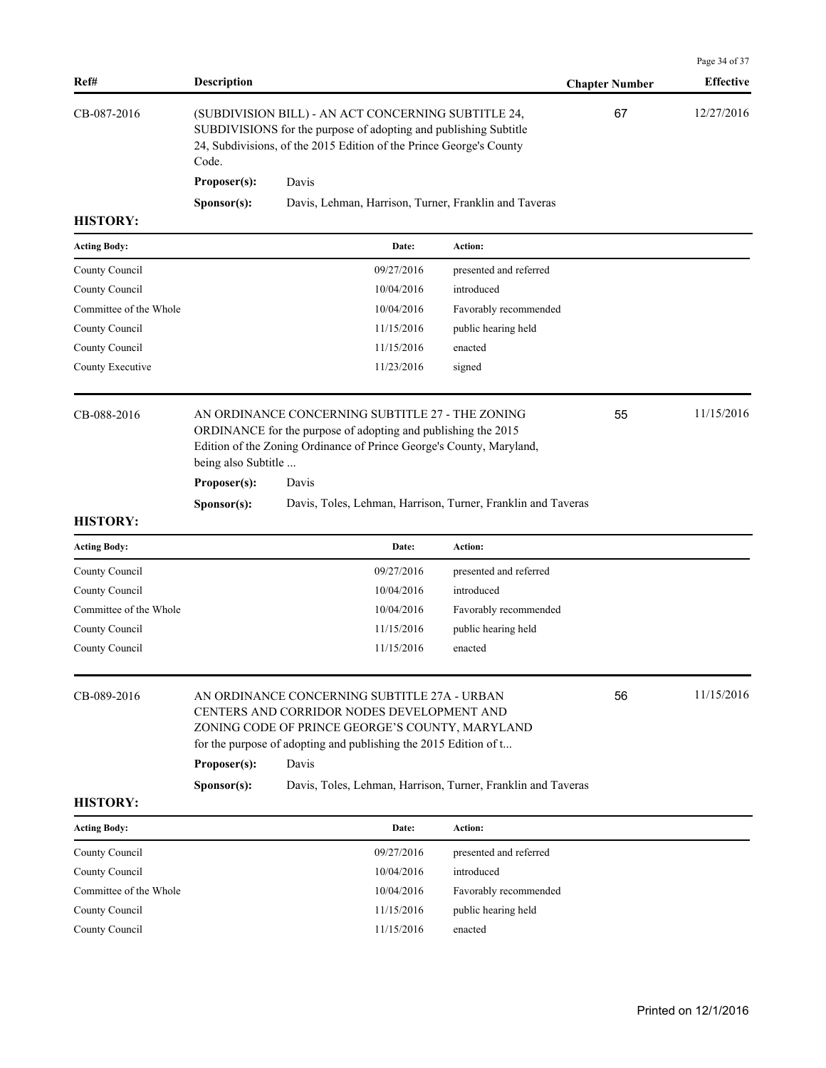| Ref#                   | <b>Description</b>                                                                                                                                                                                                                               |                                                              |                        | <b>Chapter Number</b> | <b>Effective</b> |
|------------------------|--------------------------------------------------------------------------------------------------------------------------------------------------------------------------------------------------------------------------------------------------|--------------------------------------------------------------|------------------------|-----------------------|------------------|
| CB-087-2016            | (SUBDIVISION BILL) - AN ACT CONCERNING SUBTITLE 24,<br>SUBDIVISIONS for the purpose of adopting and publishing Subtitle<br>24, Subdivisions, of the 2015 Edition of the Prince George's County<br>Code.                                          |                                                              |                        | 67                    | 12/27/2016       |
|                        | Proposer(s):                                                                                                                                                                                                                                     | Davis                                                        |                        |                       |                  |
|                        | Sponsor(s):                                                                                                                                                                                                                                      | Davis, Lehman, Harrison, Turner, Franklin and Taveras        |                        |                       |                  |
| <b>HISTORY:</b>        |                                                                                                                                                                                                                                                  |                                                              |                        |                       |                  |
| <b>Acting Body:</b>    |                                                                                                                                                                                                                                                  | Date:                                                        | Action:                |                       |                  |
| County Council         |                                                                                                                                                                                                                                                  | 09/27/2016                                                   | presented and referred |                       |                  |
| County Council         |                                                                                                                                                                                                                                                  | 10/04/2016                                                   | introduced             |                       |                  |
| Committee of the Whole |                                                                                                                                                                                                                                                  | 10/04/2016                                                   | Favorably recommended  |                       |                  |
| County Council         |                                                                                                                                                                                                                                                  | 11/15/2016                                                   | public hearing held    |                       |                  |
| County Council         |                                                                                                                                                                                                                                                  | 11/15/2016                                                   | enacted                |                       |                  |
| County Executive       |                                                                                                                                                                                                                                                  | 11/23/2016                                                   | signed                 |                       |                  |
| CB-088-2016            | AN ORDINANCE CONCERNING SUBTITLE 27 - THE ZONING<br>ORDINANCE for the purpose of adopting and publishing the 2015<br>Edition of the Zoning Ordinance of Prince George's County, Maryland,<br>being also Subtitle                                 |                                                              |                        |                       | 11/15/2016       |
|                        | Proposer(s):                                                                                                                                                                                                                                     | Davis                                                        |                        |                       |                  |
| <b>HISTORY:</b>        | Sponsor(s):                                                                                                                                                                                                                                      | Davis, Toles, Lehman, Harrison, Turner, Franklin and Taveras |                        |                       |                  |
| <b>Acting Body:</b>    |                                                                                                                                                                                                                                                  | Date:                                                        | Action:                |                       |                  |
| County Council         |                                                                                                                                                                                                                                                  | 09/27/2016                                                   | presented and referred |                       |                  |
| County Council         |                                                                                                                                                                                                                                                  | 10/04/2016                                                   | introduced             |                       |                  |
| Committee of the Whole |                                                                                                                                                                                                                                                  | 10/04/2016                                                   | Favorably recommended  |                       |                  |
| County Council         |                                                                                                                                                                                                                                                  | 11/15/2016                                                   | public hearing held    |                       |                  |
| County Council         |                                                                                                                                                                                                                                                  | 11/15/2016                                                   | enacted                |                       |                  |
| CB-089-2016            | AN ORDINANCE CONCERNING SUBTITLE 27A - URBAN<br>56<br>CENTERS AND CORRIDOR NODES DEVELOPMENT AND<br>ZONING CODE OF PRINCE GEORGE'S COUNTY, MARYLAND<br>for the purpose of adopting and publishing the 2015 Edition of t<br>Proposer(s):<br>Davis |                                                              |                        | 11/15/2016            |                  |
| <b>HISTORY:</b>        | Sponsor(s):                                                                                                                                                                                                                                      | Davis, Toles, Lehman, Harrison, Turner, Franklin and Taveras |                        |                       |                  |
| <b>Acting Body:</b>    |                                                                                                                                                                                                                                                  | Date:                                                        | Action:                |                       |                  |
| County Council         |                                                                                                                                                                                                                                                  | 09/27/2016                                                   | presented and referred |                       |                  |
| County Council         |                                                                                                                                                                                                                                                  | 10/04/2016                                                   | introduced             |                       |                  |
| Committee of the Whole |                                                                                                                                                                                                                                                  | 10/04/2016                                                   | Favorably recommended  |                       |                  |
| County Council         |                                                                                                                                                                                                                                                  | 11/15/2016                                                   | public hearing held    |                       |                  |
| County Council         |                                                                                                                                                                                                                                                  | 11/15/2016                                                   | enacted                |                       |                  |

Page 34 of 37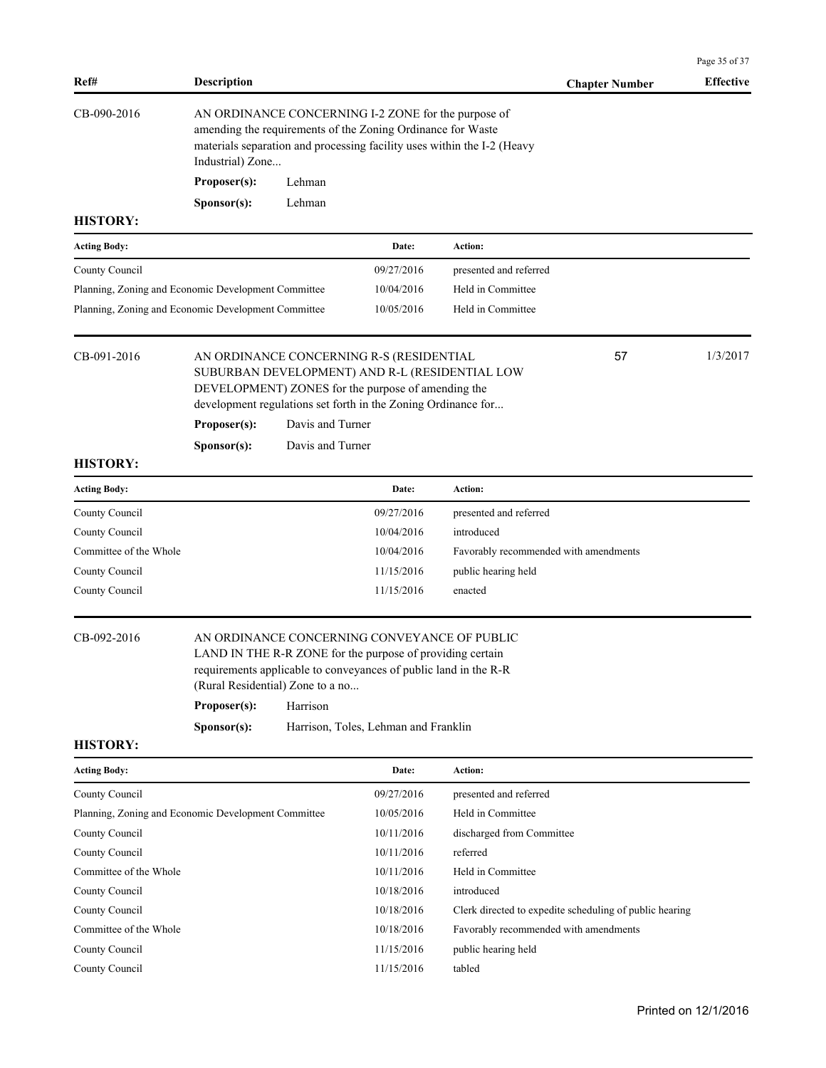| Ref#                                                | <b>Description</b>                                                                                                                                                                                                |                                                                                                      |                                                               |                                       | <b>Chapter Number</b>                                   | <b>Effective</b> |  |
|-----------------------------------------------------|-------------------------------------------------------------------------------------------------------------------------------------------------------------------------------------------------------------------|------------------------------------------------------------------------------------------------------|---------------------------------------------------------------|---------------------------------------|---------------------------------------------------------|------------------|--|
| CB-090-2016                                         | AN ORDINANCE CONCERNING I-2 ZONE for the purpose of<br>amending the requirements of the Zoning Ordinance for Waste<br>materials separation and processing facility uses within the I-2 (Heavy<br>Industrial) Zone |                                                                                                      |                                                               |                                       |                                                         |                  |  |
|                                                     | Proposer(s):                                                                                                                                                                                                      | Lehman                                                                                               |                                                               |                                       |                                                         |                  |  |
|                                                     | S <b>p</b> onsor(s):                                                                                                                                                                                              | Lehman                                                                                               |                                                               |                                       |                                                         |                  |  |
| <b>HISTORY:</b>                                     |                                                                                                                                                                                                                   |                                                                                                      |                                                               |                                       |                                                         |                  |  |
| <b>Acting Body:</b>                                 |                                                                                                                                                                                                                   |                                                                                                      | Date:                                                         | Action:                               |                                                         |                  |  |
| County Council                                      |                                                                                                                                                                                                                   |                                                                                                      | 09/27/2016                                                    | presented and referred                |                                                         |                  |  |
| Planning, Zoning and Economic Development Committee |                                                                                                                                                                                                                   |                                                                                                      | 10/04/2016                                                    | Held in Committee                     |                                                         |                  |  |
| Planning, Zoning and Economic Development Committee |                                                                                                                                                                                                                   |                                                                                                      | 10/05/2016                                                    | Held in Committee                     |                                                         |                  |  |
| CB-091-2016                                         |                                                                                                                                                                                                                   |                                                                                                      | AN ORDINANCE CONCERNING R-S (RESIDENTIAL                      |                                       | 57                                                      | 1/3/2017         |  |
|                                                     |                                                                                                                                                                                                                   | SUBURBAN DEVELOPMENT) AND R-L (RESIDENTIAL LOW<br>DEVELOPMENT) ZONES for the purpose of amending the |                                                               |                                       |                                                         |                  |  |
|                                                     |                                                                                                                                                                                                                   |                                                                                                      | development regulations set forth in the Zoning Ordinance for |                                       |                                                         |                  |  |
|                                                     | Proposer(s):                                                                                                                                                                                                      | Davis and Turner                                                                                     |                                                               |                                       |                                                         |                  |  |
|                                                     | Sponsor(s):                                                                                                                                                                                                       | Davis and Turner                                                                                     |                                                               |                                       |                                                         |                  |  |
| <b>HISTORY:</b>                                     |                                                                                                                                                                                                                   |                                                                                                      |                                                               |                                       |                                                         |                  |  |
| <b>Acting Body:</b>                                 |                                                                                                                                                                                                                   |                                                                                                      | Date:                                                         | Action:                               |                                                         |                  |  |
| County Council                                      |                                                                                                                                                                                                                   |                                                                                                      | 09/27/2016                                                    | presented and referred                |                                                         |                  |  |
| County Council                                      |                                                                                                                                                                                                                   |                                                                                                      | 10/04/2016                                                    | introduced                            |                                                         |                  |  |
| Committee of the Whole                              |                                                                                                                                                                                                                   |                                                                                                      | 10/04/2016                                                    | Favorably recommended with amendments |                                                         |                  |  |
| County Council                                      |                                                                                                                                                                                                                   |                                                                                                      | 11/15/2016                                                    | public hearing held                   |                                                         |                  |  |
| County Council                                      |                                                                                                                                                                                                                   |                                                                                                      | 11/15/2016                                                    | enacted                               |                                                         |                  |  |
| CB-092-2016                                         | AN ORDINANCE CONCERNING CONVEYANCE OF PUBLIC<br>LAND IN THE R-R ZONE for the purpose of providing certain<br>requirements applicable to conveyances of public land in the R-R<br>(Rural Residential) Zone to a no |                                                                                                      |                                                               |                                       |                                                         |                  |  |
|                                                     | Proposer(s):                                                                                                                                                                                                      | Harrison                                                                                             |                                                               |                                       |                                                         |                  |  |
| <b>HISTORY:</b>                                     | Sponsor(s):                                                                                                                                                                                                       |                                                                                                      | Harrison, Toles, Lehman and Franklin                          |                                       |                                                         |                  |  |
| <b>Acting Body:</b>                                 |                                                                                                                                                                                                                   |                                                                                                      | Date:                                                         | Action:                               |                                                         |                  |  |
| County Council                                      |                                                                                                                                                                                                                   |                                                                                                      | 09/27/2016                                                    | presented and referred                |                                                         |                  |  |
| Planning, Zoning and Economic Development Committee |                                                                                                                                                                                                                   |                                                                                                      | 10/05/2016                                                    | Held in Committee                     |                                                         |                  |  |
| County Council                                      |                                                                                                                                                                                                                   |                                                                                                      | 10/11/2016                                                    | discharged from Committee             |                                                         |                  |  |
| County Council                                      |                                                                                                                                                                                                                   |                                                                                                      | 10/11/2016                                                    | referred                              |                                                         |                  |  |
| Committee of the Whole                              |                                                                                                                                                                                                                   |                                                                                                      | 10/11/2016                                                    | Held in Committee                     |                                                         |                  |  |
| County Council                                      |                                                                                                                                                                                                                   |                                                                                                      | 10/18/2016                                                    | introduced                            |                                                         |                  |  |
| County Council                                      |                                                                                                                                                                                                                   |                                                                                                      | 10/18/2016                                                    |                                       | Clerk directed to expedite scheduling of public hearing |                  |  |
| Committee of the Whole                              |                                                                                                                                                                                                                   |                                                                                                      | 10/18/2016                                                    | Favorably recommended with amendments |                                                         |                  |  |
| County Council                                      |                                                                                                                                                                                                                   |                                                                                                      | 11/15/2016                                                    | public hearing held                   |                                                         |                  |  |
| County Council                                      |                                                                                                                                                                                                                   |                                                                                                      | 11/15/2016                                                    | tabled                                |                                                         |                  |  |

Page 35 of 37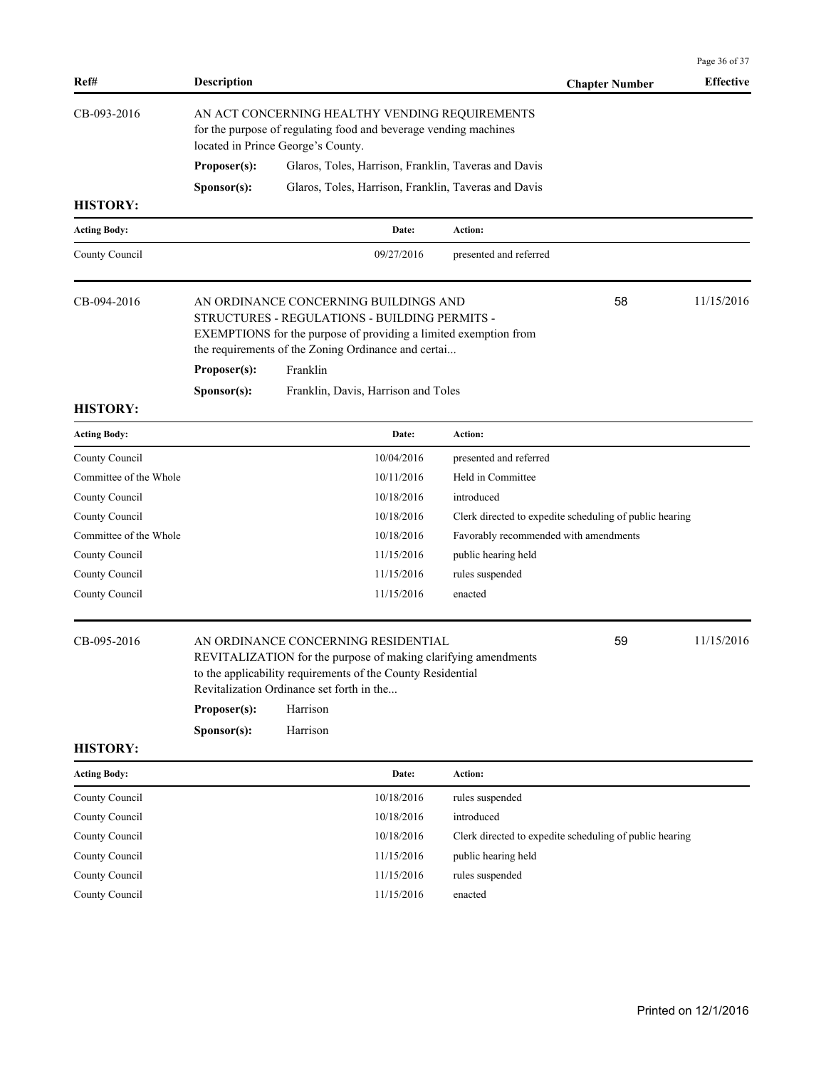| Ref#                   | <b>Description</b>                                                                                                                                                                                                                                  |          |                                     |                                                      | <b>Chapter Number</b>                                   | <b>Effective</b> |
|------------------------|-----------------------------------------------------------------------------------------------------------------------------------------------------------------------------------------------------------------------------------------------------|----------|-------------------------------------|------------------------------------------------------|---------------------------------------------------------|------------------|
| CB-093-2016            | AN ACT CONCERNING HEALTHY VENDING REQUIREMENTS<br>for the purpose of regulating food and beverage vending machines<br>located in Prince George's County.                                                                                            |          |                                     |                                                      |                                                         |                  |
|                        | Proposer(s):                                                                                                                                                                                                                                        |          |                                     | Glaros, Toles, Harrison, Franklin, Taveras and Davis |                                                         |                  |
|                        | Sponsor(s):                                                                                                                                                                                                                                         |          |                                     | Glaros, Toles, Harrison, Franklin, Taveras and Davis |                                                         |                  |
| <b>HISTORY:</b>        |                                                                                                                                                                                                                                                     |          |                                     |                                                      |                                                         |                  |
| <b>Acting Body:</b>    |                                                                                                                                                                                                                                                     |          | Date:                               | Action:                                              |                                                         |                  |
| County Council         |                                                                                                                                                                                                                                                     |          | 09/27/2016                          | presented and referred                               |                                                         |                  |
| CB-094-2016            | 58<br>AN ORDINANCE CONCERNING BUILDINGS AND<br>STRUCTURES - REGULATIONS - BUILDING PERMITS -<br>EXEMPTIONS for the purpose of providing a limited exemption from<br>the requirements of the Zoning Ordinance and certai<br>Franklin<br>Proposer(s): |          |                                     |                                                      | 11/15/2016                                              |                  |
|                        | Sponsor(s):                                                                                                                                                                                                                                         |          | Franklin, Davis, Harrison and Toles |                                                      |                                                         |                  |
| <b>HISTORY:</b>        |                                                                                                                                                                                                                                                     |          |                                     |                                                      |                                                         |                  |
| <b>Acting Body:</b>    |                                                                                                                                                                                                                                                     |          | Date:                               | Action:                                              |                                                         |                  |
| County Council         |                                                                                                                                                                                                                                                     |          | 10/04/2016                          | presented and referred                               |                                                         |                  |
| Committee of the Whole |                                                                                                                                                                                                                                                     |          | 10/11/2016                          | Held in Committee                                    |                                                         |                  |
| County Council         |                                                                                                                                                                                                                                                     |          | 10/18/2016                          | introduced                                           |                                                         |                  |
| County Council         |                                                                                                                                                                                                                                                     |          | 10/18/2016                          |                                                      | Clerk directed to expedite scheduling of public hearing |                  |
| Committee of the Whole |                                                                                                                                                                                                                                                     |          | 10/18/2016                          | Favorably recommended with amendments                |                                                         |                  |
| County Council         |                                                                                                                                                                                                                                                     |          | 11/15/2016                          | public hearing held                                  |                                                         |                  |
| County Council         |                                                                                                                                                                                                                                                     |          | 11/15/2016                          | rules suspended                                      |                                                         |                  |
| County Council         |                                                                                                                                                                                                                                                     |          | 11/15/2016                          | enacted                                              |                                                         |                  |
| CB-095-2016            | AN ORDINANCE CONCERNING RESIDENTIAL<br>REVITALIZATION for the purpose of making clarifying amendments<br>to the applicability requirements of the County Residential<br>Revitalization Ordinance set forth in the                                   |          |                                     | 59                                                   | 11/15/2016                                              |                  |
|                        | Proposer(s):                                                                                                                                                                                                                                        | Harrison |                                     |                                                      |                                                         |                  |
|                        | Sponsor(s):                                                                                                                                                                                                                                         | Harrison |                                     |                                                      |                                                         |                  |
| <b>HISTORY:</b>        |                                                                                                                                                                                                                                                     |          |                                     |                                                      |                                                         |                  |
| <b>Acting Body:</b>    |                                                                                                                                                                                                                                                     |          | Date:                               | Action:                                              |                                                         |                  |
| County Council         |                                                                                                                                                                                                                                                     |          | 10/18/2016                          | rules suspended                                      |                                                         |                  |
| County Council         |                                                                                                                                                                                                                                                     |          | 10/18/2016                          | introduced                                           |                                                         |                  |
| County Council         |                                                                                                                                                                                                                                                     |          | 10/18/2016                          |                                                      | Clerk directed to expedite scheduling of public hearing |                  |
| County Council         |                                                                                                                                                                                                                                                     |          | 11/15/2016                          | public hearing held                                  |                                                         |                  |
| County Council         |                                                                                                                                                                                                                                                     |          | 11/15/2016                          | rules suspended                                      |                                                         |                  |
| County Council         |                                                                                                                                                                                                                                                     |          | 11/15/2016                          | enacted                                              |                                                         |                  |
|                        |                                                                                                                                                                                                                                                     |          |                                     |                                                      |                                                         |                  |

Page 36 of 37